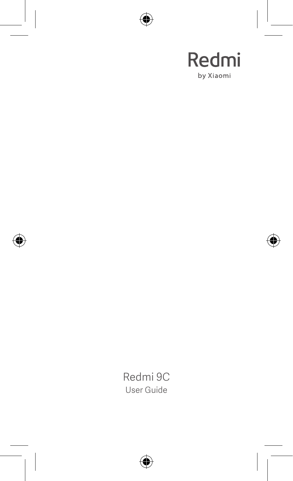

Redmi 9C User Guide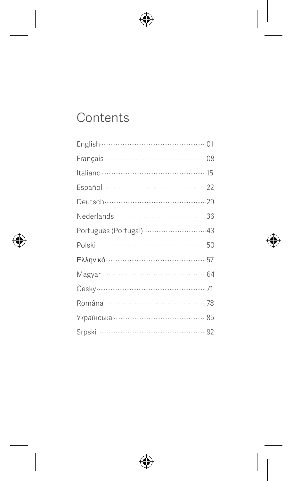# Contents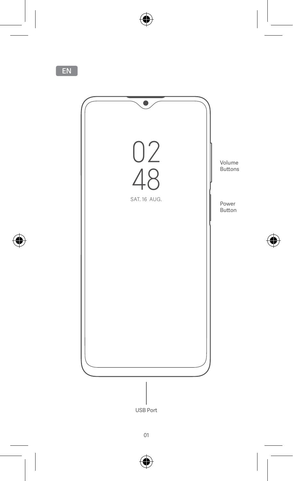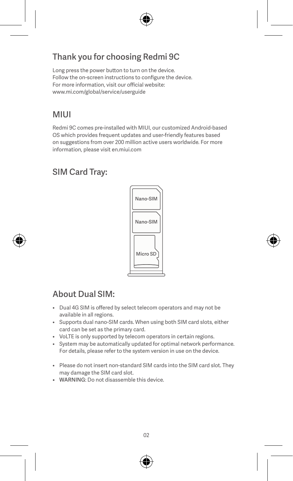# Thank you for choosing Redmi 9C

Long press the power button to turn on the device. Follow the on-screen instructions to configure the device. For more information, visit our official website: www.mi.com/global/service/userguide

# MIUI

Redmi 9C comes pre-installed with MIUI, our customized Android-based OS which provides frequent updates and user-friendly features based on suggestions from over 200 million active users worldwide. For more information, please visit en.miui.com

# SIM Card Tray:



# About Dual SIM:

- Dual 4G SIM is offered by select telecom operators and may not be available in all regions.
- Supports dual nano-SIM cards. When using both SIM card slots, either card can be set as the primary card.
- VoLTE is only supported by telecom operators in certain regions.
- System may be automatically updated for optimal network performance. For details, please refer to the system version in use on the device.
- Please do not insert non-standard SIM cards into the SIM card slot. They may damage the SIM card slot.
- WARNING: Do not disassemble this device.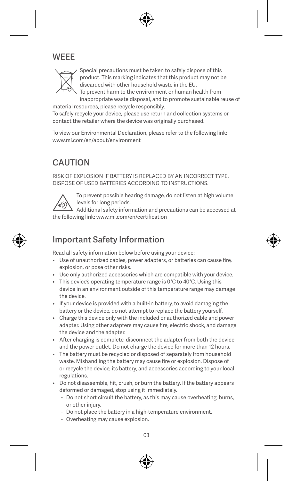# **WEEE**



Special precautions must be taken to safely dispose of this product. This marking indicates that this product may not be discarded with other household waste in the EU.

To prevent harm to the environment or human health from inappropriate waste disposal, and to promote sustainable reuse of

material resources, please recycle responsibly. To safely recycle your device, please use return and collection systems or contact the retailer where the device was originally purchased.

To view our Environmental Declaration, please refer to the following link: www.mi.com/en/about/environment

# **CAUTION**

RISK OF EXPLOSION IF BATTERY IS REPLACED BY AN INCORRECT TYPE. DISPOSE OF USED BATTERIES ACCORDING TO INSTRUCTIONS.



To prevent possible hearing damage, do not listen at high volume levels for long periods.

Additional safety information and precautions can be accessed at the following link: www.mi.com/en/certification

# Important Safety Information

Read all safety information below before using your device:

- Use of unauthorized cables, power adapters, or batteries can cause fire, explosion, or pose other risks.
- Use only authorized accessories which are compatible with your device.
- This device's operating temperature range is 0°C to 40°C. Using this device in an environment outside of this temperature range may damage the device.
- If your device is provided with a built-in battery, to avoid damaging the battery or the device, do not attempt to replace the battery yourself.
- Charge this device only with the included or authorized cable and power adapter. Using other adapters may cause fire, electric shock, and damage the device and the adapter.
- After charging is complete, disconnect the adapter from both the device and the power outlet. Do not charge the device for more than 12 hours.
- The battery must be recycled or disposed of separately from household waste. Mishandling the battery may cause fire or explosion. Dispose of or recycle the device, its battery, and accessories according to your local regulations.
- Do not disassemble, hit, crush, or burn the battery. If the battery appears deformed or damaged, stop using it immediately.
	- Do not short circuit the battery, as this may cause overheating, burns, or other injury.
	- Do not place the battery in a high-temperature environment.
	- Overheating may cause explosion.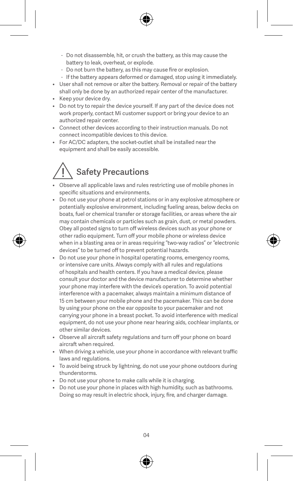- Do not disassemble, hit, or crush the battery, as this may cause the battery to leak, overheat, or explode.
- Do not burn the battery, as this may cause fire or explosion.
- If the battery appears deformed or damaged, stop using it immediately.
- User shall not remove or alter the battery. Removal or repair of the battery shall only be done by an authorized repair center of the manufacturer.
- Keep your device dry.
- Do not try to repair the device yourself. If any part of the device does not work properly, contact Mi customer support or bring your device to an authorized repair center.
- Connect other devices according to their instruction manuals. Do not connect incompatible devices to this device.
- For AC/DC adapters, the socket-outlet shall be installed near the equipment and shall be easily accessible.

# Safety Precautions

- Observe all applicable laws and rules restricting use of mobile phones in specific situations and environments.
- Do not use your phone at petrol stations or in any explosive atmosphere or potentially explosive environment, including fueling areas, below decks on boats, fuel or chemical transfer or storage facilities, or areas where the air may contain chemicals or particles such as grain, dust, or metal powders. Obey all posted signs to turn off wireless devices such as your phone or other radio equipment. Turn off your mobile phone or wireless device when in a blasting area or in areas requiring "two-way radios" or "electronic devices" to be turned off to prevent potential hazards.
- Do not use your phone in hospital operating rooms, emergency rooms, or intensive care units. Always comply with all rules and regulations of hospitals and health centers. If you have a medical device, please consult your doctor and the device manufacturer to determine whether your phone may interfere with the device's operation. To avoid potential interference with a pacemaker, always maintain a minimum distance of 15 cm between your mobile phone and the pacemaker. This can be done by using your phone on the ear opposite to your pacemaker and not carrying your phone in a breast pocket. To avoid interference with medical equipment, do not use your phone near hearing aids, cochlear implants, or other similar devices.
- Observe all aircraft safety regulations and turn off your phone on board aircraft when required.
- When driving a vehicle, use your phone in accordance with relevant traffic laws and regulations.
- To avoid being struck by lightning, do not use your phone outdoors during thunderstorms.
- Do not use your phone to make calls while it is charging.
- Do not use your phone in places with high humidity, such as bathrooms. Doing so may result in electric shock, injury, fire, and charger damage.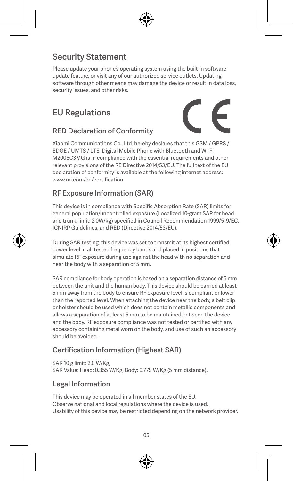# Security Statement

Please update your phone's operating system using the built-in software update feature, or visit any of our authorized service outlets. Updating software through other means may damage the device or result in data loss, security issues, and other risks.

# EU Regulations

### RED Declaration of Conformity

Xiaomi Communications Co., Ltd. hereby declares that this GSM / GPRS / EDGE / UMTS / LTE Digital Mobile Phone with Bluetooth and Wi-Fi M2006C3MG is in compliance with the essential requirements and other relevant provisions of the RE Directive 2014/53/EU. The full text of the EU declaration of conformity is available at the following internet address: www.mi.com/en/certification

#### RF Exposure Information (SAR)

This device is in compliance with Specific Absorption Rate (SAR) limits for general population/uncontrolled exposure (Localized 10-gram SAR for head and trunk, limit: 2.0W/kg) specified in Council Recommendation 1999/519/EC, ICNIRP Guidelines, and RED (Directive 2014/53/EU).

During SAR testing, this device was set to transmit at its highest certified power level in all tested frequency bands and placed in positions that simulate RF exposure during use against the head with no separation and near the body with a separation of 5 mm.

SAR compliance for body operation is based on a separation distance of 5 mm between the unit and the human body. This device should be carried at least 5 mm away from the body to ensure RF exposure level is compliant or lower than the reported level. When attaching the device near the body, a belt clip or holster should be used which does not contain metallic components and allows a separation of at least 5 mm to be maintained between the device and the body. RF exposure compliance was not tested or certified with any accessory containing metal worn on the body, and use of such an accessory should be avoided.

#### Certification Information (Highest SAR)

SAR 10 g limit: 2.0 W/Kg, SAR Value: Head: 0.355 W/Kg, Body: 0.779 W/Kg (5 mm distance).

#### Legal Information

This device may be operated in all member states of the EU. Observe national and local regulations where the device is used. Usability of this device may be restricted depending on the network provider.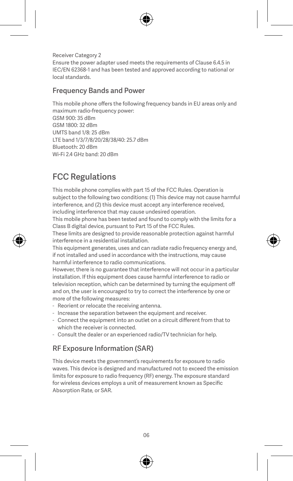Receiver Category 2 Ensure the power adapter used meets the requirements of Clause 6.4.5 in IEC/EN 62368-1 and has been tested and approved according to national or local standards.

#### Frequency Bands and Power

This mobile phone offers the following frequency bands in EU areas only and maximum radio-frequency power: GSM 900: 35 dBm GSM 1800: 32 dBm UMTS band 1/8: 25 dBm LTE band 1/3/7/8/20/28/38/40: 25.7 dBm Bluetooth: 20 dBm Wi-Fi 2.4 GHz band: 20 dBm

# FCC Regulations

This mobile phone complies with part 15 of the FCC Rules. Operation is subject to the following two conditions: (1) This device may not cause harmful interference, and (2) this device must accept any interference received, including interference that may cause undesired operation.

This mobile phone has been tested and found to comply with the limits for a Class B digital device, pursuant to Part 15 of the FCC Rules.

These limits are designed to provide reasonable protection against harmful interference in a residential installation.

This equipment generates, uses and can radiate radio frequency energy and if not installed and used in accordance with the instructions, may cause harmful interference to radio communications.

However, there is no guarantee that interference will not occur in a particular installation. If this equipment does cause harmful interference to radio or television reception, which can be determined by turning the equipment off and on, the user is encouraged to try to correct the interference by one or more of the following measures:

- Reorient or relocate the receiving antenna.
- Increase the separation between the equipment and receiver.
- Connect the equipment into an outlet on a circuit different from that to which the receiver is connected.
- Consult the dealer or an experienced radio/TV technician for help.

#### RF Exposure Information (SAR)

This device meets the government's requirements for exposure to radio waves. This device is designed and manufactured not to exceed the emission limits for exposure to radio frequency (RF) energy. The exposure standard for wireless devices employs a unit of measurement known as Specific Absorption Rate, or SAR.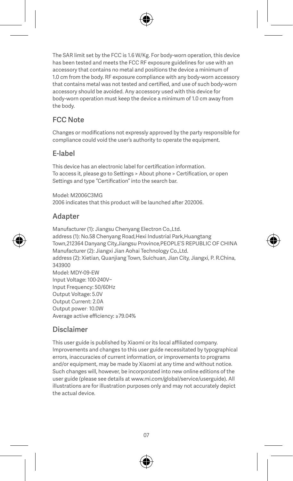The SAR limit set by the FCC is 1.6 W/Kg. For body-worn operation, this device has been tested and meets the FCC RF exposure guidelines for use with an accessory that contains no metal and positions the device a minimum of 1.0 cm from the body. RF exposure compliance with any body-worn accessory that contains metal was not tested and certified, and use of such body-worn accessory should be avoided. Any accessory used with this device for body-worn operation must keep the device a minimum of 1.0 cm away from the body.

### FCC Note

Changes or modifications not expressly approved by the party responsible for compliance could void the user's authority to operate the equipment.

#### E-label

This device has an electronic label for certification information. To access it, please go to Settings > About phone > Certification, or open Settings and type "Certification" into the search bar.

Model: M2006C3MG 2006 indicates that this product will be launched after 202006.

#### Adapter

Manufacturer (1): Jiangsu Chenyang Electron Co.,Ltd. address (1): No.58 Chenyang Road,Hexi Industrial Park,Huangtang Town,212364 Danyang City,Jiangsu Province,PEOPLE'S REPUBLIC OF CHINA Manufacturer (2): Jiangxi Jian Aohai Technology Co.,Ltd. address (2): Xietian, Quanjiang Town, Suichuan, Jian City, Jiangxi, P. R.China, 343900 Model: MDY-09-EW Input Voltage: 100-240V~ Input Frequency: 50/60Hz Output Voltage: 5.0V Output Current: 2.0A Output power: 10.0W Average active efficiency: ≥79.04%

#### Disclaimer

This user guide is published by Xiaomi or its local affiliated company. Improvements and changes to this user guide necessitated by typographical errors, inaccuracies of current information, or improvements to programs and/or equipment, may be made by Xiaomi at any time and without notice. Such changes will, however, be incorporated into new online editions of the user guide (please see details at www.mi.com/global/service/userguide). All illustrations are for illustration purposes only and may not accurately depict the actual device.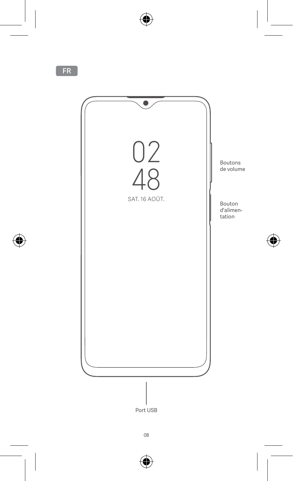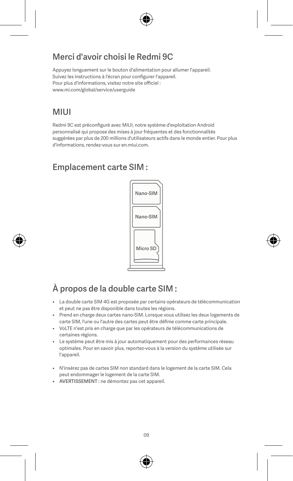# Merci d'avoir choisi le Redmi 9C

Appuyez longuement sur le bouton d'alimentation pour allumer l'appareil. Suivez les instructions à l'écran pour configurer l'appareil. Pour plus d'informations, visitez notre site officiel : www.mi.com/global/service/userguide

# **MILII**

Redmi 9C est préconfiguré avec MIUI, notre système d'exploitation Android personnalisé qui propose des mises à jour fréquentes et des fonctionnalités suggérées par plus de 200 millions d'utilisateurs actifs dans le monde entier. Pour plus d'informations, rendez-vous sur en.miui.com.

# Emplacement carte SIM :



# À propos de la double carte SIM :

- La double carte SIM 4G est proposée par certains opérateurs de télécommunication et peut ne pas être disponible dans toutes les régions.
- Prend en charge deux cartes nano-SIM. Lorsque vous utilisez les deux logements de carte SIM, l'une ou l'autre des cartes peut être définie comme carte principale.
- VoLTE n'est pris en charge que par les opérateurs de télécommunications de certaines régions.
- Le système peut être mis à jour automatiquement pour des performances réseau optimales. Pour en savoir plus, reportez-vous à la version du système utilisée sur l'appareil.
- N'insérez pas de cartes SIM non standard dans le logement de la carte SIM. Cela peut endommager le logement de la carte SIM.
- AVERTISSEMENT : ne démontez pas cet appareil.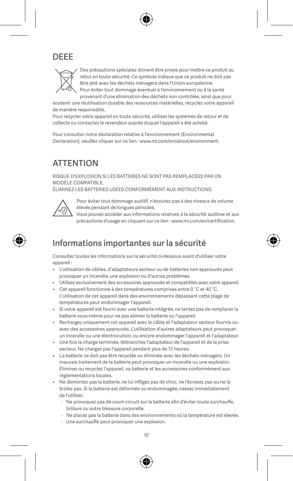# DEEE



Des précautions spéciales doivent être prises pour mettre ce produit au rebut en toute sécurité. Ce symbole indique que ce produit ne doit pas être jeté avec les déchets ménagers dans l'Union européenne. Pour éviter tout dommage éventuel à l'environnement ou à la santé provenant d'une élimination des déchets non contrôlée, ainsi que pour

soutenir une réutilisation durable des ressources matérielles, recyclez votre appareil de manière responsable.

Pour recycler votre appareil en toute sécurité, utilisez les systèmes de retour et de collecte ou contactez le revendeur auprès duquel l'appareil a été acheté.

Pour consulter notre déclaration relative à l'environnement (Environmental Declaration), veuillez cliquer sur ce lien : www.mi.com/en/about/environment.

# **ATTENTION**

RISQUE D'EXPLOSION SI LES BATTERIES NE SONT PAS REMPLACÉES PAR UN MODÈLE COMPATIBLE.

ÉLIMINEZ LES BATTERIES USÉES CONFORMÉMENT AUX INSTRUCTIONS.



Pour éviter tout dommage auditif, n'écoutez pas à des niveaux de volume élevés pendant de longues périodes.

Vous pouvez accéder aux informations relatives à la sécurité auditive et aux précautions d'usage en cliquant sur ce lien : www.mi.com/en/certification.

# Informations importantes sur la sécurité

Consultez toutes les informations sur la sécurité ci-dessous avant d'utiliser votre appareil :

- L'utilisation de câbles, d'adaptateurs secteur ou de batteries non approuvés peut provoquer un incendie, une explosion ou d'autres problèmes.
- Utilisez exclusivement des accessoires approuvés et compatibles avec votre appareil.
- Cet appareil fonctionne à des températures comprises entre 0 °C et 40 °C. L'utilisation de cet appareil dans des environnements dépassant cette plage de températures peut endommager l'appareil.
- Si votre appareil est fourni avec une batterie intégrée, ne tentez pas de remplacer la batterie vous-même pour ne pas abîmer la batterie ou l'appareil.
- Rechargez uniquement cet appareil avec le câble et l'adaptateur secteur fournis ou avec des accessoires approuvés. L'utilisation d'autres adaptateurs peut provoquer un incendie ou une électrocution, ou encore endommager l'appareil et l'adaptateur.
- Une fois la charge terminée, débranchez l'adaptateur de l'appareil et de la prise secteur. Ne chargez pas l'appareil pendant plus de 12 heures.
- La batterie ne doit pas être recyclée ou éliminée avec les déchets ménagers. Un mauvais traitement de la batterie peut provoquer un incendie ou une explosion. Éliminez ou recyclez l'appareil, sa batterie et les accessoires conformément aux réglementations locales.
- Ne démontez pas la batterie, ne lui infligez pas de choc, ne l'écrasez pas ou ne la brûlez pas. Si la batterie est déformée ou endommagée, cessez immédiatement de l'utiliser.
	- Ne provoquez pas de court-circuit sur la batterie afin d'éviter toute surchauffe, brûlure ou autre blessure corporelle.
	- Ne placez pas la batterie dans des environnements où la température est élevée.
	- Une surchauffe peut provoquer une explosion.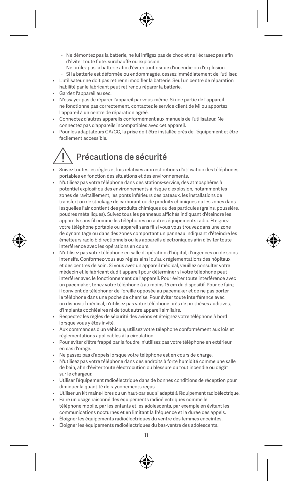- Ne démontez pas la batterie, ne lui infligez pas de choc et ne l'écrasez pas afin d'éviter toute fuite, surchauffe ou explosion.
- Ne brûlez pas la batterie afin d'éviter tout risque d'incendie ou d'explosion.
- Si la batterie est déformée ou endommagée, cessez immédiatement de l'utiliser.
- L'utilisateur ne doit pas retirer ni modifier la batterie. Seul un centre de réparation habilité par le fabricant peut retirer ou réparer la batterie.
- Gardez l'appareil au sec.
- N'essayez pas de réparer l'appareil par vous-même. Si une partie de l'appareil ne fonctionne pas correctement, contactez le service client de Mi ou apportez l'appareil à un centre de réparation agréé.
- Connectez d'autres appareils conformément aux manuels de l'utilisateur. Ne connectez pas d'appareils incompatibles avec cet appareil.
- Pour les adaptateurs CA/CC, la prise doit être installée près de l'équipement et être facilement accessible.

# Précautions de sécurité

- Suivez toutes les règles et lois relatives aux restrictions d'utilisation des téléphones portables en fonction des situations et des environnements.
- N'utilisez pas votre téléphone dans des stations-service, des atmosphères à potentiel explosif ou des environnements à risque d'explosion, notamment les zones de ravitaillement, les ponts inférieurs des bateaux, les installations de transfert ou de stockage de carburant ou de produits chimiques ou les zones dans lesquelles l'air contient des produits chimiques ou des particules (grains, poussière, poudres métalliques). Suivez tous les panneaux affichés indiquant d'éteindre les .<br>appareils sans fil comme les téléphones ou autres équipements radio. Éteignez votre téléphone portable ou appareil sans fil si vous vous trouvez dans une zone de dynamitage ou dans des zones comportant un panneau indiquant d'éteindre les émetteurs radio bidirectionnels ou les appareils électroniques afin d'éviter toute interférence avec les opérations en cours.
- N'utilisez pas votre téléphone en salle d'opération d'hôpital, d'urgences ou de soins intensifs. Conformez-vous aux règles ainsi qu'aux réglementations des hôpitaux et des centres de soin. Si vous avez un appareil médical, veuillez consulter votre médecin et le fabricant dudit appareil pour déterminer si votre téléphone peut interférer avec le fonctionnement de l'appareil. Pour éviter toute interférence avec un pacemaker, tenez votre téléphone à au moins 15 cm du dispositif. Pour ce faire, il convient de téléphoner de l'oreille opposée au pacemaker et de ne pas porter le téléphone dans une poche de chemise. Pour éviter toute interférence avec un dispositif médical, n'utilisez pas votre téléphone près de prothèses auditives, d'implants cochléaires ni de tout autre appareil similaire.
- Respectez les règles de sécurité des avions et éteignez votre téléphone à bord lorsque vous y êtes invité.
- Aux commandes d'un véhicule, utilisez votre téléphone conformément aux lois et réglementations applicables à la circulation.
- Pour éviter d'être frappé par la foudre, n'utilisez pas votre téléphone en extérieur en cas d'orage.
- Ne passez pas d'appels lorsque votre téléphone est en cours de charge.
- N'utilisez pas votre téléphone dans des endroits à forte humidité comme une salle de bain, afin d'éviter toute électrocution ou blessure ou tout incendie ou dégât sur le chargeur.
- Utiliser l'équipement radioélectrique dans de bonnes conditions de réception pour diminuer la quantité de rayonnements reçus.
- Utiliser un kit mains-libres ou un haut-parleur, si adapté à l'équipement radioélectrique.
- Faire un usage raisonné des équipements radioélectriques comme le téléphone mobile, par les enfants et les adolescents, par exemple en évitant les communications nocturnes et en limitant la fréquence et la durée des appels.
- Éloigner les équipements radioélectriques du ventre des femmes enceintes.
- Éloigner les équipements radioélectriques du bas-ventre des adolescents.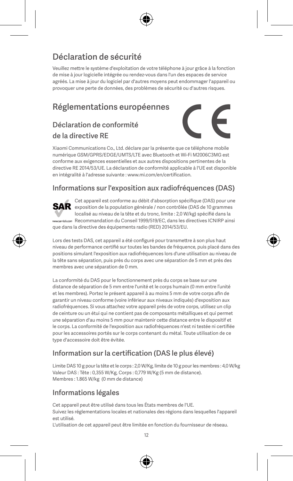# Déclaration de sécurité

Veuillez mettre le système d'exploitation de votre téléphone à jour grâce à la fonction de mise à jour logicielle intégrée ou rendez-vous dans l'un des espaces de service agréés. La mise à jour du logiciel par d'autres moyens peut endommager l'appareil ou provoquer une perte de données, des problèmes de sécurité ou d'autres risques.

# Réglementations européennes

### Déclaration de conformité de la directive RE



Xiaomi Communications Co., Ltd. déclare par la présente que ce téléphone mobile numérique GSM/GPRS/EDGE/UMTS/LTE avec Bluetooth et Wi-Fi M2006C3MG est conforme aux exigences essentielles et aux autres dispositions pertinentes de la directive RE 2014/53/UE. La déclaration de conformité applicable à l'UE est disponible en intégralité à l'adresse suivante : www.mi.com/en/certification.

#### Informations sur l'exposition aux radiofréquences (DAS)

Cet appareil est conforme au débit d'absorption spécifique (DAS) pour une SAR exposition de la population générale / non contrôlée (DAS de 10 grammes localisé au niveau de la tête et du tronc, limite : 2,0 W/kg) spécifié dans la Recommandation du Conseil 1999/519/EC, dans les directives ICNIRP ainsi que dans la directive des équipements radio (RED) 2014/53/EU.

Lors des tests DAS, cet appareil a été configuré pour transmettre à son plus haut niveau de performance certifié sur toutes les bandes de fréquence, puis placé dans des positions simulant l'exposition aux radiofréquences lors d'une utilisation au niveau de la tête sans séparation, puis près du corps avec une séparation de 5 mm et près des membres avec une séparation de 0 mm.

La conformité du DAS pour le fonctionnement près du corps se base sur une distance de séparation de 5 mm entre l'unité et le corps humain (0 mm entre l'unité et les membres). Portez le présent appareil à au moins 5 mm de votre corps afin de garantir un niveau conforme (voire inférieur aux niveaux indiqués) d'exposition aux radiofréquences. Si vous attachez votre appareil près de votre corps, utilisez un clip de ceinture ou un étui qui ne contient pas de composants métalliques et qui permet une séparation d'au moins 5 mm pour maintenir cette distance entre le dispositif et le corps. La conformité de l'exposition aux radiofréquences n'est ni testée ni certifiée pour les accessoires portés sur le corps contenant du métal. Toute utilisation de ce type d'accessoire doit être évitée.

#### Information sur la certification (DAS le plus élevé)

Limite DAS 10 g pour la tête et le corps : 2,0 W/Kg, limite de 10 g pour les membres : 4,0 W/kg Valeur DAS : Tête : 0,355 W/Kg, Corps : 0,779 W/Kg (5 mm de distance). Membres : 1.865 W/kg (0 mm de distance)

#### Informations légales

Cet appareil peut être utilisé dans tous les États membres de l'UE.

Suivez les réglementations locales et nationales des régions dans lesquelles l'appareil est utilisé.

L'utilisation de cet appareil peut être limitée en fonction du fournisseur de réseau.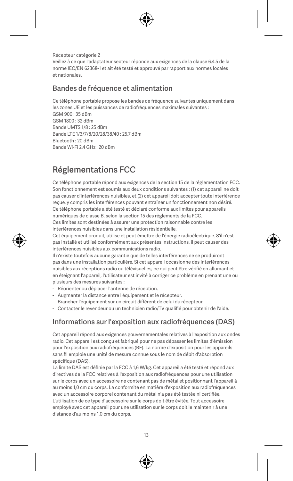Récepteur catégorie 2 Veillez à ce que l'adaptateur secteur réponde aux exigences de la clause 6.4.5 de la norme IEC/EN 62368-1 et ait été testé et approuvé par rapport aux normes locales et nationales.

#### Bandes de fréquence et alimentation

Ce téléphone portable propose les bandes de fréquence suivantes uniquement dans les zones UE et les puissances de radiofréquences maximales suivantes : GSM 900 : 35 dBm GSM 1800 : 32 dBm Bande UMTS 1/8 : 25 dBm Bande LTE 1/3/7/8/20/28/38/40 : 25,7 dBm Bluetooth : 20 dBm Bande Wi-Fi 2,4 GHz : 20 dBm

# Réglementations FCC

Ce téléphone portable répond aux exigences de la section 15 de la réglementation FCC. Son fonctionnement est soumis aux deux conditions suivantes : (1) cet appareil ne doit pas causer d'interférences nuisibles, et (2) cet appareil doit accepter toute interférence reçue, y compris les interférences pouvant entraîner un fonctionnement non désiré. Ce téléphone portable a été testé et déclaré conforme aux limites pour appareils numériques de classe B, selon la section 15 des règlements de la FCC. Ces limites sont destinées à assurer une protection raisonnable contre les

interférences nuisibles dans une installation résidentielle.

Cet équipement produit, utilise et peut émettre de l'énergie radioélectrique. S'il n'est pas installé et utilisé conformément aux présentes instructions, il peut causer des interférences nuisibles aux communications radio.

Il n'existe toutefois aucune garantie que de telles interférences ne se produiront pas dans une installation particulière. Si cet appareil occasionne des interférences nuisibles aux réceptions radio ou télévisuelles, ce qui peut être vérifié en allumant et en éteignant l'appareil, l'utilisateur est invité à corriger ce problème en prenant une ou plusieurs des mesures suivantes :

- Réorienter ou déplacer l'antenne de réception.
- Augmenter la distance entre l'équipement et le récepteur.
- Brancher l'équipement sur un circuit différent de celui du récepteur.
- Contacter le revendeur ou un technicien radio/TV qualifié pour obtenir de l'aide.

#### Informations sur l'exposition aux radiofréquences (DAS)

Cet appareil répond aux exigences gouvernementales relatives à l'exposition aux ondes radio. Cet appareil est conçu et fabriqué pour ne pas dépasser les limites d'émission pour l'exposition aux radiofréquences (RF). La norme d'exposition pour les appareils sans fil emploie une unité de mesure connue sous le nom de débit d'absorption spécifique (DAS).

La limite DAS est définie par la FCC à 1,6 W/kg. Cet appareil a été testé et répond aux directives de la FCC relatives à l'exposition aux radiofréquences pour une utilisation sur le corps avec un accessoire ne contenant pas de métal et positionnant l'appareil à au moins 1,0 cm du corps. La conformité en matière d'exposition aux radiofréquences avec un accessoire corporel contenant du métal n'a pas été testée ni certifiée. L'utilisation de ce type d'accessoire sur le corps doit être évitée. Tout accessoire employé avec cet appareil pour une utilisation sur le corps doit le maintenir à une distance d'au moins 1,0 cm du corps.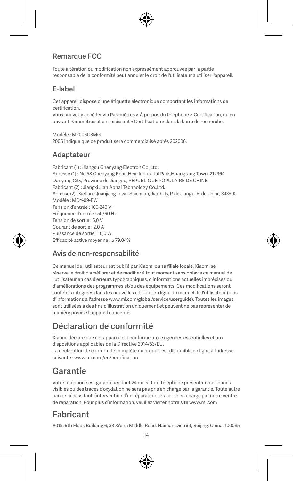#### Remarque FCC

Toute altération ou modification non expressément approuvée par la partie responsable de la conformité peut annuler le droit de l'utilisateur à utiliser l'appareil.

#### E-label

Cet appareil dispose d'une étiquette électronique comportant les informations de certification.

Vous pouvez y accéder via Paramètres > À propos du téléphone > Certification, ou en ouvrant Paramètres et en saisissant « Certification » dans la barre de recherche.

Modèle : M2006C3MG 2006 indique que ce produit sera commercialisé après 202006.

#### Adaptateur

Fabricant (1) : Jiangsu Chenyang Electron Co.,Ltd. Adresse (1) : No.58 Chenyang Road Hexi Industrial Park Huangtang Town, 212364 Danyang City, Province de Jiangsu, RÉPUBLIQUE POPULAIRE DE CHINE Fabricant (2) : Jiangxi Jian Aohai Technology Co.,Ltd. Adresse (2) : Xietian, Quanjiang Town, Suichuan, Jian City, P. de Jiangxi, R. de Chine, 343900 Modèle : MDY-09-EW Tension d'entrée : 100-240 V~ Fréquence d'entrée : 50/60 Hz Tension de sortie : 5,0 V Courant de sortie : 2,0 A Puissance de sortie : 10,0 W Efficacité active moyenne : ≥ 79,04%

#### Avis de non-responsabilité

Ce manuel de l'utilisateur est publié par Xiaomi ou sa filiale locale. Xiaomi se réserve le droit d'améliorer et de modifier à tout moment sans préavis ce manuel de l'utilisateur en cas d'erreurs typographiques, d'informations actuelles imprécises ou d'améliorations des programmes et/ou des équipements. Ces modifications seront toutefois intégrées dans les nouvelles éditions en ligne du manuel de l'utilisateur (plus d'informations à l'adresse www.mi.com/global/service/userguide). Toutes les images sont utilisées à des fins d'illustration uniquement et peuvent ne pas représenter de manière précise l'appareil concerné.

# Déclaration de conformité

Xiaomi déclare que cet appareil est conforme aux exigences essentielles et aux dispositions applicables de la Directive 2014/53/EU. La déclaration de conformité complète du produit est disponible en ligne à l'adresse suivante : www.mi.com/en/certification

# Garantie

Votre téléphone est garanti pendant 24 mois. Tout téléphone présentant des chocs visibles ou des traces d'oxydation ne sera pas pris en charge par la garantie. Toute autre panne nécessitant l'intervention d'un réparateur sera prise en charge par notre centre de réparation. Pour plus d'information, veuillez visiter notre site www.mi.com

### Fabricant

#019, 9th Floor, Building 6, 33 Xi'erqi Middle Road, Haidian District, Beijing, China, 100085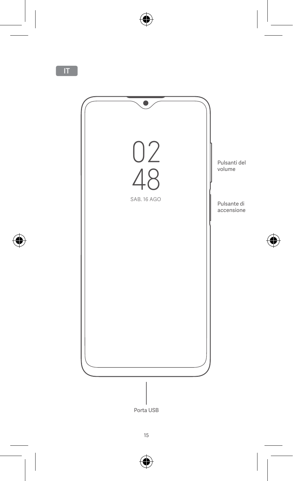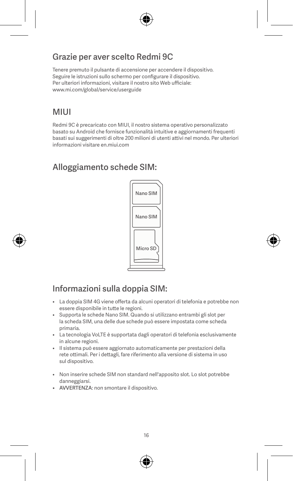# Grazie per aver scelto Redmi 9C

Tenere premuto il pulsante di accensione per accendere il dispositivo. Seguire le istruzioni sullo schermo per configurare il dispositivo. Per ulteriori informazioni, visitare il nostro sito Web ufficiale: www.mi.com/global/service/userguide

# **MILII**

Redmi 9C è precaricato con MIUI, il nostro sistema operativo personalizzato basato su Android che fornisce funzionalità intuitive e aggiornamenti frequenti basati sui suggerimenti di oltre 200 milioni di utenti attivi nel mondo. Per ulteriori informazioni visitare en.miui.com

# Alloggiamento schede SIM:



# Informazioni sulla doppia SIM:

- La doppia SIM 4G viene offerta da alcuni operatori di telefonia e potrebbe non essere disponibile in tutte le regioni.
- Supporta le schede Nano SIM. Quando si utilizzano entrambi gli slot per la scheda SIM, una delle due schede può essere impostata come scheda primaria.
- La tecnologia VoLTE è supportata dagli operatori di telefonia esclusivamente in alcune regioni.
- Il sistema può essere aggiornato automaticamente per prestazioni della rete ottimali. Per i dettagli, fare riferimento alla versione di sistema in uso sul dispositivo.
- Non inserire schede SIM non standard nell'apposito slot. Lo slot potrebbe danneggiarsi.
- AVVERTENZA: non smontare il dispositivo.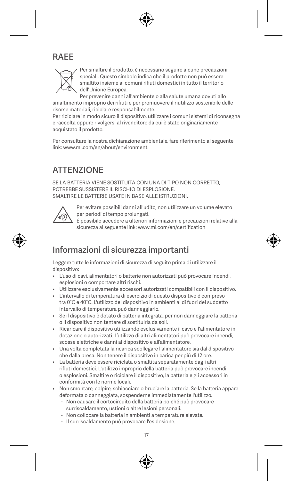# RAEE



Per smaltire il prodotto, è necessario seguire alcune precauzioni speciali. Questo simbolo indica che il prodotto non può essere smaltito insieme ai comuni rifiuti domestici in tutto il territorio dell'Unione Europea.

Per prevenire danni all'ambiente o alla salute umana dovuti allo smaltimento improprio dei rifiuti e per promuovere il riutilizzo sostenibile delle risorse materiali, riciclare responsabilmente.

Per riciclare in modo sicuro il dispositivo, utilizzare i comuni sistemi di riconsegna e raccolta oppure rivolgersi al rivenditore da cui è stato originariamente acquistato il prodotto.

Per consultare la nostra dichiarazione ambientale, fare riferimento al seguente link: www.mi.com/en/about/environment

# **ATTENZIONE**

SE LA BATTERIA VIENE SOSTITUITA CON UNA DI TIPO NON CORRETTO. POTREBBE SUSSISTERE IL RISCHIO DI ESPLOSIONE. SMALTIRE LE BATTERIE USATE IN BASE ALLE ISTRUZIONI.



Per evitare possibili danni all'udito, non utilizzare un volume elevato per periodi di tempo prolungati.

È possibile accedere a ulteriori informazioni e precauzioni relative alla sicurezza al seguente link: www.mi.com/en/certification

# Informazioni di sicurezza importanti

Leggere tutte le informazioni di sicurezza di seguito prima di utilizzare il dispositivo:

- L'uso di cavi, alimentatori o batterie non autorizzati può provocare incendi, esplosioni o comportare altri rischi.
- Utilizzare esclusivamente accessori autorizzati compatibili con il dispositivo.
- L'intervallo di temperatura di esercizio di questo dispositivo è compreso tra 0°C e 40°C. L'utilizzo del dispositivo in ambienti al di fuori del suddetto intervallo di temperatura può danneggiarlo.
- Se il dispositivo è dotato di batteria integrata, per non danneggiare la batteria o il dispositivo non tentare di sostituirla da soli.
- Ricaricare il dispositivo utilizzando esclusivamente il cavo e l'alimentatore in dotazione o autorizzati. L'utilizzo di altri alimentatori può provocare incendi, scosse elettriche e danni al dispositivo e all'alimentatore.
- Una volta completata la ricarica scollegare l'alimentatore sia dal dispositivo che dalla presa. Non tenere il dispositivo in carica per più di 12 ore.
- La batteria deve essere riciclata o smaltita separatamente dagli altri rifiuti domestici. L'utilizzo improprio della batteria può provocare incendi o esplosioni. Smaltire o riciclare il dispositivo, la batteria e gli accessori in conformità con le norme locali.
- Non smontare, colpire, schiacciare o bruciare la batteria. Se la batteria appare deformata o danneggiata, sospenderne immediatamente l'utilizzo.
	- Non causare il cortocircuito della batteria poiché può provocare surriscaldamento, ustioni o altre lesioni personali.
	- Non collocare la batteria in ambienti a temperature elevate.
	- Il surriscaldamento può provocare l'esplosione.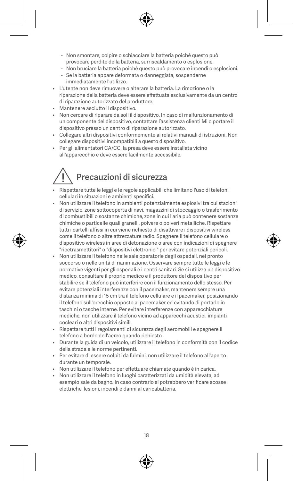- Non smontare, colpire o schiacciare la batteria poiché questo può provocare perdite della batteria, surriscaldamento o esplosione.
- Non bruciare la batteria poiché questo può provocare incendi o esplosioni.
- Se la batteria appare deformata o danneggiata, sospenderne immediatamente l'utilizzo.
- L'utente non deve rimuovere o alterare la batteria. La rimozione o la riparazione della batteria deve essere effettuata esclusivamente da un centro di riparazione autorizzato del produttore.
- Mantenere asciutto il dispositivo.
- Non cercare di riparare da soli il dispositivo. In caso di malfunzionamento di un componente del dispositivo, contattare l'assistenza clienti Mi o portare il dispositivo presso un centro di riparazione autorizzato.
- Collegare altri dispositivi conformemente ai relativi manuali di istruzioni. Non collegare dispositivi incompatibili a questo dispositivo.
- Per gli alimentatori CA/CC, la presa deve essere installata vicino all'apparecchio e deve essere facilmente accessibile.

# Precauzioni di sicurezza

- Rispettare tutte le leggi e le regole applicabili che limitano l'uso di telefoni cellulari in situazioni e ambienti specifici.
- Non utilizzare il telefono in ambienti potenzialmente esplosivi tra cui stazioni di servizio, zone sottocoperta di navi, magazzini di stoccaggio o trasferimento di combustibili o sostanze chimiche, zone in cui l'aria può contenere sostanze chimiche o particelle quali granelli, polvere o polveri metalliche. Rispettare tutti i cartelli affissi in cui viene richiesto di disattivare i dispositivi wireless come il telefono o altre attrezzature radio. Spegnere il telefono cellulare o dispositivo wireless in aree di detonazione o aree con indicazioni di spegnere "ricetrasmettitori" o "dispositivi elettronici" per evitare potenziali pericoli.
- Non utilizzare il telefono nelle sale operatorie degli ospedali, nei pronto soccorso o nelle unità di rianimazione. Osservare sempre tutte le leggi e le normative vigenti per gli ospedali e i centri sanitari. Se si utilizza un dispositivo medico, consultare il proprio medico e il produttore del dispositivo per stabilire se il telefono può interferire con il funzionamento dello stesso. Per evitare potenziali interferenze con il pacemaker, mantenere sempre una distanza minima di 15 cm tra il telefono cellulare e il pacemaker, posizionando il telefono sull'orecchio opposto al pacemaker ed evitando di portarlo in taschini o tasche interne. Per evitare interferenze con apparecchiature mediche, non utilizzare il telefono vicino ad apparecchi acustici, impianti cocleari o altri dispositivi simili.
- Rispettare tutti i regolamenti di sicurezza degli aeromobili e spegnere il telefono a bordo dell'aereo quando richiesto.
- Durante la guida di un veicolo, utilizzare il telefono in conformità con il codice della strada e le norme pertinenti.
- Per evitare di essere colpiti da fulmini, non utilizzare il telefono all'aperto durante un temporale.
- Non utilizzare il telefono per effettuare chiamate quando è in carica.
- Non utilizzare il telefono in luoghi caratterizzati da umidità elevata, ad esempio sale da bagno. In caso contrario si potrebbero verificare scosse elettriche, lesioni, incendi e danni al caricabatteria.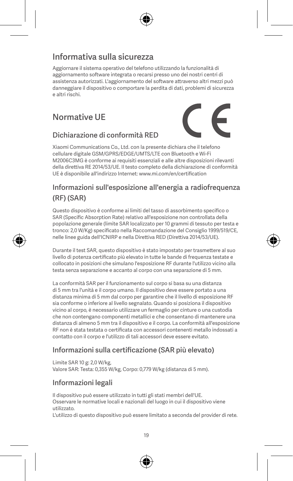# Informativa sulla sicurezza

Aggiornare il sistema operativo del telefono utilizzando la funzionalità di aggiornamento software integrata o recarsi presso uno dei nostri centri di assistenza autorizzati. L'aggiornamento del software attraverso altri mezzi può danneggiare il dispositivo o comportare la perdita di dati, problemi di sicurezza e altri rischi.

# Normative UE



#### Dichiarazione di conformità RED

Xiaomi Communications Co., Ltd. con la presente dichiara che il telefono cellulare digitale GSM/GPRS/EDGE/UMTS/LTE con Bluetooth e Wi-Fi M2006C3MG è conforme ai requisiti essenziali e alle altre disposizioni rilevanti della direttiva RE 2014/53/UE. Il testo completo della dichiarazione di conformità UE è disponibile all'indirizzo Internet: www.mi.com/en/certification

### Informazioni sull'esposizione all'energia a radiofrequenza (RF) (SAR)

Questo dispositivo è conforme ai limiti del tasso di assorbimento specifico o SAR (Specific Absorption Rate) relativo all'esposizione non controllata della popolazione generale (limite SAR localizzato per 10 grammi di tessuto per testa e tronco: 2,0 W/Kg) specificato nella Raccomandazione del Consiglio 1999/519/CE, nelle linee guida dell'ICNIRP e nella Direttiva RED (Direttiva 2014/53/UE).

Durante il test SAR, questo dispositivo è stato impostato per trasmettere al suo livello di potenza certificato più elevato in tutte le bande di frequenza testate e collocato in posizioni che simulano l'esposizione RF durante l'utilizzo vicino alla testa senza separazione e accanto al corpo con una separazione di 5 mm.

La conformità SAR per il funzionamento sul corpo si basa su una distanza di 5 mm tra l'unità e il corpo umano. Il dispositivo deve essere portato a una distanza minima di 5 mm dal corpo per garantire che il livello di esposizione RF sia conforme o inferiore al livello segnalato. Quando si posiziona il dispositivo vicino al corpo, è necessario utilizzare un fermaglio per cinture o una custodia che non contengano componenti metallici e che consentano di mantenere una distanza di almeno 5 mm tra il dispositivo e il corpo. La conformità all'esposizione RF non è stata testata o certificata con accessori contenenti metallo indossati a contatto con il corpo e l'utilizzo di tali accessori deve essere evitato.

#### Informazioni sulla certificazione (SAR più elevato)

Limite SAR 10 g: 2,0 W/kg, Valore SAR: Testa: 0,355 W/kg, Corpo: 0,779 W/kg (distanza di 5 mm).

#### Informazioni legali

Il dispositivo può essere utilizzato in tutti gli stati membri dell'UE.

Osservare le normative locali e nazionali del luogo in cui il dispositivo viene utilizzato.

L'utilizzo di questo dispositivo può essere limitato a seconda del provider di rete.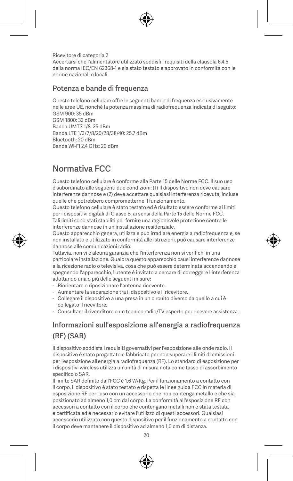Ricevitore di categoria 2 Accertarsi che l'alimentatore utilizzato soddisfi i requisiti della clausola 6.4.5 della norma IEC/EN 62368-1 e sia stato testato e approvato in conformità con le norme nazionali o locali.

#### Potenza e bande di frequenza

Questo telefono cellulare offre le seguenti bande di frequenza esclusivamente nelle aree UE, nonché la potenza massima di radiofrequenza indicata di seguito: GSM 900: 35 dBm

GSM 1800: 32 dBm Banda UMTS 1/8: 25 dBm Banda LTE 1/3/7/8/20/28/38/40: 25,7 dBm Bluetooth: 20 dBm Banda Wi-Fi 2,4 GHz: 20 dBm

# Normativa FCC

Questo telefono cellulare è conforme alla Parte 15 delle Norme FCC. Il suo uso è subordinato alle seguenti due condizioni: (1) Il dispositivo non deve causare interferenze dannose e (2) deve accettare qualsiasi interferenza ricevuta, incluse quelle che potrebbero comprometterne il funzionamento.

Questo telefono cellulare è stato testato ed è risultato essere conforme ai limiti per i dispositivi digitali di Classe B, ai sensi della Parte 15 delle Norme FCC. Tali limiti sono stati stabiliti per fornire una ragionevole protezione contro le interferenze dannose in un'installazione residenziale.

Questo apparecchio genera, utilizza e può irradiare energia a radiofrequenza e, se non installato e utilizzato in conformità alle istruzioni, può causare interferenze dannose alle comunicazioni radio.

Tuttavia, non vi è alcuna garanzia che l'interferenza non si verifichi in una particolare installazione. Qualora questo apparecchio causi interferenze dannose alla ricezione radio o televisiva, cosa che può essere determinata accendendo e spegnendo l'apparecchio, l'utente è invitato a cercare di correggere l'interferenza adottando una o più delle seguenti misure:

- Riorientare o riposizionare l'antenna ricevente.
- Aumentare la separazione tra il dispositivo e il ricevitore.
- Collegare il dispositivo a una presa in un circuito diverso da quello a cui è collegato il ricevitore.
- Consultare il rivenditore o un tecnico radio/TV esperto per ricevere assistenza.

# Informazioni sull'esposizione all'energia a radiofrequenza (RF) (SAR)

Il dispositivo soddisfa i requisiti governativi per l'esposizione alle onde radio. Il dispositivo è stato progettato e fabbricato per non superare i limiti di emissioni per l'esposizione all'energia a radiofrequenza (RF). Lo standard di esposizione per i dispositivi wireless utilizza un'unità di misura nota come tasso di assorbimento specifico o SAR.

Il limite SAR definito dall'FCC è 1,6 W/Kg. Per il funzionamento a contatto con il corpo, il dispositivo è stato testato e rispetta le linee guida FCC in materia di esposizione RF per l'uso con un accessorio che non contenga metallo e che sia posizionato ad almeno 1,0 cm dal corpo. La conformità all'esposizione RF con accessori a contatto con il corpo che contengano metalli non è stata testata e certificata ed è necessario evitare l'utilizzo di questi accessori. Qualsiasi accessorio utilizzato con questo dispositivo per il funzionamento a contatto con il corpo deve mantenere il dispositivo ad almeno 1,0 cm di distanza.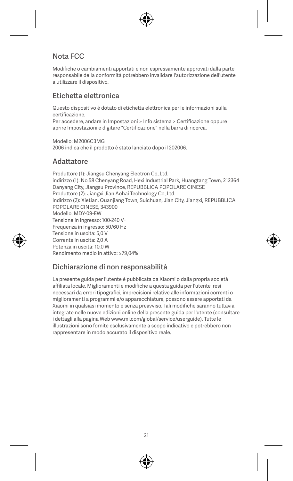#### Nota FCC

Modifiche o cambiamenti apportati e non espressamente approvati dalla parte responsabile della conformità potrebbero invalidare l'autorizzazione dell'utente a utilizzare il dispositivo.

#### Etichetta elettronica

Questo dispositivo è dotato di etichetta elettronica per le informazioni sulla certificazione.

Per accedere, andare in Impostazioni > Info sistema > Certificazione oppure aprire Impostazioni e digitare "Certificazione" nella barra di ricerca.

Modello: M2006C3MG 2006 indica che il prodotto è stato lanciato dopo il 202006.

#### **Adattatore**

Produttore (1): Jiangsu Chenyang Electron Co.,Ltd. indirizzo (1): No.58 Chenyang Road, Hexi Industrial Park, Huangtang Town, 212364 Danyang City, Jiangsu Province, REPUBBLICA POPOLARE CINESE Produttore (2): Jiangxi Jian Aohai Technology Co.,Ltd. indirizzo (2): Xietian, Quanjiang Town, Suichuan, Jian City, Jiangxi, REPUBBLICA POPOLARE CINESE, 343900 Modello: MDY-09-EW Tensione in ingresso: 100-240 V~ Frequenza in ingresso: 50/60 Hz Tensione in uscita: 5,0 V Corrente in uscita: 2,0 A Potenza in uscita: 10,0 W Rendimento medio in attivo: ≥79,04%

#### Dichiarazione di non responsabilità

La presente guida per l'utente è pubblicata da Xiaomi o dalla propria società affiliata locale. Miglioramenti e modifiche a questa guida per l'utente, resi necessari da errori tipografici, imprecisioni relative alle informazioni correnti o miglioramenti a programmi e/o apparecchiature, possono essere apportati da Xiaomi in qualsiasi momento e senza preavviso. Tali modifiche saranno tuttavia integrate nelle nuove edizioni online della presente guida per l'utente (consultare i dettagli alla pagina Web www.mi.com/global/service/userguide). Tutte le illustrazioni sono fornite esclusivamente a scopo indicativo e potrebbero non rappresentare in modo accurato il dispositivo reale.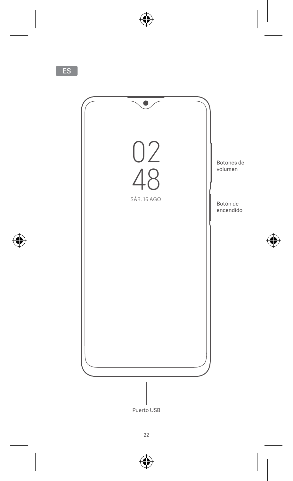

Puerto USB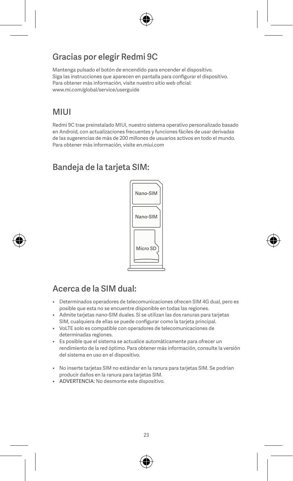# Gracias por elegir Redmi 9C

Mantenga pulsado el botón de encendido para encender el dispositivo. Siga las instrucciones que aparecen en pantalla para configurar el dispositivo. Para obtener más información, visite nuestro sitio web oficial: www.mi.com/global/service/userguide

# **MILII**

Redmi 9C trae preinstalado MIUI, nuestro sistema operativo personalizado basado en Android, con actualizaciones frecuentes y funciones fáciles de usar derivadas de las sugerencias de más de 200 millones de usuarios activos en todo el mundo. Para obtener más información, visite en.miui.com

# Bandeja de la tarjeta SIM:



# Acerca de la SIM dual:

- Determinados operadores de telecomunicaciones ofrecen SIM 4G dual, pero es posible que esta no se encuentre disponible en todas las regiones.
- Admite tarjetas nano-SIM duales. Si se utilizan las dos ranuras para tarjetas SIM, cualquiera de ellas se puede configurar como la tarjeta principal.
- VoLTE solo es compatible con operadores de telecomunicaciones de determinadas regiones.
- Es posible que el sistema se actualice automáticamente para ofrecer un rendimiento de la red óptimo. Para obtener más información, consulte la versión del sistema en uso en el dispositivo.
- No inserte tarjetas SIM no estándar en la ranura para tarjetas SIM. Se podrían producir daños en la ranura para tarjetas SIM.
- ADVERTENCIA: No desmonte este dispositivo.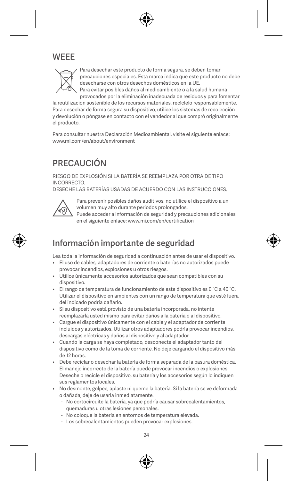# **WEEE**



Para desechar este producto de forma segura, se deben tomar precauciones especiales. Esta marca indica que este producto no debe desecharse con otros desechos domésticos en la UE. Para evitar posibles daños al medioambiente o a la salud humana provocados por la eliminación inadecuada de residuos y para fomentar

la reutilización sostenible de los recursos materiales, recíclelo responsablemente. Para desechar de forma segura su dispositivo, utilice los sistemas de recolección y devolución o póngase en contacto con el vendedor al que compró originalmente el producto.

Para consultar nuestra Declaración Medioambiental, visite el siguiente enlace: www.mi.com/en/about/environment

# **PRECAUCIÓN**

RIESGO DE EXPLOSIÓN SI LA BATERÍA SE REEMPLAZA POR OTRA DE TIPO INCORRECTO.

DESECHE LAS BATERÍAS USADAS DE ACUERDO CON LAS INSTRUCCIONES.



Para prevenir posibles daños auditivos, no utilice el dispositivo a un volumen muy alto durante periodos prolongados.

Puede acceder a información de seguridad y precauciones adicionales en el siguiente enlace: www.mi.com/en/certification

# Información importante de seguridad

Lea toda la información de seguridad a continuación antes de usar el dispositivo.

- El uso de cables, adaptadores de corriente o baterías no autorizados puede provocar incendios, explosiones u otros riesgos.
- Utilice únicamente accesorios autorizados que sean compatibles con su dispositivo.
- El rango de temperatura de funcionamiento de este dispositivo es 0 °C a 40 °C. Utilizar el dispositivo en ambientes con un rango de temperatura que esté fuera del indicado podría dañarlo.
- Si su dispositivo está provisto de una batería incorporada, no intente reemplazarla usted mismo para evitar daños a la batería o al dispositivo.
- Cargue el dispositivo únicamente con el cable y el adaptador de corriente incluidos y autorizados. Utilizar otros adaptadores podría provocar incendios, descargas eléctricas y daños al dispositivo y al adaptador.
- Cuando la carga se haya completado, desconecte el adaptador tanto del dispositivo como de la toma de corriente. No deje cargando el dispositivo más de 12 horas.
- Debe reciclar o desechar la batería de forma separada de la basura doméstica. El manejo incorrecto de la batería puede provocar incendios o explosiones. Deseche o recicle el dispositivo, su batería y los accesorios según lo indiquen sus reglamentos locales.
- No desmonte, golpee, aplaste ni queme la batería. Si la batería se ve deformada o dañada, deje de usarla inmediatamente.
	- No cortocircuite la batería, ya que podría causar sobrecalentamientos, quemaduras u otras lesiones personales.
	- No coloque la batería en entornos de temperatura elevada.
	- Los sobrecalentamientos pueden provocar explosiones.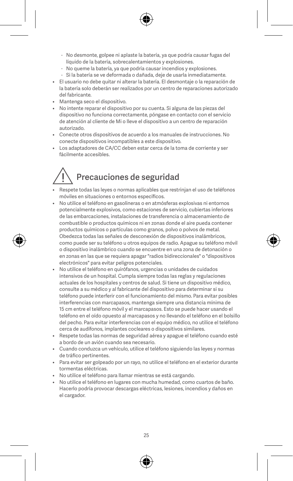- No desmonte, golpee ni aplaste la batería, ya que podría causar fugas del líquido de la batería, sobrecalentamientos y explosiones.
- No queme la batería, ya que podría causar incendios y explosiones.
- Si la batería se ve deformada o dañada, deje de usarla inmediatamente.
- El usuario no debe quitar ni alterar la batería. El desmontaje o la reparación de la batería solo deberán ser realizados por un centro de reparaciones autorizado del fabricante.
- Mantenga seco el dispositivo.
- No intente reparar el dispositivo por su cuenta. Si alguna de las piezas del dispositivo no funciona correctamente, póngase en contacto con el servicio de atención al cliente de Mi o lleve el dispositivo a un centro de reparación autorizado.
- Conecte otros dispositivos de acuerdo a los manuales de instrucciones. No conecte dispositivos incompatibles a este dispositivo.
- Los adaptadores de CA/CC deben estar cerca de la toma de corriente y ser fácilmente accesibles.

# Precauciones de seguridad

- Respete todas las leyes o normas aplicables que restrinjan el uso de teléfonos móviles en situaciones o entornos específicos.
- No utilice el teléfono en gasolineras o en atmósferas explosivas ni entornos potencialmente explosivos, como estaciones de servicio, cubiertas inferiores de las embarcaciones, instalaciones de transferencia o almacenamiento de combustible o productos químicos ni en zonas donde el aire pueda contener productos químicos o partículas como granos, polvo o polvos de metal. .<br>Obedezca todas las señales de desconexión de dispositivos inalámbricos, como puede ser su teléfono u otros equipos de radio. Apague su teléfono móvil o dispositivo inalámbrico cuando se encuentre en una zona de detonación o en zonas en las que se requiera apagar "radios bidireccionales" o "dispositivos electrónicos" para evitar peligros potenciales.
- No utilice el teléfono en quirófanos, urgencias o unidades de cuidados intensivos de un hospital. Cumpla siempre todas las reglas y regulaciones actuales de los hospitales y centros de salud. Si tiene un dispositivo médico, consulte a su médico y al fabricante del dispositivo para determinar si su teléfono puede interferir con el funcionamiento del mismo. Para evitar posibles interferencias con marcapasos, mantenga siempre una distancia mínima de 15 cm entre el teléfono móvil y el marcapasos. Esto se puede hacer usando el teléfono en el oído opuesto al marcapasos y no llevando el teléfono en el bolsillo del pecho. Para evitar interferencias con el equipo médico, no utilice el teléfono cerca de audífonos, implantes cocleares o dispositivos similares.
- Respete todas las normas de seguridad aérea y apague el teléfono cuando esté a bordo de un avión cuando sea necesario.
- Cuando conduzca un vehículo, utilice el teléfono siguiendo las leyes y normas de tráfico pertinentes.
- Para evitar ser golpeado por un rayo, no utilice el teléfono en el exterior durante tormentas eléctricas.
- No utilice el teléfono para llamar mientras se está cargando.
- No utilice el teléfono en lugares con mucha humedad, como cuartos de baño. Hacerlo podría provocar descargas eléctricas, lesiones, incendios y daños en el cargador.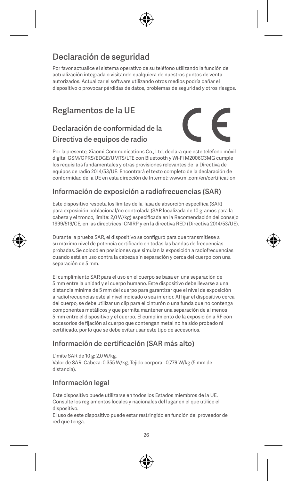# Declaración de seguridad

Por favor actualice el sistema operativo de su teléfono utilizando la función de actualización integrada o visitando cualquiera de nuestros puntos de venta autorizados. Actualizar el software utilizando otros medios podría dañar el dispositivo o provocar pérdidas de datos, problemas de seguridad y otros riesgos.

# Reglamentos de la UE

### Declaración de conformidad de la Directiva de equipos de radio



Por la presente, Xiaomi Communications Co., Ltd. declara que este teléfono móvil digital GSM/GPRS/EDGE/UMTS/LTE con Bluetooth y Wi-Fi M2006C3MG cumple los requisitos fundamentales y otras provisiones relevantes de la Directiva de equipos de radio 2014/53/UE. Encontrará el texto completo de la declaración de conformidad de la UE en esta dirección de Internet: www.mi.com/en/certification

#### Información de exposición a radiofrecuencias (SAR)

Este dispositivo respeta los límites de la Tasa de absorción específica (SAR) para exposición poblacional/no controlada (SAR localizada de 10 gramos para la cabeza y el tronco, límite: 2,0 W/kg) especificada en la Recomendación del consejo 1999/519/CE, en las directrices ICNIRP y en la directiva RED (Directiva 2014/53/UE).

Durante la prueba SAR, el dispositivo se configuró para que transmitiese a su máximo nivel de potencia certificado en todas las bandas de frecuencias probadas. Se colocó en posiciones que simulan la exposición a radiofrecuencias cuando está en uso contra la cabeza sin separación y cerca del cuerpo con una separación de 5 mm.

El cumplimiento SAR para el uso en el cuerpo se basa en una separación de 5 mm entre la unidad y el cuerpo humano. Este dispositivo debe llevarse a una distancia mínima de 5 mm del cuerpo para garantizar que el nivel de exposición a radiofrecuencias esté al nivel indicado o sea inferior. Al fijar el dispositivo cerca del cuerpo, se debe utilizar un clip para el cinturón o una funda que no contenga componentes metálicos y que permita mantener una separación de al menos 5 mm entre el dispositivo y el cuerpo. El cumplimiento de la exposición a RF con accesorios de fijación al cuerpo que contengan metal no ha sido probado ni certificado, por lo que se debe evitar usar este tipo de accesorios.

#### Información de certificación (SAR más alto)

Límite SAR de 10 g: 2,0 W/kg, Valor de SAR: Cabeza: 0,355 W/kg, Tejido corporal: 0,779 W/kg (5 mm de distancia).

#### Información legal

Este dispositivo puede utilizarse en todos los Estados miembros de la UE. Consulte los reglamentos locales y nacionales del lugar en el que utilice el dispositivo.

El uso de este dispositivo puede estar restringido en función del proveedor de red que tenga.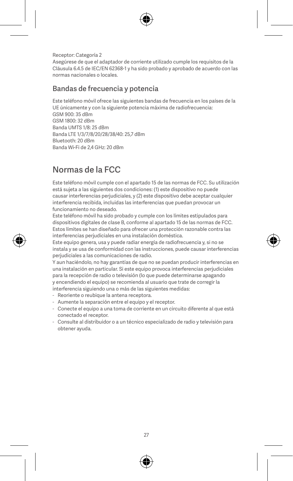Receptor: Categoría 2 Asegúrese de que el adaptador de corriente utilizado cumple los requisitos de la Cláusula 6.4.5 de IEC/EN 62368-1 y ha sido probado y aprobado de acuerdo con las normas nacionales o locales.

#### Bandas de frecuencia y potencia

Este teléfono móvil ofrece las siguientes bandas de frecuencia en los países de la UE únicamente y con la siguiente potencia máxima de radiofrecuencia:  $GSM$  900: 35 dBm

GSM 1800: 32 dBm Banda UMTS 1/8: 25 dBm Banda LTE 1/3/7/8/20/28/38/40: 25,7 dBm Bluetooth: 20 dBm Banda Wi-Fi de 2,4 GHz: 20 dBm

# Normas de la FCC

Este teléfono móvil cumple con el apartado 15 de las normas de FCC. Su utilización está sujeta a las siguientes dos condiciones: (1) este dispositivo no puede causar interferencias perjudiciales, y (2) este dispositivo debe aceptar cualquier interferencia recibida, incluidas las interferencias que puedan provocar un funcionamiento no deseado.

Este teléfono móvil ha sido probado y cumple con los límites estipulados para dispositivos digitales de clase B, conforme al apartado 15 de las normas de FCC. Estos límites se han diseñado para ofrecer una protección razonable contra las interferencias perjudiciales en una instalación doméstica.

Este equipo genera, usa y puede radiar energía de radiofrecuencia y, si no se instala y se usa de conformidad con las instrucciones, puede causar interferencias perjudiciales a las comunicaciones de radio.

Y aun haciéndolo, no hay garantías de que no se puedan producir interferencias en una instalación en particular. Si este equipo provoca interferencias perjudiciales para la recepción de radio o televisión (lo que puede determinarse apagando y encendiendo el equipo) se recomienda al usuario que trate de corregir la interferencia siguiendo una o más de las siguientes medidas:

- Reoriente o reubique la antena receptora.
- Aumente la separación entre el equipo y el receptor.
- Conecte el equipo a una toma de corriente en un circuito diferente al que está conectado el receptor.
- Consulte al distribuidor o a un técnico especializado de radio y televisión para obtener ayuda.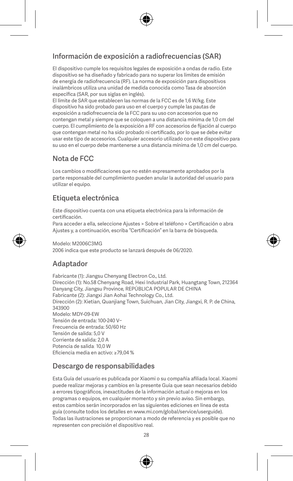#### Información de exposición a radiofrecuencias (SAR)

El dispositivo cumple los requisitos legales de exposición a ondas de radio. Este dispositivo se ha diseñado y fabricado para no superar los límites de emisión de energía de radiofrecuencia (RF). La norma de exposición para dispositivos inalámbricos utiliza una unidad de medida conocida como Tasa de absorción específica (SAR, por sus siglas en inglés).

El límite de SAR que establecen las normas de la FCC es de 1,6 W/kg. Este dispositivo ha sido probado para uso en el cuerpo y cumple las pautas de exposición a radiofrecuencia de la FCC para su uso con accesorios que no contengan metal y siempre que se coloquen a una distancia mínima de 1,0 cm del cuerpo. El cumplimiento de la exposición a RF con accesorios de fijación al cuerpo que contengan metal no ha sido probado ni certificado, por lo que se debe evitar usar este tipo de accesorios. Cualquier accesorio utilizado con este dispositivo para su uso en el cuerpo debe mantenerse a una distancia mínima de 1,0 cm del cuerpo.

#### Nota de FCC

Los cambios o modificaciones que no estén expresamente aprobados por la parte responsable del cumplimiento pueden anular la autoridad del usuario para utilizar el equipo.

#### Etiqueta electrónica

Este dispositivo cuenta con una etiqueta electrónica para la información de certificación.

Para acceder a ella, seleccione Ajustes > Sobre el teléfono > Certificación o abra Ajustes y, a continuación, escriba "Certificación" en la barra de búsqueda.

Modelo: M2006C2MG

2006 indica que este producto se lanzará después de 06/2020.

#### Adaptador

Fabricante (1): Jiangsu Chenyang Electron Co., Ltd. Dirección (1): No.58 Chenyang Road, Hexi Industrial Park, Huangtang Town, 212364 Danyang City, Jiangsu Province, REPÚBLICA POPULAR DE CHINA Fabricante (2): Jiangxi Jian Aohai Technology Co., Ltd. Dirección (2): Xietian, Quanjiang Town, Suichuan, Jian City, Jiangxi, R. P. de China, 343900 Modelo: MDY-09-EW Tensión de entrada: 100-240 V~ Frecuencia de entrada: 50/60 Hz Tensión de salida: 5,0 V Corriente de salida: 2,0 A Potencia de salida: 10,0 W Eficiencia media en activo: ≥79,04 %

#### Descargo de responsabilidades

Esta Guía del usuario es publicada por Xiaomi o su compañía afiliada local. Xiaomi puede realizar mejoras y cambios en la presente Guía que sean necesarios debido a errores tipográficos, inexactitudes de la información actual o mejoras en los programas o equipos, en cualquier momento y sin previo aviso. Sin embargo, estos cambios serán incorporados en las siguientes ediciones en línea de esta guía (consulte todos los detalles en www.mi.com/global/service/userguide). Todas las ilustraciones se proporcionan a modo de referencia y es posible que no representen con precisión el dispositivo real.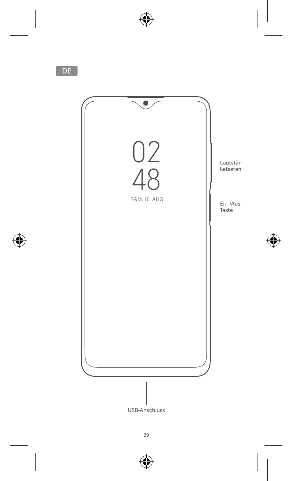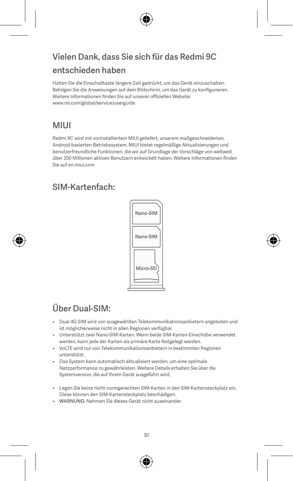# Vielen Dank, dass Sie sich für das Redmi 9C entschieden haben

Halten Sie die Einschalttaste längere Zeit gedrückt, um das Gerät einzuschalten. Befolgen Sie die Anweisungen auf dem Bildschirm, um das Gerät zu konfigurieren. Weitere Informationen finden Sie auf unserer offiziellen Website: www.mi.com/global/service/userguide

# MIUI

Redmi 9C wird mit vorinstalliertem MIUI geliefert, unserem maßgeschneiderten, Android-basierten Betriebssystem. MIUI bietet regelmäßige Aktualisierungen und benutzerfreundliche Funktionen, die wir auf Grundlage der Vorschläge von weltweit über 200 Millionen aktiven Benutzern entwickelt haben. Weitere Informationen finden Sie auf en.miui.com

# SIM-Kartenfach:



# Über Dual-SIM:

- Dual 4G SIM wird von ausgewählten Telekommunikationsanbietern angeboten und ist möglicherweise nicht in allen Regionen verfügbar.
- Unterstützt zwei Nano-SIM-Karten. Wenn beide SIM-Karten-Einschübe verwendet werden, kann jede der Karten als primäre Karte festgelegt werden.
- VoLTE wird nur von Telekommunikationsanbietern in bestimmten Regionen unterstützt.
- Das System kann automatisch aktualisiert werden, um eine optimale Netzperformance zu gewährleisten. Weitere Details erhalten Sie über die Systemversion, die auf Ihrem Gerät ausgeführt wird.
- Legen Sie keine nicht normgerechten SIM-Karten in den SIM-Kartensteckplatz ein. Diese können den SIM-Kartensteckplatz beschädigen.
- WARNUNG: Nehmen Sie dieses Gerät nicht auseinander.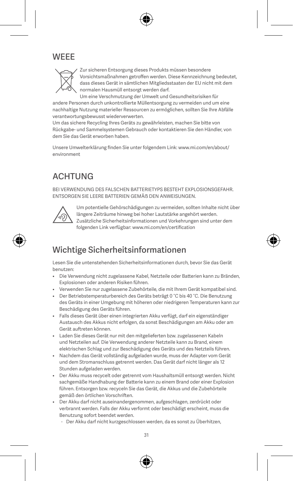# **WEEE**



Zur sicheren Entsorgung dieses Produkts müssen besondere Vorsichtsmaßnahmen getroffen werden. Diese Kennzeichnung bedeutet, dass dieses Gerät in sämtlichen Mitgliedsstaaten der EU nicht mit dem normalen Hausmüll entsorgt werden darf.

Um eine Verschmutzung der Umwelt und Gesundheitsrisiken für andere Personen durch unkontrollierte Müllentsorgung zu vermeiden und um eine nachhaltige Nutzung materieller Ressourcen zu ermöglichen, sollten Sie Ihre Abfälle verantwortungsbewusst wiederverwerten.

Um das sichere Recycling Ihres Geräts zu gewährleisten, machen Sie bitte von Rückgabe- und Sammelsystemen Gebrauch oder kontaktieren Sie den Händler, von dem Sie das Gerät erworben haben.

Unsere Umwelterklärung finden Sie unter folgendem Link: www.mi.com/en/about/ environment

# **ACHTUNG**

BEI VERWENDUNG DES EALSCHEN BATTERIETYPS BESTEHT EXPLOSIONSGEFAHR. ENTSORGEN SIE LEERE BATTERIEN GEMÄẞ DEN ANWEISUNGEN.



Um potentielle Gehörschädigungen zu vermeiden, sollten Inhalte nicht über längere Zeiträume hinweg bei hoher Lautstärke angehört werden. Zusätzliche Sicherheitsinformationen und Vorkehrungen sind unter dem folgenden Link verfügbar: www.mi.com/en/certification

# Wichtige Sicherheitsinformationen

Lesen Sie die untenstehenden Sicherheitsinformationen durch, bevor Sie das Gerät benutzen:

- Die Verwendung nicht zugelassene Kabel, Netzteile oder Batterien kann zu Bränden, Explosionen oder anderen Risiken führen.
- Verwenden Sie nur zugelassene Zubehörteile, die mit Ihrem Gerät kompatibel sind.
- Der Betriebstemperaturbereich des Geräts beträgt 0 °C bis 40 °C. Die Benutzung des Geräts in einer Umgebung mit höheren oder niedrigeren Temperaturen kann zur Beschädigung des Geräts führen.
- Falls dieses Gerät über einen integrierten Akku verfügt, darf ein eigenständiger Austausch des Akkus nicht erfolgen, da sonst Beschädigungen am Akku oder am Gerät auftreten können.
- Laden Sie dieses Gerät nur mit den mitgelieferten bzw. zugelassenen Kabeln und Netzteilen auf. Die Verwendung anderer Netzteile kann zu Brand, einem elektrischen Schlag und zur Beschädigung des Geräts und des Netzteils führen.
- Nachdem das Gerät vollständig aufgeladen wurde, muss der Adapter vom Gerät und dem Stromanschluss getrennt werden. Das Gerät darf nicht länger als 12 Stunden aufgeladen werden.
- Der Akku muss recycelt oder getrennt vom Haushaltsmüll entsorgt werden. Nicht sachgemäße Handhabung der Batterie kann zu einem Brand oder einer Explosion führen. Entsorgen bzw. recyceln Sie das Gerät, die Akkus und die Zubehörteile gemäß den örtlichen Vorschriften.
- Der Akku darf nicht auseinandergenommen, aufgeschlagen, zerdrückt oder verbrannt werden. Falls der Akku verformt oder beschädigt erscheint, muss die Benutzung sofort beendet werden.
	- Der Akku darf nicht kurzgeschlossen werden, da es sonst zu Überhitzen,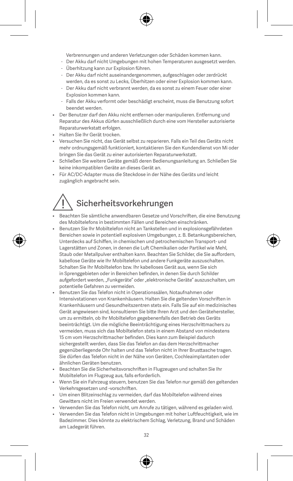Verbrennungen und anderen Verletzungen oder Schäden kommen kann.

- Der Akku darf nicht Umgebungen mit hohen Temperaturen ausgesetzt werden.
- Überhitzung kann zur Explosion führen.
- Der Akku darf nicht auseinandergenommen, aufgeschlagen oder zerdrückt werden, da es sonst zu Lecks, Überhitzen oder einer Explosion kommen kann.
- Der Akku darf nicht verbrannt werden, da es sonst zu einem Feuer oder einer Explosion kommen kann.
- Falls der Akku verformt oder beschädigt erscheint, muss die Benutzung sofort beendet werden.
- Der Benutzer darf den Akku nicht entfernen oder manipulieren. Entfernung und Reparatur des Akkus dürfen ausschließlich durch eine vom Hersteller autorisierte Reparaturwerkstatt erfolgen.
- Halten Sie Ihr Gerät trocken.
- Versuchen Sie nicht, das Gerät selbst zu reparieren. Falls ein Teil des Geräts nicht mehr ordnungsgemäß funktioniert, kontaktieren Sie den Kundendienst von Mi oder bringen Sie das Gerät zu einer autorisierten Reparaturwerkstatt.
- Schließen Sie weitere Geräte gemäß deren Bedienungsanleitung an. Schließen Sie keine inkompatiblen Geräte an dieses Gerät an.
- Für AC/DC-Adapter muss die Steckdose in der Nähe des Geräts und leicht zugänglich angebracht sein.

# Sicherheitsvorkehrungen

- Beachten Sie sämtliche anwendbaren Gesetze und Vorschriften, die eine Benutzung des Mobiltelefons in bestimmten Fällen und Bereichen einschränken.
- Benutzen Sie Ihr Mobiltelefon nicht an Tankstellen und in explosionsgefährdeten Bereichen sowie in potentiell explosiven Umgebungen, z. B. Betankungsbereichen, Unterdecks auf Schiffen, in chemischen und petrochemischen Transport- und Lagerstätten und Zonen, in denen die Luft Chemikalien oder Partikel wie Mehl, Staub oder Metallpulver enthalten kann. Beachten Sie Schilder, die Sie auffordern, kabellose Geräte wie Ihr Mobiltelefon und andere Funkgeräte auszuschalten. Schalten Sie Ihr Mobiltelefon bzw. Ihr kabelloses Gerät aus, wenn Sie sich in Sprenggebieten oder in Bereichen befinden, in denen Sie durch Schilder aufgefordert werden, "Funkgeräte" oder "elektronische Geräte" auszuschalten, um potentielle Gefahren zu vermeiden.
- Benutzen Sie das Telefon nicht in Operationssälen, Notaufnahmen oder Intensivstationen von Krankenhäusern. Halten Sie die geltenden Vorschriften in Krankenhäusern und Gesundheitszentren stets ein. Falls Sie auf ein medizinisches Gerät angewiesen sind, konsultieren Sie bitte Ihren Arzt und den Gerätehersteller, um zu ermitteln, ob Ihr Mobiltelefon gegebenenfalls den Betrieb des Geräts beeinträchtigt. Um die mögliche Beeinträchtigung eines Herzschrittmachers zu vermeiden, muss sich das Mobiltelefon stets in einem Abstand von mindestens 15 cm vom Herzschrittmacher befinden. Dies kann zum Beispiel dadurch sichergestellt werden, dass Sie das Telefon an das dem Herzschrittmacher gegenüberliegende Ohr halten und das Telefon nicht in Ihrer Brusttasche tragen. Sie dürfen das Telefon nicht in der Nähe von Geräten, Cochleaimplantaten oder ähnlichen Geräten benutzen.
- Beachten Sie die Sicherheitsvorschriften in Flugzeugen und schalten Sie Ihr Mobiltelefon im Flugzeug aus, falls erforderlich.
- Wenn Sie ein Fahrzeug steuern, benutzen Sie das Telefon nur gemäß den geltenden Verkehrsgesetzen und -vorschriften.
- Um einen Blitzeinschlag zu vermeiden, darf das Mobiltelefon während eines Gewitters nicht im Freien verwendet werden.
- Verwenden Sie das Telefon nicht, um Anrufe zu tätigen, während es geladen wird.
- Verwenden Sie das Telefon nicht in Umgebungen mit hoher Luftfeuchtigkeit, wie im Badezimmer. Dies könnte zu elektrischem Schlag, Verletzung, Brand und Schäden am Ladegerät führen.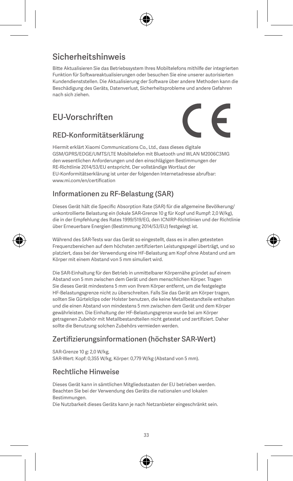# Sicherheitshinweis

Bitte Aktualisieren Sie das Betriebssystem Ihres Mobiltelefons mithilfe der integrierten Funktion für Softwareaktualisierungen oder besuchen Sie eine unserer autorisierten Kundendienststellen. Die Aktualisierung der Software über andere Methoden kann die Beschädigung des Geräts, Datenverlust, Sicherheitsprobleme und andere Gefahren nach sich ziehen.

# EU-Vorschriften



#### RED-Konformitätserklärung Hiermit erklärt Xiaomi Communications Co., Ltd., dass dieses digitale GSM/GPRS/EDGE/UMTS/LTE Mobiltelefon mit Bluetooth und WLAN M2006C3MG den wesentlichen Anforderungen und den einschlägigen Bestimmungen der RE-Richtlinie 2014/53/EU entspricht. Der vollständige Wortlaut der

EU-Konformitätserklärung ist unter der folgenden Internetadresse abrufbar: www.mi.com/en/certification

#### Informationen zu RF-Belastung (SAR)

Dieses Gerät hält die Specific Absorption Rate (SAR) für die allgemeine Bevölkerung/ unkontrollierte Belastung ein (lokale SAR-Grenze 10 g für Kopf und Rumpf: 2,0 W/kg), die in der Empfehlung des Rates 1999/519/EG, den ICNIRP-Richtlinien und der Richtlinie über Erneuerbare Energien (Bestimmung 2014/53/EU) festgelegt ist.

Während des SAR-Tests war das Gerät so eingestellt, dass es in allen getesteten Frequenzbereichen auf dem höchsten zertifizierten Leistungspegel überträgt, und so platziert, dass bei der Verwendung eine HF-Belastung am Kopf ohne Abstand und am Körper mit einem Abstand von 5 mm simuliert wird.

Die SAR-Einhaltung für den Betrieb in unmittelbarer Körpernähe gründet auf einem Abstand von 5 mm zwischen dem Gerät und dem menschlichen Körper. Tragen Sie dieses Gerät mindestens 5 mm von Ihrem Körper entfernt, um die festgelegte HF-Belastungsgrenze nicht zu überschreiten. Falls Sie das Gerät am Körper tragen, sollten Sie Gürtelclips oder Holster benutzen, die keine Metallbestandteile enthalten und die einen Abstand von mindestens 5 mm zwischen dem Gerät und dem Körper gewährleisten. Die Einhaltung der HF-Belastungsgrenze wurde bei am Körper getragenen Zubehör mit Metallbestandteilen nicht getestet und zertifiziert. Daher sollte die Benutzung solchen Zubehörs vermieden werden.

#### Zertifizierungsinformationen (höchster SAR-Wert)

SAR-Grenze 10 g: 2,0 W/kg

SAR-Wert: Kopf: 0,355 W/kg, Körper: 0,779 W/kg (Abstand von 5 mm).

#### Rechtliche Hinweise

Dieses Gerät kann in sämtlichen Mitgliedsstaaten der EU betrieben werden. Beachten Sie bei der Verwendung des Geräts die nationalen und lokalen Bestimmungen.

Die Nutzbarkeit dieses Geräts kann je nach Netzanbieter eingeschränkt sein.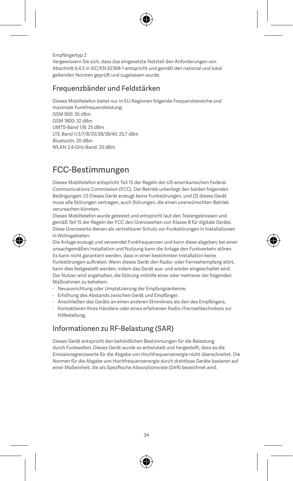Empfängertyp 2 Vergewissern Sie sich, dass das eingesetzte Netzteil den Anforderungen von Abschnitt 6.4.5 in IEC/EN 62368-1 entspricht und gemäß den national und lokal geltenden Normen geprüft und zugelassen wurde.

#### Frequenzbänder und Feldstärken

Dieses Mobiltelefon bietet nur in EU-Regionen folgende Frequenzbereiche und

maximale Funkfrequenzleistung: GSM 900: 35 dBm GSM 1800: 32 dBm UMTS-Band 1/8: 25 dBm LTE-Band 1/3/7/8/20/28/38/40: 25,7 dBm Bluetooth: 20 dBm WLAN 2,4-GHz-Band: 20 dBm

# FCC-Bestimmungen

Dieses Mobiltelefon entspricht Teil 15 der Regeln der US-amerikanischen Federal Communications Commission (FCC). Der Betrieb unterliegt den beiden folgenden Bedingungen: (1) Dieses Gerät erzeugt keine Funkstörungen, und (2) dieses Gerät muss alle Störungen vertragen, auch Störungen, die einen unerwünschten Betrieb verursachen könnten.

Dieses Mobiltelefon wurde getestet und entspricht laut den Testergebnissen und gemäß Teil 15 der Regeln der FCC den Grenzwerten von Klasse B für digitale Geräte. Diese Grenzwerte dienen als vertretbarer Schutz vor Funkstörungen in Installationen in Wohngebieten.

Die Anlage erzeugt und verwendet Funkfrequenzen und kann diese abgeben; bei einer unsachgemäßen Installation und Nutzung kann die Anlage den Funkverkehr stören. Es kann nicht garantiert werden, dass in einer bestimmten Installation keine Funkstörungen auftreten. Wenn dieses Gerät den Radio- oder Fernsehempfang stört, kann dies festgestellt werden, indem das Gerät aus- und wieder eingeschaltet wird. Der Nutzer wird angehalten, die Störung mithilfe einer oder mehrerer der folgenden Maßnahmen zu beheben:

- Neuausrichtung oder Umplatzierung der Empfangsantenne.
- Erhöhung des Abstands zwischen Gerät und Empfänger.
- Anschließen des Geräts an einen anderen Stromkreis als den des Empfängers.
- Kontaktieren Ihres Händlers oder eines erfahrenen Radio-/Fernsehtechnikers zur Hilfestellung.

#### Informationen zu RF-Belastung (SAR)

Dieses Gerät entspricht den behördlichen Bestimmungen für die Belastung durch Funkwellen. Dieses Gerät wurde so entwickelt und hergestellt, dass es die Emissionsgrenzwerte für die Abgabe von Hochfrequenzenergie nicht überschreitet. Die Normen für die Abgabe von Hochfrequenzenergie durch drahtlose Geräte basieren auf einer Maßeinheit, die als Spezifische Absorptionsrate (SAR) bezeichnet wird.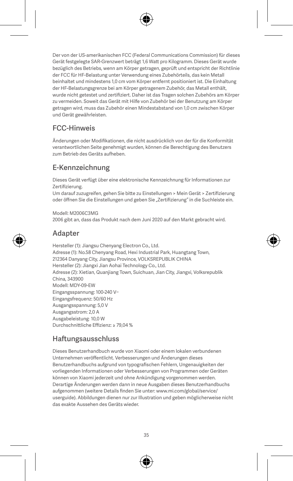Der von der US-amerikanischen FCC (Federal Communications Commission) für dieses Gerät festgelegte SAR-Grenzwert beträgt 1,6 Watt pro Kilogramm. Dieses Gerät wurde bezüglich des Betriebs, wenn am Körper getragen, geprüft und entspricht der Richtlinie der FCC für HF-Belastung unter Verwendung eines Zubehörteils, das kein Metall beinhaltet und mindestens 1,0 cm vom Körper entfernt positioniert ist. Die Einhaltung der HF-Belastungsgrenze bei am Körper getragenem Zubehör, das Metall enthält, wurde nicht getestet und zertifiziert. Daher ist das Tragen solchen Zubehörs am Körper zu vermeiden. Soweit das Gerät mit Hilfe von Zubehör bei der Benutzung am Körper getragen wird, muss das Zubehör einen Mindestabstand von 1,0 cm zwischen Körper und Gerät gewährleisten.

#### FCC-Hinweis

Änderungen oder Modifikationen, die nicht ausdrücklich von der für die Konformität verantwortlichen Seite genehmigt wurden, können die Berechtigung des Benutzers zum Betrieb des Geräts aufheben.

#### E-Kennzeichnung

Dieses Gerät verfügt über eine elektronische Kennzeichnung für Informationen zur Zertifizierung.

Um darauf zuzugreifen, gehen Sie bitte zu Einstellungen > Mein Gerät > Zertifizierung oder öffnen Sie die Einstellungen und geben Sie "Zertifizierung" in die Suchleiste ein.

Modell: M2006C3MG 2006 gibt an, dass das Produkt nach dem Juni 2020 auf den Markt gebracht wird.

#### Adapter

Hersteller (1): Jiangsu Chenyang Electron Co., Ltd. Adresse (1): No.58 Chenyang Road, Hexi Industrial Park, Huangtang Town, 212364 Danyang City, Jiangsu Province, VOLKSREPUBLIK CHINA Hersteller (2): Jiangxi Jian Aohai Technology Co., Ltd. Adresse (2): Xietian, Quanjiang Town, Suichuan, Jian City, Jiangxi, Volksrepublik China, 343900 Modell: MDY-09-EW Eingangsspannung: 100-240 V~ Eingangsfrequenz: 50/60 Hz Ausgangsspannung: 5,0 V Ausgangsstrom: 2,0 A Ausgabeleistung: 10,0 W Durchschnittliche Effizienz: ≥ 79,04 %

#### Haftungsausschluss

Dieses Benutzerhandbuch wurde von Xiaomi oder einem lokalen verbundenen Unternehmen veröffentlicht. Verbesserungen und Änderungen dieses Benutzerhandbuchs aufgrund von typografischen Fehlern, Ungenauigkeiten der vorliegenden Informationen oder Verbesserungen von Programmen oder Geräten können von Xiaomi jederzeit und ohne Ankündigung vorgenommen werden. Derartige Änderungen werden dann in neue Ausgaben dieses Benutzerhandbuchs aufgenommen (weitere Details finden Sie unter: www.mi.com/global/service/ userguide). Abbildungen dienen nur zur Illustration und geben möglicherweise nicht das exakte Aussehen des Geräts wieder.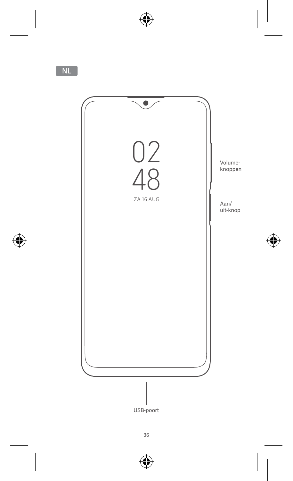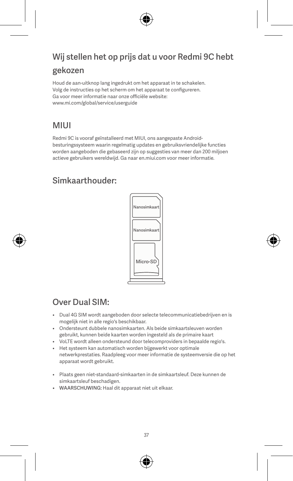# Wij stellen het op prijs dat u voor Redmi 9C hebt gekozen

Houd de aan-uitknop lang ingedrukt om het apparaat in te schakelen. Volg de instructies op het scherm om het apparaat te configureren. Ga voor meer informatie naar onze officiële website: www.mi.com/global/service/userguide

## MIUI

Redmi 9C is vooraf geïnstalleerd met MIUI, ons aangepaste Androidbesturingssysteem waarin regelmatig updates en gebruiksvriendelijke functies worden aangeboden die gebaseerd zijn op suggesties van meer dan 200 miljoen actieve gebruikers wereldwijd. Ga naar en.miui.com voor meer informatie.

## Simkaarthouder:



## Over Dual SIM:

- Dual 4G SIM wordt aangeboden door selecte telecommunicatiebedrijven en is mogelijk niet in alle regio's beschikbaar.
- Ondersteunt dubbele nanosimkaarten. Als beide simkaartsleuven worden gebruikt, kunnen beide kaarten worden ingesteld als de primaire kaart
- VoLTE wordt alleen ondersteund door telecomproviders in bepaalde regio's.
- Het systeem kan automatisch worden bijgewerkt voor optimale netwerkprestaties. Raadpleeg voor meer informatie de systeemversie die op het apparaat wordt gebruikt.
- Plaats geen niet-standaard-simkaarten in de simkaartsleuf. Deze kunnen de simkaartsleuf beschadigen.
- WAARSCHUWING: Haal dit apparaat niet uit elkaar.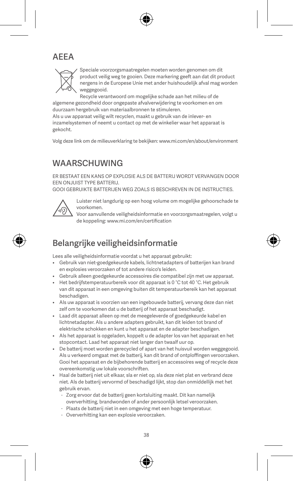## AEEA



Speciale voorzorgsmaatregelen moeten worden genomen om dit product veilig weg te gooien. Deze markering geeft aan dat dit product nergens in de Europese Unie met ander huishoudelijk afval mag worden weggegooid.

Recycle verantwoord om mogelijke schade aan het milieu of de algemene gezondheid door ongepaste afvalverwijdering te voorkomen en om duurzaam hergebruik van materiaalbronnen te stimuleren.

Als u uw apparaat veilig wilt recyclen, maakt u gebruik van de inlever- en inzamelsystemen of neemt u contact op met de winkelier waar het apparaat is gekocht.

Volg deze link om de milieuverklaring te bekijken: www.mi.com/en/about/environment

## WAARSCHUWING

ER BESTAAT EEN KANS OP EXPLOSIE ALS DE BATTERIJ WORDT VERVANGEN DOOR EEN ONJUIST TYPE BATTERIJ.

GOOI GEBRUIKTE BATTERIJEN WEG ZOALS IS BESCHREVEN IN DE INSTRUCTIES.



Luister niet langdurig op een hoog volume om mogelijke gehoorschade te voorkomen.

Voor aanvullende veiligheidsinformatie en voorzorgsmaatregelen, volgt u de koppeling: www.mi.com/en/certification

## Belangrijke veiligheidsinformatie

Lees alle veiligheidsinformatie voordat u het apparaat gebruikt:

- Gebruik van niet-goedgekeurde kabels, lichtnetadapters of batterijen kan brand en explosies veroorzaken of tot andere risico's leiden.
- Gebruik alleen goedgekeurde accessoires die compatibel zijn met uw apparaat.
- Het bedrijfstemperatuurbereik voor dit apparaat is 0 °C tot 40 °C. Het gebruik van dit apparaat in een omgeving buiten dit temperatuurbereik kan het apparaat beschadigen.
- Als uw apparaat is voorzien van een ingebouwde batterij, vervang deze dan niet zelf om te voorkomen dat u de batterij of het apparaat beschadigt.
- Laad dit apparaat alleen op met de meegeleverde of goedgekeurde kabel en lichtnetadapter. Als u andere adapters gebruikt, kan dit leiden tot brand of elektrische schokken en kunt u het apparaat en de adapter beschadigen.
- Als het apparaat is opgeladen, koppelt u de adapter los van het apparaat en het stopcontact. Laad het apparaat niet langer dan twaalf uur op.
- De batterij moet worden gerecycled of apart van het huisvuil worden weggegooid. Als u verkeerd omgaat met de batterij, kan dit brand of ontploffingen veroorzaken. Gooi het apparaat en de bijbehorende batterij en accessoires weg of recycle deze overeenkomstig uw lokale voorschriften.
- Haal de batterij niet uit elkaar, sla er niet op, sla deze niet plat en verbrand deze niet. Als de batterij vervormd of beschadigd lijkt, stop dan onmiddellijk met het gebruik ervan.
	- Zorg ervoor dat de batterij geen kortsluiting maakt. Dit kan namelijk oververhitting, brandwonden of ander persoonlijk letsel veroorzaken.
	- Plaats de batterij niet in een omgeving met een hoge temperatuur.
	- Oververhitting kan een explosie veroorzaken.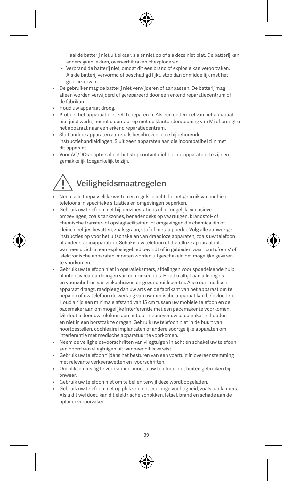- Haal de batterij niet uit elkaar, sla er niet op of sla deze niet plat. De batterij kan anders gaan lekken, oververhit raken of exploderen.
- Verbrand de batterij niet, omdat dit een brand of explosie kan veroorzaken.
- Als de batterij vervormd of beschadigd lijkt, stop dan onmiddellijk met het gebruik ervan.
- De gebruiker mag de batterij niet verwijderen of aanpassen. De batterij mag alleen worden verwijderd of gerepareerd door een erkend reparatiecentrum of de fabrikant.
- Houd uw apparaat droog.
- Probeer het apparaat niet zelf te repareren. Als een onderdeel van het apparaat niet juist werkt, neemt u contact op met de klantondersteuning van Mi of brengt u het apparaat naar een erkend reparatiecentrum.
- Sluit andere apparaten aan zoals beschreven in de bijbehorende instructiehandleidingen. Sluit geen apparaten aan die incompatibel zijn met dit apparaat.
- Voor AC/DC-adapters dient het stopcontact dicht bij de apparatuur te zijn en gemakkelijk toegankelijk te zijn.

# Veiligheidsmaatregelen

- Neem alle toepasselijke wetten en regels in acht die het gebruik van mobiele telefoons in specifieke situaties en omgevingen beperken.
- Gebruik uw telefoon niet bij benzinestations of in mogelijk explosieve omgevingen, zoals tankzones, benedendeks op vaartuigen, brandstof- of chemische transfer- of opslagfaciliteiten, of omgevingen die chemicaliën of kleine deeltjes bevatten, zoals graan, stof of metaalpoeder. Volg alle aanwezige instructies op voor het uitschakelen van draadloze apparaten, zoals uw telefoon of andere radioapparatuur. Schakel uw telefoon of draadloze apparaat uit wanneer u zich in een explosiegebied bevindt of in gebieden waar 'portofoons' of 'elektronische apparaten' moeten worden uitgeschakeld om mogelijke gevaren te voorkomen.
- Gebruik uw telefoon niet in operatiekamers, afdelingen voor spoedeisende hulp of intensivecareafdelingen van een ziekenhuis. Houd u altijd aan alle regels en voorschriften van ziekenhuizen en gezondheidscentra. Als u een medisch apparaat draagt, raadpleeg dan uw arts en de fabrikant van het apparaat om te bepalen of uw telefoon de werking van uw medische apparaat kan beïnvloeden. Houd altijd een minimale afstand van 15 cm tussen uw mobiele telefoon en de pacemaker aan om mogelijke interferentie met een pacemaker te voorkomen. Dit doet u door uw telefoon aan het oor tegenover uw pacemaker te houden en niet in een borstzak te dragen. Gebruik uw telefoon niet in de buurt van hoortoestellen, cochleaire implantaten of andere soortgelijke apparaten om interferentie met medische apparatuur te voorkomen.
- Neem de veiligheidsvoorschriften van vliegtuigen in acht en schakel uw telefoon aan boord van vliegtuigen uit wanneer dit is vereist.
- Gebruik uw telefoon tijdens het besturen van een voertuig in overeenstemming met relevante verkeerswetten en -voorschriften.
- Om blikseminslag te voorkomen, moet u uw telefoon niet buiten gebruiken bij onweer.
- Gebruik uw telefoon niet om te bellen terwijl deze wordt opgeladen.
- Gebruik uw telefoon niet op plekken met een hoge vochtigheid, zoals badkamers. Als u dit wel doet, kan dit elektrische schokken, letsel, brand en schade aan de oplader veroorzaken.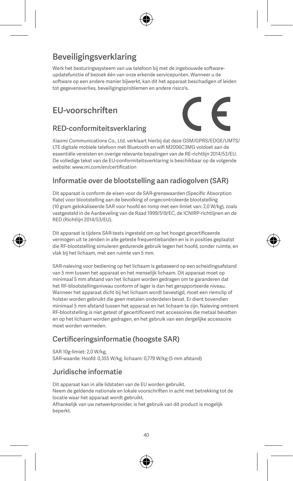# Beveiligingsverklaring

Werk het besturingssysteem van uw telefoon bij met de ingebouwde softwareupdatefunctie of bezoek één van onze erkende servicepunten. Wanneer u de software op een andere manier bijwerkt, kan dit het apparaat beschadigen of leiden tot gegevensverlies, beveiligingsproblemen en andere risico's.

# EU-voorschriften



#### RED-conformiteitsverklaring

Xiaomi Communications Co., Ltd. verklaart hierbij dat deze GSM/GPRS/EDGE/UMTS/ LTE digitale mobiele telefoon met Bluetooth en wifi M2006C3MG voldoet aan de essentiële vereisten en overige relevante bepalingen van de RE-richtlijn 2014/53/EU. De volledige tekst van de EU-conformiteitsverklaring is beschikbaar op de volgende website: www.mi.com/en/certification

#### Informatie over de blootstelling aan radiogolven (SAR)

Dit apparaat is conform de eisen voor de SAR-grenswaarden (Specific Absorption Rate) voor blootstelling aan de bevolking of ongecontroleerde blootstelling (10 gram gelokaliseerde SAR voor hoofd en romp met een limiet van: 2,0 W/kg), zoals vastgesteld in de Aanbeveling van de Raad 1999/519/EC, de ICNIRP-richtlijnen en de RED (Richtlijn 2014/53/EU).

Dit apparaat is tijdens SAR-tests ingesteld om op het hoogst gecertificeerde vermogen uit te zenden in alle geteste frequentiebanden en is in posities geplaatst die RF-blootstelling simuleren gedurende gebruik tegen het hoofd, zonder ruimte, en vlak bij het lichaam, met een ruimte van 5 mm.

SAR-naleving voor bediening op het lichaam is gebaseerd op een scheidingsafstand van 5 mm tussen het apparaat en het menselijk lichaam. Dit apparaat moet op minimaal 5 mm afstand van het lichaam worden gedragen om te garanderen dat het RF-blootstellingsniveau conform of lager is dan het gerapporteerde niveau. Wanneer het apparaat dicht bij het lichaam wordt bevestigd, moet een riemclip of holster worden gebruikt die geen metalen onderdelen bevat. Er dient bovendien minimaal 5 mm afstand tussen het apparaat en het lichaam te zijn. Naleving omtrent RF-blootstelling is niet getest of gecertificeerd met accessoires die metaal bevatten en op het lichaam worden gedragen, en het gebruik van een dergelijke accessoire moet worden vermeden.

#### Certificeringsinformatie (hoogste SAR)

SAR 10g-limiet: 2,0 W/kg,

SAR-waarde: Hoofd: 0,355 W/kg, lichaam: 0,779 W/kg (5 mm afstand)

#### Juridische informatie

Dit apparaat kan in alle lidstaten van de EU worden gebruikt.

Neem de geldende nationale en lokale voorschriften in acht met betrekking tot de locatie waar het apparaat wordt gebruikt.

Afhankelijk van uw netwerkprovider, is het gebruik van dit product is mogelijk beperkt.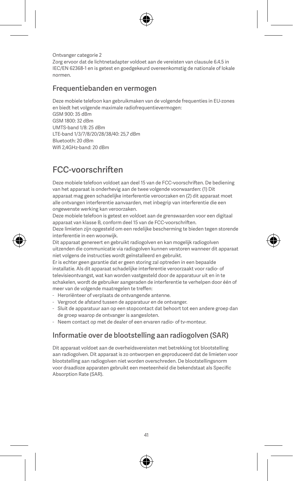Ontvanger categorie 2 Zorg ervoor dat de lichtnetadapter voldoet aan de vereisten van clausule 6.4.5 in IEC/EN 62368-1 en is getest en goedgekeurd overeenkomstig de nationale of lokale normen.

#### Frequentiebanden en vermogen

Deze mobiele telefoon kan gebruikmaken van de volgende frequenties in EU-zones en biedt het volgende maximale radiofrequentievermogen:

GSM 900: 35 dBm GSM 1800: 32 dBm UMTS-band 1/8: 25 dBm LTE-band 1/3/7/8/20/28/38/40: 25,7 dBm Bluetooth: 20 dBm Wifi 2,4GHz-band: 20 dBm

# FCC-voorschriften

Deze mobiele telefoon voldoet aan deel 15 van de FCC-voorschriften. De bediening van het apparaat is onderhevig aan de twee volgende voorwaarden: (1) Dit apparaat mag geen schadelijke interferentie veroorzaken en (2) dit apparaat moet alle ontvangen interferentie aanvaarden, met inbegrip van interferentie die een ongewenste werking kan veroorzaken.

Deze mobiele telefoon is getest en voldoet aan de grenswaarden voor een digitaal apparaat van klasse B, conform deel 15 van de FCC-voorschriften. Deze limieten zijn opgesteld om een redelijke bescherming te bieden tegen storende

interferentie in een woonwijk. Dit apparaat genereert en gebruikt radiogolven en kan mogelijk radiogolven

uitzenden die communicatie via radiogolven kunnen verstoren wanneer dit apparaat niet volgens de instructies wordt geïnstalleerd en gebruikt.

Er is echter geen garantie dat er geen storing zal optreden in een bepaalde installatie. Als dit apparaat schadelijke interferentie veroorzaakt voor radio- of televisieontvangst, wat kan worden vastgesteld door de apparatuur uit en in te schakelen, wordt de gebruiker aangeraden de interferentie te verhelpen door één of meer van de volgende maatregelen te treffen:

- Heroriënteer of verplaats de ontvangende antenne.
- Vergroot de afstand tussen de apparatuur en de ontvanger.
- Sluit de apparatuur aan op een stopcontact dat behoort tot een andere groep dan de groep waarop de ontvanger is aangesloten.
- Neem contact op met de dealer of een ervaren radio- of tv-monteur.

#### Informatie over de blootstelling aan radiogolven (SAR)

Dit apparaat voldoet aan de overheidsvereisten met betrekking tot blootstelling aan radiogolven. Dit apparaat is zo ontworpen en geproduceerd dat de limieten voor blootstelling aan radiogolven niet worden overschreden. De blootstellingsnorm voor draadloze apparaten gebruikt een meeteenheid die bekendstaat als Specific Absorption Rate (SAR).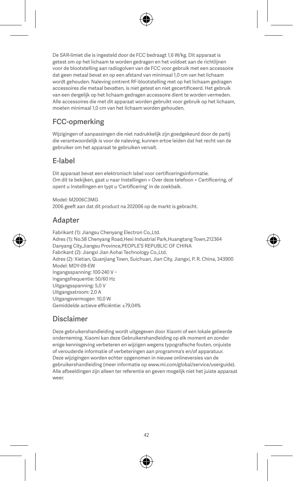De SAR-limiet die is ingesteld door de FCC bedraagt 1,6 W/kg. Dit apparaat is getest om op het lichaam te worden gedragen en het voldoet aan de richtlijnen voor de blootstelling aan radiogolven van de FCC voor gebruik met een accessoire dat geen metaal bevat en op een afstand van minimaal 1,0 cm van het lichaam wordt gehouden. Naleving omtrent RF-blootstelling met op het lichaam gedragen accessoires die metaal bevatten, is niet getest en niet gecertificeerd. Het gebruik van een dergelijk op het lichaam gedragen accessoire dient te worden vermeden. Alle accessoires die met dit apparaat worden gebruikt voor gebruik op het lichaam, moeten minimaal 1,0 cm van het lichaam worden gehouden.

## FCC-opmerking

Wijzigingen of aanpassingen die niet nadrukkelijk zijn goedgekeurd door de partij die verantwoordelijk is voor de naleving, kunnen ertoe leiden dat het recht van de gebruiker om het apparaat te gebruiken vervalt.

#### E-label

Dit apparaat bevat een elektronisch label voor certificeringsinformatie. Om dit te bekijken, gaat u naar Instellingen > Over deze telefoon > Certificering, of opent u Instellingen en typt u 'Certificering' in de zoekbalk.

Model: M2006C3MG 2006 geeft aan dat dit product na 202006 op de markt is gebracht.

#### Adapter

Fabrikant (1): Jiangsu Chenyang Electron Co.,Ltd. Adres (1): No.58 Chenyang Road,Hexi Industrial Park,Huangtang Town,212364 Danyang City,Jiangsu Province,PEOPLE'S REPUBLIC OF CHINA Fabrikant (2): Jiangxi Jian Aohai Technology Co.,Ltd. Adres (2): Xietian, Quanjiang Town, Suichuan, Jian City, Jiangxi, P. R. China, 343900 Model: MDY-09-EW Ingangsspanning: 100-240 V ~ Ingangsfrequentie: 50/60 Hz Uitgangsspanning: 5,0 V Uitgangsstroom: 2,0 A Uitgangsvermogen: 10,0 W Gemiddelde actieve efficiëntie: ≥79,04%

#### Disclaimer

Deze gebruikershandleiding wordt uitgegeven door Xiaomi of een lokale gelieerde onderneming. Xiaomi kan deze Gebruikershandleiding op elk moment en zonder enige kennisgeving verbeteren en wijzigen wegens typografische fouten, onjuiste of verouderde informatie of verbeteringen aan programma's en/of apparatuur. Deze wijzigingen worden echter opgenomen in nieuwe onlineversies van de gebruikershandleiding (meer informatie op www.mi.com/global/service/userguide). Alle afbeeldingen zijn alleen ter referentie en geven mogelijk niet het juiste apparaat weer.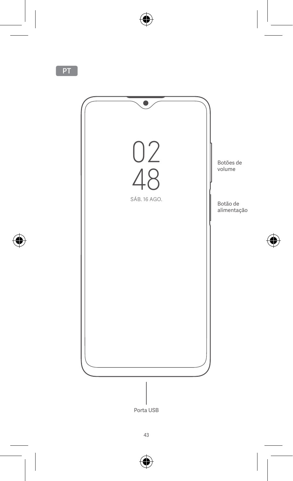

Porta USB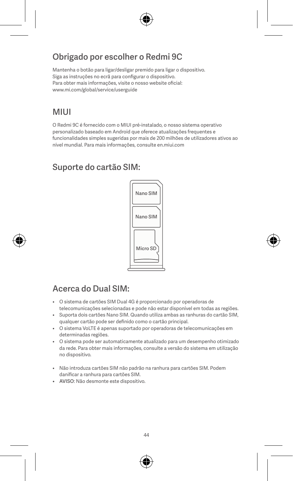## Obrigado por escolher o Redmi 9C

Mantenha o botão para ligar/desligar premido para ligar o dispositivo. Siga as instruções no ecrã para configurar o dispositivo. Para obter mais informações, visite o nosso website oficial: www.mi.com/global/service/userguide

## **MILII**

O Redmi 9C é fornecido com o MIUI pré-instalado, o nosso sistema operativo personalizado baseado em Android que oferece atualizações frequentes e funcionalidades simples sugeridas por mais de 200 milhões de utilizadores ativos ao nível mundial. Para mais informações, consulte en.miui.com

# Suporte do cartão SIM:



# Acerca do Dual SIM:

- O sistema de cartões SIM Dual 4G é proporcionado por operadoras de telecomunicações selecionadas e pode não estar disponível em todas as regiões.
- Suporta dois cartões Nano SIM. Quando utiliza ambas as ranhuras do cartão SIM, qualquer cartão pode ser definido como o cartão principal.
- O sistema VoLTE é apenas suportado por operadoras de telecomunicações em determinadas regiões.
- O sistema pode ser automaticamente atualizado para um desempenho otimizado da rede. Para obter mais informações, consulte a versão do sistema em utilização no dispositivo.
- Não introduza cartões SIM não padrão na ranhura para cartões SIM. Podem danificar a ranhura para cartões SIM.
- AVISO: Não desmonte este dispositivo.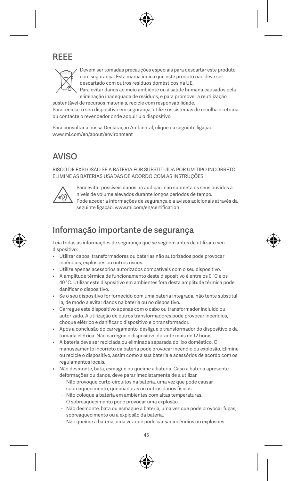# REEE



Devem ser tomadas precauções especiais para descartar este produto com segurança. Esta marca indica que este produto não deve ser descartado com outros resíduos domésticos na UE. Para evitar danos ao meio ambiente ou à saúde humana causados pela eliminação inadequada de resíduos, e para promover a reutilização

sustentável de recursos materiais, recicle com responsabilidade. Para reciclar o seu dispositivo em segurança, utilize os sistemas de recolha e retoma ou contacte o revendedor onde adquiriu o dispositivo.

Para consultar a nossa Declaração Ambiental, clique na seguinte ligação: www.mi.com/en/about/environment

## AVISO

RISCO DE EXPLOSÃO SE A BATERIA FOR SUBSTITUÍDA POR UM TIPO INCORRETO. ELIMINE AS BATERIAS USADAS DE ACORDO COM AS INSTRUÇÕES.



Para evitar possíveis danos na audição, não submeta os seus ouvidos a níveis de volume elevados durante longos períodos de tempo. Pode aceder a informações de segurança e a avisos adicionais através da seguinte ligação: www.mi.com/en/certification

## Informação importante de segurança

Leia todas as informações de segurança que se seguem antes de utilizar o seu dispositivo:

- Utilizar cabos, transformadores ou baterias não autorizados pode provocar incêndios, explosões ou outros riscos.
- Utilize apenas acessórios autorizados compatíveis com o seu dispositivo.
- A amplitude térmica de funcionamento deste dispositivo é entre os 0 °C e os 40 °C. Utilizar este dispositivo em ambientes fora desta amplitude térmica pode danificar o dispositivo.
- Se o seu dispositivo for fornecido com uma bateria integrada, não tente substituíla, de modo a evitar danos na bateria ou no dispositivo.
- Carregue este dispositivo apenas com o cabo ou transformador incluído ou autorizado. A utilização de outros transformadores pode provocar incêndios, choque elétrico e danificar o dispositivo e o transformador.
- Após a conclusão do carregamento, desligue o transformador do dispositivo e da tomada elétrica. Não carregue o dispositivo durante mais de 12 horas.
- A bateria deve ser reciclada ou eliminada separada do lixo doméstico. O manuseamento incorreto da bateria pode provocar incêndio ou explosão. Elimine ou recicle o dispositivo, assim como a sua bateria e acessórios de acordo com os regulamentos locais.
- Não desmonte, bata, esmague ou queime a bateria. Caso a bateria apresente deformações ou danos, deve parar imediatamente de a utilizar.
	- Não provoque curto-circuitos na bateria, uma vez que pode causar sobreaquecimento, queimaduras ou outros danos físicos.
	- Não coloque a bateria em ambientes com altas temperaturas.
	- O sobreaquecimento pode provocar uma explosão.
	- Não desmonte, bata ou esmague a bateria, uma vez que pode provocar fugas, sobreaquecimento ou a explosão da bateria.
	- Não queime a bateria, uma vez que pode causar incêndios ou explosões.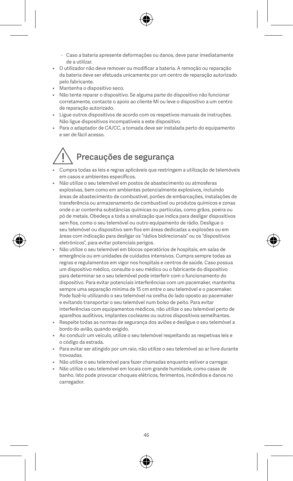- Caso a bateria apresente deformações ou danos, deve parar imediatamente de a utilizar.
- O utilizador não deve remover ou modificar a bateria. A remoção ou reparação da bateria deve ser efetuada unicamente por um centro de reparação autorizado pelo fabricante.
- Mantenha o dispositivo seco.
- Não tente reparar o dispositivo. Se alguma parte do dispositivo não funcionar corretamente, contacte o apoio ao cliente Mi ou leve o dispositivo a um centro de reparação autorizado.
- Ligue outros dispositivos de acordo com os respetivos manuais de instruções. Não ligue dispositivos incompatíveis a este dispositivo.
- Para o adaptador de CA/CC, a tomada deve ser instalada perto do equipamento e ser de fácil acesso.

# Precauções de segurança

- Cumpra todas as leis e regras aplicáveis que restringem a utilização de telemóveis em casos e ambientes específicos.
- Não utilize o seu telemóvel em postos de abastecimento ou atmosferas explosivas, bem como em ambientes potencialmente explosivos, incluindo áreas de abastecimento de combustível, porões de embarcações, instalações de transferência ou armazenamento de combustível ou produtos químicos e zonas onde o ar contenha substâncias químicas ou partículas, como grãos, poeira ou pó de metais. Obedeça a toda a sinalização que indica para desligar dispositivos sem fios, como o seu telemóvel ou outro equipamento de rádio. Desligue o seu telemóvel ou dispositivo sem fios em áreas dedicadas a explosões ou em áreas com indicação para desligar os "rádios bidirecionais" ou os "dispositivos eletrónicos", para evitar potenciais perigos.
- Não utilize o seu telemóvel em blocos operatórios de hospitais, em salas de emergência ou em unidades de cuidados intensivos. Cumpra sempre todas as regras e regulamentos em vigor nos hospitais e centros de saúde. Caso possua um dispositivo médico, consulte o seu médico ou o fabricante do dispositivo para determinar se o seu telemóvel pode interferir com o funcionamento do dispositivo. Para evitar potenciais interferências com um pacemaker, mantenha sempre uma separação mínima de 15 cm entre o seu telemóvel e o pacemaker. Pode fazê-lo utilizando o seu telemóvel na orelha do lado oposto ao pacemaker e evitando transportar o seu telemóvel num bolso de peito. Para evitar interferências com equipamentos médicos, não utilize o seu telemóvel perto de aparelhos auditivos, implantes cocleares ou outros dispositivos semelhantes.
- Respeite todas as normas de segurança dos aviões e desligue o seu telemóvel a bordo do avião, quando exigido.
- Ao conduzir um veículo, utilize o seu telemóvel respeitando as respetivas leis e o código da estrada.
- Para evitar ser atingido por um raio, não utilize o seu telemóvel ao ar livre durante trovoadas.
- Não utilize o seu telemóvel para fazer chamadas enquanto estiver a carregar.
- Não utilize o seu telemóvel em locais com grande humidade, como casas de banho. Isto pode provocar choques elétricos, ferimentos, incêndios e danos no carregador.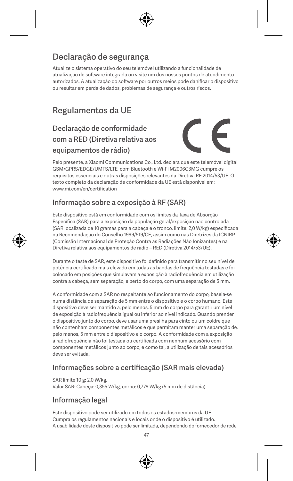## Declaração de segurança

Atualize o sistema operativo do seu telemóvel utilizando a funcionalidade de atualização de software integrada ou visite um dos nossos pontos de atendimento autorizados. A atualização do software por outros meios pode danificar o dispositivo ou resultar em perda de dados, problemas de segurança e outros riscos.

# Regulamentos da UE

## Declaração de conformidade com a RED (Diretiva relativa aos equipamentos de rádio)



Pelo presente, a Xiaomi Communications Co., Ltd. declara que este telemóvel digital GSM/GPRS/EDGE/UMTS/LTE com Bluetooth e Wi-Fi M2006C3MG cumpre os requisitos essenciais e outras disposições relevantes da Diretiva RE 2014/53/UE. O texto completo da declaração de conformidade da UE está disponível em: www.mi.com/en/certification

#### Informação sobre a exposição à RF (SAR)

Este dispositivo está em conformidade com os limites da Taxa de Absorção Específica (SAR) para a exposição da população geral/exposição não controlada (SAR localizada de 10 gramas para a cabeça e o tronco, limite: 2,0 W/kg) especificada na Recomendação do Conselho 1999/519/CE, assim como nas Diretrizes da ICNIRP (Comissão Internacional de Proteção Contra as Radiações Não Ionizantes) e na Diretiva relativa aos equipamentos de rádio – RED (Diretiva 2014/53/UE).

Durante o teste de SAR, este dispositivo foi definido para transmitir no seu nível de potência certificado mais elevado em todas as bandas de frequência testadas e foi colocado em posições que simulavam a exposição à radiofrequência em utilização contra a cabeça, sem separação, e perto do corpo, com uma separação de 5 mm.

A conformidade com a SAR no respeitante ao funcionamento do corpo, baseia-se numa distância de separação de 5 mm entre o dispositivo e o corpo humano. Este dispositivo deve ser mantido a, pelo menos, 5 mm do corpo para garantir um nível de exposição à radiofrequência igual ou inferior ao nível indicado. Quando prender o dispositivo junto do corpo, deve usar uma presilha para cinto ou um coldre que não contenham componentes metálicos e que permitam manter uma separação de, pelo menos, 5 mm entre o dispositivo e o corpo. A conformidade com a exposição à radiofrequência não foi testada ou certificada com nenhum acessório com componentes metálicos junto ao corpo, e como tal, a utilização de tais acessórios deve ser evitada.

#### Informações sobre a certificação (SAR mais elevada)

SAR limite 10 g: 2,0 W/kg, Valor SAR: Cabeça: 0,355 W/kg, corpo: 0,779 W/kg (5 mm de distância).

#### Informação legal

Este dispositivo pode ser utilizado em todos os estados-membros da UE. Cumpra os regulamentos nacionais e locais onde o dispositivo é utilizado. A usabilidade deste dispositivo pode ser limitada, dependendo do fornecedor de rede.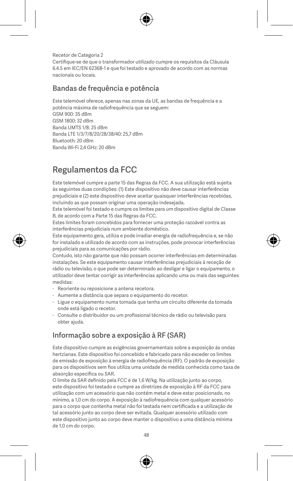Recetor de Categoria 2 Certifique-se de que o transformador utilizado cumpre os requisitos da Cláusula 6.4.5 em IEC/EN 62368-1 e que foi testado e aprovado de acordo com as normas nacionais ou locais.

#### Bandas de frequência e potência

Este telemóvel oferece, apenas nas zonas da UE, as bandas de frequência e a

potência máxima de radiofrequência que se seguem: GSM 900: 35 dBm GSM 1800: 32 dBm Banda UMTS 1/8: 25 dBm Banda LTE 1/3/7/8/20/28/38/40: 25,7 dBm Bluetooth: 20 dBm Banda Wi-Fi 2,4 GHz: 20 dBm

# Regulamentos da FCC

Este telemóvel cumpre a parte 15 das Regras da FCC. A sua utilização está sujeita às seguintes duas condições: (1) Este dispositivo não deve causar interferências prejudiciais e (2) este dispositivo deve aceitar quaisquer interferências recebidas, incluindo as que possam originar uma operação indesejada.

Este telemóvel foi testado e cumpre os limites para um dispositivo digital de Classe B, de acordo com a Parte 15 das Regras da FCC.

Estes limites foram concebidos para fornecer uma proteção razoável contra as interferências prejudiciais num ambiente doméstico.

Este equipamento gera, utiliza e pode irradiar energia de radiofrequência e, se não for instalado e utilizado de acordo com as instruções, pode provocar interferências prejudiciais para as comunicações por rádio.

Contudo, isto não garante que não possam ocorrer interferências em determinadas instalações. Se este equipamento causar interferências prejudiciais à receção de rádio ou televisão, o que pode ser determinado ao desligar e ligar o equipamento, o utilizador deve tentar corrigir as interferências aplicando uma ou mais das seguintes medidas:

- Reoriente ou reposicione a antena recetora.
- Aumente a distância que separa o equipamento do recetor.
- Ligue o equipamento numa tomada que tenha um circuito diferente da tomada onde está ligado o recetor.
- Consulte o distribuidor ou um profissional técnico de rádio ou televisão para obter ajuda.

#### Informação sobre a exposição à RF (SAR)

Este dispositivo cumpre as exigências governamentais sobre a exposição às ondas hertzianas. Este dispositivo foi concebido e fabricado para não exceder os limites de emissão de exposição à energia de radiofrequência (RF). O padrão de exposição para os dispositivos sem fios utiliza uma unidade de medida conhecida como taxa de absorção específica ou SAR.

O limite da SAR definido pela FCC é de 1,6 W/kg. Na utilização junto ao corpo, este dispositivo foi testado e cumpre as diretrizes de exposição à RF da FCC para utilização com um acessório que não contém metal e deve estar posicionado, no mínimo, a 1,0 cm do corpo. A exposição à radiofrequência com qualquer acessório para o corpo que contenha metal não foi testada nem certificada e a utilização de tal acessório junto ao corpo deve ser evitada. Qualquer acessório utilizado com este dispositivo junto ao corpo deve manter o dispositivo a uma distância mínima de 1,0 cm do corpo.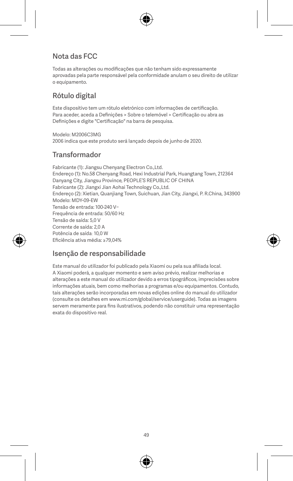#### Nota das FCC

Todas as alterações ou modificações que não tenham sido expressamente aprovadas pela parte responsável pela conformidade anulam o seu direito de utilizar o equipamento.

#### Rótulo digital

Este dispositivo tem um rótulo eletrónico com informações de certificação. Para aceder, aceda a Definições > Sobre o telemóvel > Certificação ou abra as Definições e digite "Certificação" na barra de pesquisa.

Modelo: M2006C3MG 2006 indica que este produto será lançado depois de junho de 2020.

#### Transformador

Fabricante (1): Jiangsu Chenyang Electron Co.,Ltd. Endereço (1): No.58 Chenyang Road, Hexi Industrial Park, Huangtang Town, 212364 Danyang City, Jiangsu Province, PEOPLE'S REPUBLIC OF CHINA Fabricante (2): Jiangxi Jian Aohai Technology Co.,Ltd. Endereço (2): Xietian, Quanjiang Town, Suichuan, Jian City, Jiangxi, P. R.China, 343900 Modelo: MDY-09-EW Tensão de entrada: 100-240 V~ Frequência de entrada: 50/60 Hz Tensão de saída: 5,0 V Corrente de saída: 2,0 A Potência de saída: 10,0 W Eficiência ativa média: ≥79,04%

#### Isenção de responsabilidade

Este manual do utilizador foi publicado pela Xiaomi ou pela sua afiliada local. A Xiaomi poderá, a qualquer momento e sem aviso prévio, realizar melhorias e alterações a este manual do utilizador devido a erros tipográficos, imprecisões sobre informações atuais, bem como melhorias a programas e/ou equipamentos. Contudo, tais alterações serão incorporadas em novas edições online do manual do utilizador (consulte os detalhes em www.mi.com/global/service/userguide). Todas as imagens servem meramente para fins ilustrativos, podendo não constituir uma representação exata do dispositivo real.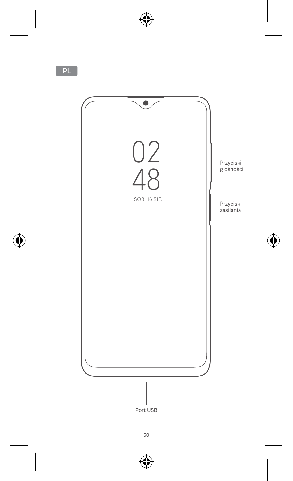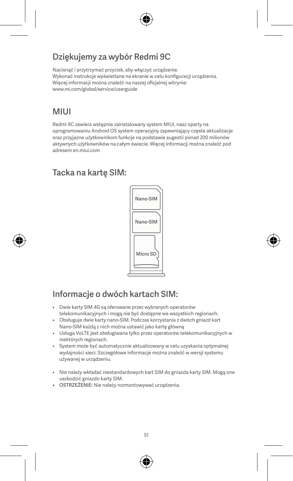# Dziękujemy za wybór Redmi 9C

Nacisnąć i przytrzymać przycisk, aby włączyć urządzenie. Wykonać instrukcje wyświetlane na ekranie w celu konfiguracji urządzenia. Więcej informacji można znaleźć na naszej oficjalnej witrynie: www.mi.com/global/service/userguide

## MIUI

Redmi 9C zawiera wstępnie zainstalowany system MIUI, nasz oparty na oprogramowaniu Android OS system operacyjny zapewniający częste aktualizacje oraz przyjazne użytkownikom funkcje na podstawie sugestii ponad 200 milionów aktywnych użytkowników na całym świecie. Więcej informacji można znaleźć pod adresem en.miui.com

## Tacka na kartę SIM:



# Informacje o dwóch kartach SIM:

- Dwie karty SIM 4G są oferowane przez wybranych operatorów telekomunikacyjnych i mogą nie być dostępne we wszystkich regionach.
- Obsługuje dwie karty nano-SIM. Podczas korzystania z dwóch gniazd kart Nano-SIM każdą z nich można ustawić jako kartę główną
- Usługa VoLTE jest obsługiwana tylko przez operatorów telekomunikacyjnych w niektórych regionach.
- System może być automatycznie aktualizowany w celu uzyskania optymalnej wydajności sieci. Szczegółowe informacje można znaleźć w wersji systemu używanej w urządzeniu.
- Nie należy wkładać niestandardowych kart SIM do gniazda karty SIM. Mogą one uszkodzić gniazdo karty SIM.
- OSTRZEŻENIE: Nie należy rozmontowywać urządzenia.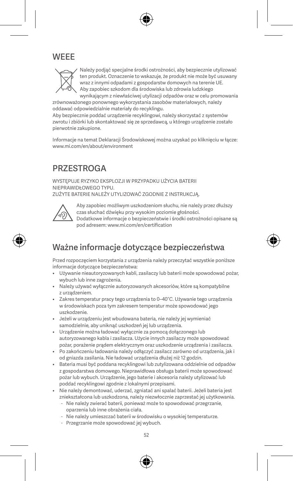## **WEEE**



Należy podjąć specjalne środki ostrożności, aby bezpiecznie utylizować ten produkt. Oznaczenie to wskazuje, że produkt nie może być usuwany wraz z innymi odpadami z gospodarstw domowych na terenie UE. Aby zapobiec szkodom dla środowiska lub zdrowia ludzkiego wynikającym z niewłaściwej utylizacji odpadów oraz w celu promowania

zrównoważonego ponownego wykorzystania zasobów materiałowych, należy oddawać odpowiedzialnie materiały do recyklingu.

Aby bezpiecznie poddać urządzenie recyklingowi, należy skorzystać z systemów zwrotu i zbiórki lub skontaktować się ze sprzedawcą, u którego urządzenie zostało pierwotnie zakupione.

Informacje na temat Deklaracji Środowiskowej można uzyskać po kliknięciu w łącze: www.mi.com/en/about/environment

## **PRZESTROGA**

WYSTEPU JE RYZYKO EKSPLOZ JI W PRZYPADKU UŻYCIA BATERII NIEPRAWIDŁOWEGO TYPU. ZUŻYTE BATERIE NALEŻY UTYLIZOWAĆ ZGODNIE Z INSTRUKCJĄ.



Aby zapobiec możliwym uszkodzeniom słuchu, nie należy przez dłuższy czas słuchać dźwięku przy wysokim poziomie głośności. Dodatkowe informacje o bezpieczeństwie i środki ostrożności opisane są pod adresem: www.mi.com/en/certification

# Ważne informacje dotyczące bezpieczeństwa

Przed rozpoczęciem korzystania z urządzenia należy przeczytać wszystkie poniższe informacje dotyczące bezpieczeństwa:

- Używanie nieautoryzowanych kabli, zasilaczy lub baterii może spowodować pożar, wybuch lub inne zagrożenia.
- Należy używać wyłącznie autoryzowanych akcesoriów, które są kompatybilne z urządzeniem.
- Zakres temperatur pracy tego urządzenia to 0–40°C. Używanie tego urządzenia w środowiskach poza tym zakresem temperatur może spowodować jego uszkodzenie.
- Jeżeli w urządzeniu jest wbudowana bateria, nie należy jej wymieniać samodzielnie, aby uniknąć uszkodzeń jej lub urządzenia.
- Urządzenie można ładować wyłącznie za pomocą dołączonego lub autoryzowanego kabla i zasilacza. Użycie innych zasilaczy może spowodować pożar, porażenie prądem elektrycznym oraz uszkodzenie urządzenia i zasilacza.
- Po zakończeniu ładowania należy odłączyć zasilacz zarówno od urządzenia, jak i od gniazda zasilania. Nie ładować urządzenia dłużej niż 12 godzin.
- Bateria musi być poddana recyklingowi lub zutylizowana oddzielnie od odpadów z gospodarstwa domowego. Nieprawidłowa obsługa baterii może spowodować pożar lub wybuch. Urządzenie, jego baterie i akcesoria należy utylizować lub poddać recyklingowi zgodnie z lokalnymi przepisami.
- Nie należy demontować, uderzać, zgniatać ani spalać baterii. Jeżeli bateria jest zniekształcona lub uszkodzona, należy niezwłocznie zaprzestać jej użytkowania.
	- Nie należy zwierać baterii, ponieważ może to spowodować przegrzanie, oparzenia lub inne obrażenia ciała.
	- Nie należy umieszczać baterii w środowisku o wysokiej temperaturze.
	- Przegrzanie może spowodować jej wybuch.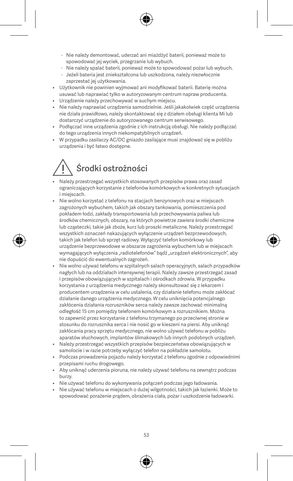- Nie należy demontować, uderzać ani miażdżyć baterii, ponieważ może to spowodować jej wyciek, przegrzanie lub wybuch.
- Nie należy spalać baterii, ponieważ może to spowodować pożar lub wybuch.
- Jeżeli bateria jest zniekształcona lub uszkodzona, należy niezwłocznie zaprzestać jej użytkowania.
- Użytkownik nie powinien wyjmować ani modyfikować baterii. Baterię można usuwać lub naprawiać tylko w autoryzowanym centrum napraw producenta.
- Urządzenie należy przechowywać w suchym miejscu.
- Nie należy naprawiać urządzenia samodzielnie. Jeśli jakakolwiek część urządzenia nie działa prawidłowo, należy skontaktować się z działem obsługi klienta Mi lub dostarczyć urządzenie do autoryzowanego centrum serwisowego.
- Podłączać inne urządzenia zgodnie z ich instrukcją obsługi. Nie należy podłączać do tego urządzenia innych niekompatybilnych urządzeń.
- W przypadku zasilaczy AC/DC gniazdo zasilające musi znajdować się w pobliżu urządzenia i być łatwo dostępne.

# Środki ostrożności

- Należy przestrzegać wszystkich stosowanych przepisów prawa oraz zasad ograniczających korzystanie z telefonów komórkowych w konkretnych sytuacjach i mieiscach.
- Nie wolno korzystać z telefonu na stacjach benzynowych oraz w miejscach zagrożonych wybuchem, takich jak obszary tankowania, pomieszczenia pod pokładem łodzi, zakłady transportowania lub przechowywania paliwa lub środków chemicznych, obszary, na których powietrze zawiera środki chemiczne lub cząsteczki, takie jak zboże, kurz lub proszki metaliczne. Należy przestrzegać wszystkich oznaczeń nakazujących wyłączenie urządzeń bezprzewodowych, takich jak telefon lub sprzęt radiowy. Wyłączyć telefon komórkowy lub urządzenie bezprzewodowe w obszarze zagrożenia wybuchem lub w miejscach wymagających wyłączenia "radiotelefonów" bądź "urządzeń elektronicznych", aby nie dopuścić do ewentualnych zagrożeń.
- Nie wolno używać telefonu w szpitalnych salach operacyjnych, salach przypadków nagłych lub na oddziałach intensywnej terapii. Należy zawsze przestrzegać zasad i przepisów obowiązujących w szpitalach i ośrodkach zdrowia. W przypadku korzystania z urządzenia medycznego należy skonsultować się z lekarzem i producentem urządzenia w celu ustalenia, czy działanie telefonu może zakłócać działanie danego urządzenia medycznego. W celu uniknięcia potencjalnego zakłócenia działania rozruszników serca należy zawsze zachować minimalną odległość 15 cm pomiędzy telefonem komórkowym a rozrusznikiem. Można to zapewnić przez korzystanie z telefonu trzymanego po przeciwnej stronie w stosunku do rozrusznika serca i nie nosić go w kieszeni na piersi. Aby uniknąć zakłócania pracy sprzętu medycznego, nie wolno używać telefonu w pobliżu aparatów słuchowych, implantów ślimakowych lub innych podobnych urządzeń.
- Należy przestrzegać wszystkich przepisów bezpieczeństwa obowiązujących w samolocie i w razie potrzeby wyłączyć telefon na pokładzie samolotu.
- Podczas prowadzenia pojazdu należy korzystać z telefonu zgodnie z odpowiednimi przepisami ruchu drogowego.
- Aby uniknąć uderzenia pioruna, nie należy używać telefonu na zewnątrz podczas burzy.
- Nie używać telefonu do wykonywania połączeń podczas jego ładowania.
- Nie używać telefonu w miejscach o dużej wilgotności, takich jak łazienki. Może to spowodować porażenie prądem, obrażenia ciała, pożar i uszkodzenie ładowarki.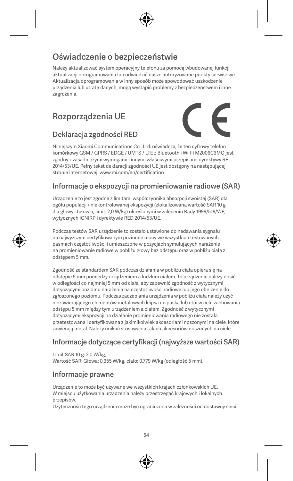# Oświadczenie o bezpieczeństwie

Należy aktualizować system operacyjny telefonu za pomocą wbudowanej funkcji aktualizacji oprogramowania lub odwiedzić nasze autoryzowane punkty serwisowe. Aktualizacja oprogramowania w inny sposób może spowodować uszkodzenie urządzenia lub utratę danych, mogą wystąpić problemy z bezpieczeństwem i inne zagrożenia.

## Rozporządzenia UE



#### Deklaracja zgodności RED

Niniejszym Xiaomi Communications Co., Ltd. oświadcza, że ten cyfrowy telefon komórkowy GSM / GPRS / EDGE / UMTS / LTE z Bluetooth i Wi-Fi M2006C3MG jest zgodny z zasadniczymi wymogami i innymi właściwymi przepisami dyrektywy RE 2014/53/UE. Pełny tekst deklaracji zgodności UE jest dostępny na następującej stronie internetowej: www.mi.com/en/certification

## Informacje o ekspozycji na promieniowanie radiowe (SAR)

Urządzenie to jest zgodne z limitami współczynnika absorpcji swoistej (SAR) dla ogółu populacji / niekontrolowanej ekspozycji (zlokalizowana wartość SAR 10 g dla głowy i tułowia, limit: 2,0 W/kg) określonymi w zaleceniu Rady 1999/519/WE, wytycznych ICNIRP i dyrektywie RED 2014/53/UE.

Podczas testów SAR urządzenie to zostało ustawione do nadawania sygnału na najwyższym certyfikowanym poziomie mocy we wszystkich testowanych pasmach częstotliwości i umieszczone w pozycjach symulujących narażenie na promieniowanie radiowe w pobliżu głowy bez odstępu oraz w pobliżu ciała z odstępem 5 mm.

Zgodność ze standardem SAR podczas działania w pobliżu ciała opiera się na odstępie 5 mm pomiędzy urządzeniem a ludzkim ciałem. To urządzenie należy nosić w odległości co najmniej 5 mm od ciała, aby zapewnić zgodność z wytycznymi dotyczącymi poziomu narażenia na częstotliwości radiowe lub jego obniżenie do zgłoszonego poziomu. Podczas zaczepiania urządzenia w pobliżu ciała należy użyć niezawierającego elementów metalowych klipsa do paska lub etui w celu zachowania odstępu 5 mm między tym urządzeniem a ciałem. Zgodność z wytycznymi dotyczącymi ekspozycji na działanie promieniowania radiowego nie została przetestowana i certyfikowana z jakimikolwiek akcesoriami noszonymi na ciele, które zawierają metal. Należy unikać stosowania takich akcesoriów noszonych na ciele.

#### Informacje dotyczące certyfikacji (najwyższe wartości SAR)

Limit SAR 10 g: 2,0 W/kg, Wartość SAR: Głowa: 0,355 W/kg, ciało: 0,779 W/kg (odległość 5 mm).

#### Informacje prawne

Urządzenie to może być używane we wszystkich krajach członkowskich UE. W miejscu użytkowania urządzenia należy przestrzegać krajowych i lokalnych przepisów.

Użyteczność tego urządzenia może być ograniczona w zależności od dostawcy sieci.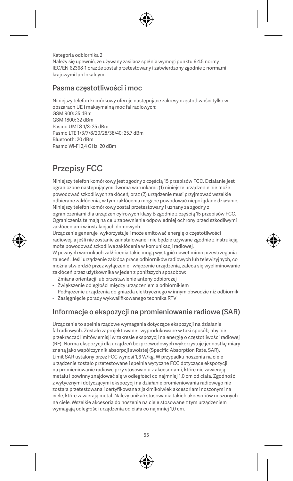Kategoria odbiornika 2 Należy się upewnić, że używany zasilacz spełnia wymogi punktu 6.4.5 normy IEC/EN 62368-1 oraz że został przetestowany i zatwierdzony zgodnie z normami krajowymi lub lokalnymi.

#### Pasma częstotliwości i moc

Niniejszy telefon komórkowy oferuje następujące zakresy częstotliwości tylko w obszarach UE i maksymalną moc fal radiowych: GSM 900: 35 dBm GSM 1800: 32 dBm Pasmo UMTS 1/8: 25 dBm Pasmo LTE 1/3/7/8/20/28/38/40: 25,7 dBm Bluetooth: 20 dBm Pasmo Wi-Fi 2,4 GHz: 20 dBm

# Przepisy FCC

Niniejszy telefon komórkowy jest zgodny z częścią 15 przepisów FCC. Działanie jest ograniczone następującymi dwoma warunkami: (1) niniejsze urządzenie nie może powodować szkodliwych zakłóceń; oraz (2) urządzenie musi przyjmować wszelkie odbierane zakłócenia, w tym zakłócenia mogące powodować niepożądane działanie. Niniejszy telefon komórkowy został przetestowany i uznany za zgodny z ograniczeniami dla urządzeń cyfrowych klasy B zgodnie z częścią 15 przepisów FCC.

Ograniczenia te mają na celu zapewnienie odpowiedniej ochrony przed szkodliwymi zakłóceniami w instalacjach domowych.

Urządzenie generuje, wykorzystuje i może emitować energię o częstotliwości radiowej, a jeśli nie zostanie zainstalowane i nie będzie używane zgodnie z instrukcją, może powodować szkodliwe zakłócenia w komunikacji radiowej.

W pewnych warunkach zakłócenia takie mogą wystąpić nawet mimo przestrzegania zaleceń. Jeśli urządzenie zakłóca pracę odbiorników radiowych lub telewizyjnych, co można stwierdzić przez wyłączenie i włączenie urządzenia, zaleca się wyeliminowanie zakłóceń przez użytkownika w jeden z poniższych sposobów:

- Zmiana orientacji lub przestawienie anteny odbiorczej
- Zwiększenie odległości między urządzeniem a odbiornikiem
- Podłączenie urządzenia do gniazda elektrycznego w innym obwodzie niż odbiornik
- Zasięgnięcie porady wykwalifikowanego technika RTV

#### Informacje o ekspozycji na promieniowanie radiowe (SAR)

Urządzenie to spełnia rządowe wymagania dotyczące ekspozycji na działanie fal radiowych. Zostało zaprojektowane i wyprodukowane w taki sposób, aby nie przekraczać limitów emisji w zakresie ekspozycji na energię o częstotliwości radiowej (RF). Norma ekspozycji dla urządzeń bezprzewodowych wykorzystuje jednostkę miary znaną jako współczynnik absorpcji swoistej (Specific Absorption Rate, SAR). Limit SAR ustalony przez FCC wynosi 1,6 W/kg. W przypadku noszenia na ciele urządzenie zostało przetestowane i spełnia wytyczne FCC dotyczące ekspozycji na promieniowanie radiowe przy stosowaniu z akcesoriami, które nie zawierają metalu i powinny znajdować się w odległości co najmniej 1,0 cm od ciała. Zgodność z wytycznymi dotyczącymi ekspozycji na działanie promieniowania radiowego nie została przetestowana i certyfikowana z jakimikolwiek akcesoriami noszonymi na ciele, które zawierają metal. Należy unikać stosowania takich akcesoriów noszonych na ciele. Wszelkie akcesoria do noszenia na ciele stosowane z tym urządzeniem wymagają odległości urządzenia od ciała co najmniej 1,0 cm.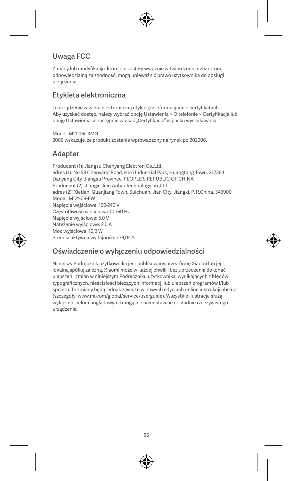#### Uwaga FCC

Zmiany lub modyfikacje, które nie zostały wyraźnie zatwierdzone przez stronę odpowiedzialną za zgodność, mogą unieważnić prawo użytkownika do obsługi urządzenia.

#### Etykieta elektroniczna

To urządzenie zawiera elektroniczną etykietę z informacjami o certyfikatach. Aby uzyskać dostęp, należy wybrać opcję Ustawienia > O telefonie > Certyfikacja lub opcję Ustawienia, a następnie wpisać "Certyfikacja" w pasku wyszukiwania.

Model: M2006C3MG 2006 wskazuje, że produkt zostanie wprowadzony na rynek po 202006.

#### Adapter

Producent (1): Jiangsu Chenyang Electron Co.,Ltd. adres (1): No.58 Chenyang Road, Hexi Industrial Park, Huangtang Town, 212364 Danyang City, Jiangsu Province, PEOPLE'S REPUBLIC OF CHINA Producent (2): Jiangxi Jian Aohai Technology co., Ltd. adres (2): Xietian, Quanjiang Town, Suichuan, Jian City, Jiangxi, P. R.China, 343900 Model: MDY-09-EW Napięcie wejściowe: 100-240 V~ Częstotliwość wejściowa: 50/60 Hz Napięcie wyjściowe: 5,0 V Natężenie wyjściowe: 2,0 A Moc wyjściowa: 10,0 W Średnia aktywna wydajność: ≥79,04%

#### Oświadczenie o wyłączeniu odpowiedzialności

Niniejszy Podręcznik użytkownika jest publikowany przez firmę Xiaomi lub jej lokalną spółkę zależną. Xiaomi może w każdej chwili i bez uprzedzenia dokonać ulepszeń i zmian w niniejszym Podręczniku użytkownika, wynikających z błędów typograficznych, nieścisłości bieżących informacji lub ulepszeń programów i/lub sprzętu. Te zmiany będą jednak zawarte w nowych edycjach online instrukcji obsługi (szczegóły: www.mi.com/global/service/userguide). Wszystkie ilustracje służą wyłącznie celom poglądowym i mogą nie przedstawiać dokładnie rzeczywistego urządzenia.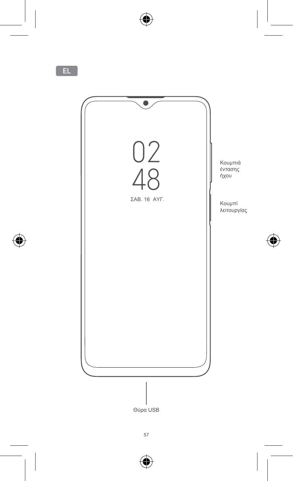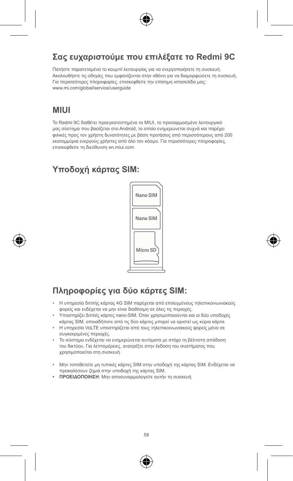## **Σας ευχαριστούμε που επιλέξατε το Redmi 9C**

Πατήστε παρατεταμένα το κουμπί λειτουργίας για να ενεργοποιήσετε τη συσκευή. Ακολουθήστε τις οδηγίες που εμφανίζονται στην οθόνη για να διαμορφώσετε τη συσκευή. Για περισσότερες πληροφορίες, επισκεφθείτε την επίσημη ιστοσελίδα μας: www.mi.com/global/service/userguide

## **MIUI**

Το Redmi 9C διαθέτει προεγκατεστημένο το MIUI, το προσαρμοσμένο λειτουργικό μας σύστημα που βασίζεται στο Android, το οποίο ενημερώνεται συχνά και παρέχει φιλικές προς τον χρήστη δυνατότητες με βάση προτάσεις από περισσότερους από 200 εκατομμύρια ενεργούς χρήστες από όλο τον κόσμο. Για περισσότερες πληροφορίες, επισκεφθείτε τη διεύθυνση en.miui.com

# **Υποδοχή κάρτας SIM:**



# **Πληροφορίες για δύο κάρτες SIM:**

- Η υπηρεσία διπλής κάρτας 4G SIM παρέχεται από επιλεγμένους τηλεπικοινωνιακούς φορείς και ενδέχεται να μην είναι διαθέσιμη σε όλες τις περιοχές.
- Υποστηρίζει διπλές κάρτες nano-SIM. Όταν χρησιμοποιούνται και οι δύο υποδοχές κάρτας SIM, οποιαδήποτε από τις δύο κάρτες μπορεί να οριστεί ως κύρια κάρτα.
- Η υπηρεσία VoLTE υποστηρίζεται από τους τηλεπικοινωνιακούς φορείς μόνο σε συγκεκριμένες περιοχές.
- Το σύστημα ενδέχεται να ενημερώνεται αυτόματα με στόχο τη βέλτιστη απόδοση του δικτύου. Για λεπτομέρειες, ανατρέξτε στην έκδοση του συστήματος που χρησιμοποιείται στη συσκευή.
- Μην τοποθετείτε μη τυπικές κάρτες SIM στην υποδοχή της κάρτας SIM. Ενδέχεται να προκαλέσουν ζημιά στην υποδοχή της κάρτας SIM.
- **• ΠΡΟΕΙΔΟΠΟΙΗΣΗ**: Μην αποσυναρμολογείτε αυτήν τη συσκευή.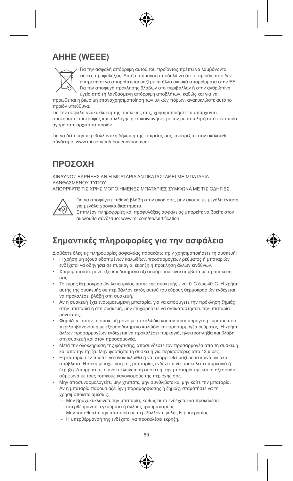## **AHHE (WEEE)**



Για την ασφαλή απόρριψη αυτού του προϊόντος πρέπει να λαμβάνονται ειδικές προφυλάξεις. Αυτή η σήμανση υποδηλώνει ότι το προϊόν αυτό δεν επιτρέπεται να απορρίπτεται μαζί με τα άλλα οικιακά απορρίμματα στην ΕΕ. Για την αποφυγή πρόκλησης βλαβών στο περιβάλλον ή στην ανθρώπινη υγεία από τη λανθασμένη απόρριψη αποβλήτων, καθώς και για να

προωθείται η βιώσιμη επαναχρησιμοποίηση των υλικών πόρων, ανακυκλώστε αυτό το προϊόν υπεύθυνα.

Για την ασφαλή ανακύκλωση της συσκευής σας, χρησιμοποιήστε τα υπάρχοντα συστήματα επιστροφής και συλλογής ή επικοινωνήστε με τον μεταπωλητή από τον οποίο αγοράσατε αρχικά το προϊόν.

Για να δείτε την περιβαλλοντική δήλωση της εταιρείας μας, ανατρέξτε στον ακόλουθο σύνδεσμο: www.mi.com/en/about/environment

## **ΠΡΟΣΟΧΗ**

ΚΙΝΔΥΝΟΣ ΕΚΡΗΞΗΣ ΑΝ Η ΜΠΑΤΑΡΙΑ ΑΝΤΙΚΑΤΑΣΤΑΘΕΙ ΜΕ ΜΠΑΤΑΡΙΑ ΛΑΝΘΑΣΜΕΝΟΥ ΤΥΠΟΥ. ΑΠΟΡΡΙΨΤΕ ΤΙΣ ΧΡΗΣΙΜΟΠΟΙΗΜΕΝΕΣ ΜΠΑΤΑΡΙΕΣ ΣΥΜΦΩΝΑ ΜΕ ΤΙΣ ΟΔΗΓΙΕΣ.



Για να αποφύγετε πιθανή βλάβη στην ακοή σας, μην ακούτε με μεγάλη ένταση για μεγάλα χρονικά διαστήματα.

Επιπλέον πληροφορίες και προφυλάξεις ασφαλείας μπορείτε να βρείτε στον ακόλουθο σύνδεσμο: www.mi.com/en/certification

# **Σημαντικές πληροφορίες για την ασφάλεια**

Διαβάστε όλες τις πληροφορίες ασφαλείας παρακάτω πριν χρησιμοποιήσετε τη συσκευή:

- Η χρήση μη εξουσιοδοτημένων καλωδίων, προσαρμογέων ρεύματος ή μπαταριών ενδέχεται να οδηγήσει σε πυρκαγιά, έκρηξη ή πρόκληση άλλων κινδύνων.
- Χρησιμοποιείτε μόνο εξουσιοδοτημένα αξεσουάρ που είναι συμβατά με τη συσκευή σας.
- Το εύρος θερμοκρασιών λειτουργίας αυτής της συσκευής είναι 0°C έως 40°C. Η χρήση αυτής της συσκευής σε περιβάλλον εκτός αυτού του εύρους θερμοκρασιών ενδέχεται να προκαλέσει βλάβη στη συσκευή.
- Αν η συσκευή έχει ενσωματωμένη μπαταρία, για να αποφύγετε την πρόκληση ζημιάς στην μπαταρία ή στη συσκευή, μην επιχειρήσετε να αντικαταστήσετε την μπαταρία μόνοι σας.
- Φορτίζετε αυτήν τη συσκευή μόνο με το καλώδιο και τον προσαρμογέα ρεύματος που περιλαμβάνονται ή με εξουσιοδοτημένο καλώδιο και προσαρμογέα ρεύματος. Η χρήση άλλων προσαρμογέων ενδέχεται να προκαλέσει πυρκαγιά, ηλεκτροπληξία και βλάβη στη συσκευή και στον προσαρμογέα.
- Μετά την ολοκλήρωση της φόρτισης, αποσυνδέστε τον προσαρμογέα από τη συσκευή και από την πρίζα. Μην φορτίζετε τη συσκευή για περισσότερες από 12 ώρες.
- Η μπαταρία δεν πρέπει να ανακυκλωθεί ή να απορριφθεί μαζί με τα κοινά οικιακά απόβλητα. Η κακή μεταχείριση της μπαταρίας ενδέχεται να προκαλέσει πυρκαγιά ή έκρηξη. Απορρίπτετε ή ανακυκλώνετε τη συσκευή, την μπαταρία της και τα αξεσουάρ σύμφωνα με τους τοπικούς κανονισμούς της περιοχής σας.
- Μην αποσυναρμολογείτε, μην χτυπάτε, μην συνθλίβετε και μην καίτε την μπαταρία. Αν η μπαταρία παρουσιάζει ίχνη παραμόρφωσης ή ζημιάς, σταματήστε να τη χρησιμοποιείτε αμέσως.
	- Μην βραχυκυκλώνετε την μπαταρία, καθώς αυτό ενδέχεται να προκαλέσει υπερθέρμανση, εγκαύματα ή άλλους τραυματισμούς.
	- Μην τοποθετείτε την μπαταρία σε περιβάλλον υψηλής θερμοκρασίας.
	- Η υπερθέρμανσή της ενδέχεται να προκαλέσει έκρηξη.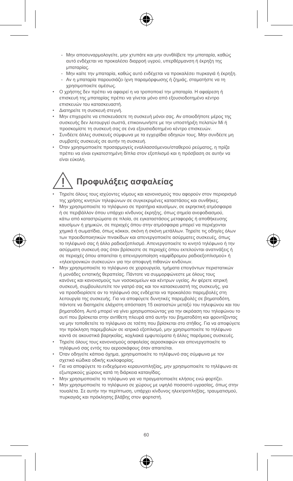- Μην αποσυναρμολογείτε, μην χτυπάτε και μην συνθλίβετε την μπαταρία, καθώς αυτό ενδέχεται να προκαλέσει διαρροή υγρού, υπερθέρμανση ή έκρηξη της μπαταρίας.
- Μην καίτε την μπαταρία, καθώς αυτό ενδέχεται να προκαλέσει πυρκαγιά ή έκρηξη.
- Αν η μπαταρία παρουσιάζει ίχνη παραμόρφωσης ή ζημιάς, σταματήστε να τη χρησιμοποιείτε αμέσως.
- Ο χρήστης δεν πρέπει να αφαιρεί η να τροποποιεί την μπαταρία. Η αφαίρεση ή επισκευή της μπαταρίας πρέπει να γίνεται μόνο από εξουσιοδοτημένο κέντρο επισκευών του κατασκευαστή.
- Διατηρείτε τη συσκευή στεγνή.
- Μην επιχειρείτε να επισκευάσετε τη συσκευή μόνοι σας. Αν οποιοδήποτε μέρος της συσκευής δεν λειτουργεί σωστά, επικοινωνήστε με την υποστήριξη πελατών Mi ή προσκομίστε τη συσκευή σας σε ένα εξουσιοδοτημένο κέντρο επισκευών.
- Συνδέετε άλλες συσκευές σύμφωνα με τα εγχειρίδια οδηγιών τους. Μην συνδέετε μη συμβατές συσκευές σε αυτήν τη συσκευή.
- Όταν χρησιμοποιείτε προσαρμογείς εναλλασσόμενου/σταθερού ρεύματος, η πρίζα πρέπει να είναι εγκατεστημένη δίπλα στον εξοπλισμό και η πρόσβαση σε αυτήν να είναι εύκολη.

# **Προφυλάξεις ασφαλείας**

- Τηρείτε όλους τους ισχύοντες νόμους και κανονισμούς που αφορούν στον περιορισμό της χρήσης κινητών τηλεφώνων σε συγκεκριμένες καταστάσεις και συνθήκες.
- Μην χρησιμοποιείτε το τηλέφωνο σε πρατήρια καυσίμων, σε εκρηκτική ατμόσφαιρα ή σε περιβάλλον όπου υπάρχει κίνδυνος έκρηξης, όπως σημεία ανεφοδιασμού, κάτω από καταστρώματα σε πλοία, σε εγκαταστάσεις μεταφοράς ή αποθήκευσης καυσίμων ή χημικών, σε περιοχές όπου στην ατμόσφαιρα μπορεί να περιέχονται χημικά ή σωματίδια, όπως κόκκοι, σκόνη ή σκόνη μετάλλων. Τηρείτε τις οδηγίες όλων των προειδοποιητικών πινακίδων και απενεργοποιείτε ασύρματες συσκευές, όπως το τηλέφωνό σας ή άλλο ραδιοεξοπλισμό. Απενεργοποιείτε το κινητό τηλέφωνο ή την ασύρματη συσκευή σας όταν βρίσκεστε σε περιοχές όπου εκτελούνται ανατινάξεις ή σε περιοχές όπου απαιτείται η απενεργοποίηση «αμφίδρομου ραδιοεξοπλισμού» ή «ηλεκτρονικών συσκευών» για την αποφυγή πιθανών κινδύνων.
- Μην χρησιμοποιείτε το τηλέφωνο σε χειρουργεία, τμήματα επειγόντων περιστατικών ή μονάδες εντατικής θεραπείας. Πάντοτε να συμμορφώνεστε με όλους τους κανόνες και κανονισμούς των νοσοκομείων και κέντρων υγείας. Αν φέρετε ιατρική συσκευή, συμβουλευτείτε τον γιατρό σας και τον κατασκευαστή της συσκευής, για να προσδιορίσετε αν το τηλέφωνό σας ενδέχεται να προκαλέσει παρεμβολές στη λειτουργία της συσκευής. Για να αποφύγετε δυνητικές παρεμβολές σε βηματοδότη, πάντοτε να διατηρείτε ελάχιστη απόσταση 15 εκατοστών μεταξύ του τηλεφώνου και του βηματοδότη. Αυτό μπορεί να γίνει χρησιμοποιώντας για την ακρόαση του τηλεφώνου το αυτί που βρίσκεται στην αντίθετη πλευρά από αυτήν του βηματοδότη και φροντίζοντας να μην τοποθετείτε το τηλέφωνο σε τσέπη που βρίσκεται στο στήθος. Για να αποφύγετε την πρόκληση παρεμβολών σε ιατρικό εξοπλισμό, μην χρησιμοποιείτε το τηλέφωνο κοντά σε ακουστικά βαρηκοΐας, κοχλιακά εμφυτεύματα ή άλλες παρόμοιες συσκευές.
- Τηρείτε όλους τους κανονισμούς ασφαλείας αεροσκαφών και απενεργοποιείτε το τηλέφωνό σας εντός του αεροσκάφους όταν απαιτείται.
- Όταν οδηγείτε κάποιο όχημα, χρησιμοποιείτε το τηλέφωνό σας σύμφωνα με τον σχετικό κώδικα οδικής κυκλοφορίας.
- Για να αποφύγετε το ενδεχόμενο κεραυνοπληξίας, μην χρησιμοποιείτε το τηλέφωνο σε εξωτερικούς χώρους κατά τη διάρκεια καταιγίδας.
- Μην χρησιμοποιείτε το τηλέφωνο για να πραγματοποιείτε κλήσεις ενώ φορτίζει.
- Μην χρησιμοποιείτε το τηλέφωνο σε χώρους με υψηλό ποσοστό υγρασίας, όπως στην τουαλέτα. Σε αυτήν την περίπτωση, υπάρχει κίνδυνος ηλεκτροπληξίας, τραυματισμού, πυρκαγιάς και πρόκλησης βλάβης στον φορτιστή.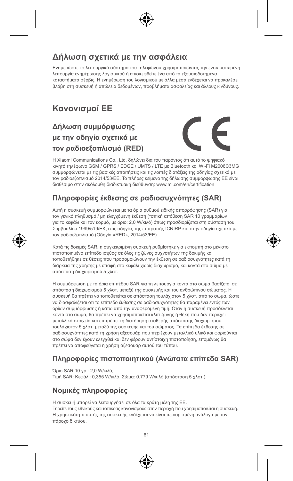## **Δήλωση σχετικά με την ασφάλεια**

Ενημερώστε το λειτουργικό σύστημα του τηλεφώνου χρησιμοποιώντας την ενσωματωμένη λειτουργία ενημέρωσης λογισμικού ή επισκεφθείτε ένα από τα εξουσιοδοτημένα καταστήματα σέρβις. Η ενημέρωση του λογισμικού με άλλα μέσα ενδέχεται να προκαλέσει βλάβη στη συσκευή ή απώλεια δεδομένων, προβλήματα ασφαλείας και άλλους κινδύνους.

## **Κανονισμοί ΕΕ**

## **Δήλωση συμμόρφωσης με την οδηγία σχετικά με τον ραδιοεξοπλισμό (RED)**



Η Xiaomi Communications Co., Ltd. δηλώνει δια του παρόντος ότι αυτό το ψηφιακό κινητό τηλέφωνο GSM / GPRS / EDGE / UMTS / LTE με Bluetooth και Wi-Fi M2006C3MG συμμορφώνεται με τις βασικές απαιτήσεις και τις λοιπές διατάξεις της οδηγίας σχετικά με τον ραδιοεξοπλισμό 2014/53/ΕΕ. Το πλήρες κείμενο της δήλωσης συμμόρφωσης ΕΕ είναι διαθέσιμο στην ακόλουθη διαδικτυακή διεύθυνση: www.mi.com/en/certification

#### **Πληροφορίες έκθεσης σε ραδιοσυχνότητες (SAR)**

Αυτή η συσκευή συμμορφώνεται με τα όρια ρυθμού ειδικής απορρόφησης (SAR) για τον γενικό πληθυσμό / μη ελεγχόμενη έκθεση (τοπική απόθεση SAR 10 γραμμαρίων για το κεφάλι και τον κορμό, με όριο: 2,0 W/κιλό) όπως προσδιορίζεται στη σύσταση του Συμβουλίου 1999/519/ΕΚ, στις οδηγίες της επιτροπής ICNIRP και στην οδηγία σχετικά με τον ραδιοεξοπλισμό (Οδηγία «RED», 2014/53/ΕΕ).

Κατά τις δοκιμές SAR, η συγκεκριμένη συσκευή ρυθμίστηκε για εκπομπή στο μέγιστο πιστοποιημένο επίπεδο ισχύος σε όλες τις ζώνες συχνοτήτων της δοκιμής και τοποθετήθηκε σε θέσεις που προσομοιώνουν την έκθεση σε ραδιοσυχνότητες κατά τη διάρκεια της χρήσης με επαφή στο κεφάλι χωρίς διαχωρισμό, και κοντά στο σώμα με απόσταση διαχωρισμού 5 χλστ.

Η συμμόρφωση με τα όρια επιπέδου SAR για τη λειτουργία κοντά στο σώμα βασίζεται σε απόσταση διαχωρισμού 5 χλστ. μεταξύ της συσκευής και του ανθρώπινου σώματος. Η συσκευή θα πρέπει να τοποθετείται σε απόσταση τουλάχιστον 5 χλστ. από το σώμα, ώστε να διασφαλίζεται ότι το επίπεδο έκθεσης σε ραδιοσυχνότητες θα παραμένει εντός των ορίων συμμόρφωσης ή κάτω από την αναφερόμενη τιμή. Όταν η συσκευή προσδένεται κοντά στο σώμα, θα πρέπει να χρησιμοποιείται κλιπ ζώνης ή θήκη που δεν περιέχει μεταλλικά στοιχεία και επιτρέπει τη διατήρηση σταθερής απόστασης διαχωρισμού τουλάχιστον 5 χλστ. μεταξύ της συσκευής και του σώματος. Τα επίπεδα έκθεσης σε ραδιοσυχνότητες κατά τη χρήση αξεσουάρ που περιέχουν μεταλλικό υλικό και φοριούνται στο σώμα δεν έχουν ελεγχθεί και δεν φέρουν αντίστοιχη πιστοποίηση, επομένως θα πρέπει να αποφεύγεται η χρήση αξεσουάρ αυτού του τύπου.

#### **Πληροφορίες πιστοποιητικού (Ανώτατα επίπεδα SAR)**

Όριο SAR 10 γρ.: 2,0 W/κιλό, Τιμή SAR: Κεφάλι: 0,355 W/κιλό, Σώμα: 0,779 W/κιλό (απόσταση 5 χλστ.).

#### **Νομικές πληροφορίες**

Η συσκευή μπορεί να λειτουργήσει σε όλα τα κράτη μέλη της ΕΕ. Τηρείτε τους εθνικούς και τοπικούς κανονισμούς στην περιοχή που χρησιμοποιείται η συσκευή. Η χρηστικότητα αυτής της συσκευής ενδέχεται να είναι περιορισμένη ανάλογα με τον πάροχο δικτύου.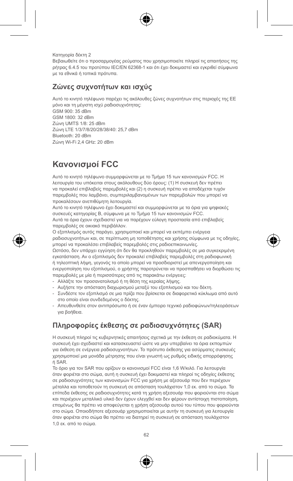Κατηγορία δέκτη 2

Βεβαιωθείτε ότι ο προσαρμογέας ρεύματος που χρησιμοποιείτε πληροί τις απαιτήσεις της ρήτρας 6.4.5 του προτύπου IEC/EN 62368-1 και ότι έχει δοκιμαστεί και εγκριθεί σύμφωνα με τα εθνικά ή τοπικά πρότυπα.

#### **Ζώνες συχνοτήτων και ισχύς**

Αυτό το κινητό τηλέφωνο παρέχει τις ακόλουθες ζώνες συχνοτήτων στις περιοχές της ΕΕ μόνο και τη μέγιστη ισχύ ραδιοσυχνότητας:

GSM 900: 35 dBm GSM 1800: 32 dBm Ζώνη UMTS 1/8: 25 dBm Ζώνη LTE 1/3/7/8/20/28/38/40: 25,7 dBm Bluetooth: 20 dBm Ζώνη Wi-Fi 2,4 GHz: 20 dBm

# **Κανονισμοί FCC**

Αυτό το κινητό τηλέφωνο συμμορφώνεται με το Τμήμα 15 των κανονισμών FCC. Η λειτουργία του υπόκειται στους ακόλουθους δύο όρους: (1) Η συσκευή δεν πρέπει να προκαλεί επιβλαβείς παρεμβολές και (2) η συσκευή πρέπει να αποδέχεται τυχόν παρεμβολές που λαμβάνει, συμπεριλαμβανομένων των παρεμβολών που μπορεί να προκαλέσουν ανεπιθύμητη λειτουργία.

Αυτό το κινητό τηλέφωνο έχει δοκιμαστεί και συμμορφώνεται με τα όρια για ψηφιακές συσκευές κατηγορίας Β, σύμφωνα με το Τμήμα 15 των κανονισμών FCC. Αυτά τα όρια έχουν σχεδιαστεί για να παρέχουν εύλογη προστασία από επιβλαβείς παρεμβολές σε οικιακό περιβάλλον.

Ο εξοπλισμός αυτός παράγει, χρησιμοποιεί και μπορεί να εκπέμπει ενέργεια ραδιοσυχνοτήτων και, σε περίπτωση μη τοποθέτησης και χρήσης σύμφωνα με τις οδηγίες, μπορεί να προκαλέσει επιβλαβείς παρεμβολές στις ραδιοεπικοινωνίες.

Ωστόσο, δεν υπάρχει εγγύηση ότι δεν θα προκληθούν παρεμβολές σε μια συγκεκριμένη εγκατάσταση. Αν ο εξοπλισμός δεν προκαλεί επιβλαβείς παρεμβολές στη ραδιοφωνική ή τηλεοπτική λήψη, γεγονός το οποίο μπορεί να προσδιοριστεί με απενεργοποίηση και ενεργοποίηση του εξοπλισμού, ο χρήστης παροτρύνεται να προσπαθήσει να διορθώσει τις παρεμβολές με μία ή περισσότερες από τις παρακάτω ενέργειες:

- Αλλάξτε τον προσανατολισμό ή τη θέση της κεραίας λήψης.
- Αυξήστε την απόσταση διαχωρισμού μεταξύ του εξοπλισμού και του δέκτη.
- Συνδέστε τον εξοπλισμό σε μια πρίζα που βρίσκεται σε διαφορετικό κύκλωμα από αυτό στο οποίο είναι συνδεδεμένος ο δέκτης.
- Απευθυνθείτε στον αντιπρόσωπο ή σε έναν έμπειρο τεχνικό ραδιοφώνων/τηλεοράσεων για βοήθεια.

## **Πληροφορίες έκθεσης σε ραδιοσυχνότητες (SAR)**

Η συσκευή πληροί τις κυβερνητικές απαιτήσεις σχετικά με την έκθεση σε ραδιοκύματα. Η συσκευή έχει σχεδιαστεί και κατασκευαστεί ώστε να μην υπερβαίνει τα όρια εκπομπών για έκθεση σε ενέργεια ραδιοσυχνοτήτων. Το πρότυπο έκθεσης για ασύρματες συσκευές χρησιμοποιεί μια μονάδα μέτρησης που είναι γνωστή ως ρυθμός ειδικής απορρόφησης ή SAR.

Το όριο για τον SAR που ορίζουν οι κανονισμοί FCC είναι 1,6 W/κιλό. Για λειτουργία όταν φοριέται στο σώμα, αυτή η συσκευή έχει δοκιμαστεί και πληροί τις οδηγίες έκθεσης σε ραδιοσυχνότητες των κανονισμών FCC για χρήση με αξεσουάρ που δεν περιέχουν μέταλλα και τοποθετούν τη συσκευή σε απόσταση τουλάχιστον 1,0 εκ. από το σώμα. Τα επίπεδα έκθεσης σε ραδιοσυχνότητες κατά τη χρήση αξεσουάρ που φοριούνται στο σώμα και περιέχουν μεταλλικό υλικό δεν έχουν ελεγχθεί και δεν φέρουν αντίστοιχη πιστοποίηση, επομένως θα πρέπει να αποφεύγεται η χρήση αξεσουάρ αυτού του τύπου που φοριούνται στο σώμα. Οποιοδήποτε αξεσουάρ χρησιμοποιείται με αυτήν τη συσκευή για λειτουργία όταν φοριέται στο σώμα θα πρέπει να διατηρεί τη συσκευή σε απόσταση τουλάχιστον 1,0 εκ. από το σώμα.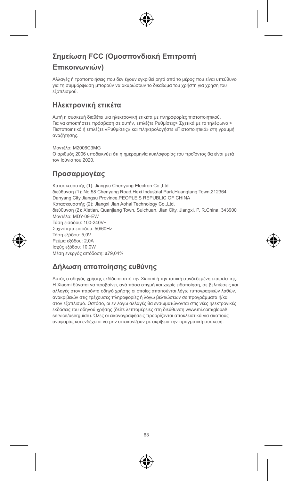#### **Σημείωση FCC (Ομοσπονδιακή Επιτροπή**

#### **Επικοινωνιών)**

Αλλαγές ή τροποποιήσεις που δεν έχουν εγκριθεί ρητά από το μέρος που είναι υπεύθυνο για τη συμμόρφωση μπορούν να ακυρώσουν το δικαίωμα του χρήστη για χρήση του εξοπλισμού.

#### **Ηλεκτρονική ετικέτα**

Αυτή η συσκευή διαθέτει μια ηλεκτρονική ετικέτα με πληροφορίες πιστοποιητικού. Για να αποκτήσετε πρόσβαση σε αυτήν, επιλέξτε Ρυθμίσεις> Σχετικά με το τηλέφωνο > Πιστοποιητικό ή επιλέξτε «Ρυθμίσεις» και πληκτρολογήστε «Πιστοποιητικό» στη γραμμή αναζήτησης.

Μοντέλο: M2006C3MG Ο αριθμός 2006 υποδεικνύει ότι η ημερομηνία κυκλοφορίας του προϊόντος θα είναι μετά τον Ιούνιο του 2020.

#### **Προσαρμογέας**

Κατασκευαστής (1): Jiangsu Chenyang Electron Co., Ltd. διεύθυνση (1): No.58 Chenyang Road,Hexi Industrial Park,Huangtang Town,212364 Danyang City,Jiangsu Province,PEOPLE'S REPUBLIC OF CHINA Κατασκευαστής (2): Jiangxi Jian Aohai Technology Co.,Ltd. διεύθυνση (2): Xietian, Quanjiang Town, Suichuan, Jian City, Jiangxi, P. R.China, 343900 Μοντέλο: MDY-09-EW Τάση εισόδου: 100-240V~ Συχνότητα εισόδου: 50/60Hz Τάση εξόδου: 5,0V Ρεύμα εξόδου: 2,0A Ισχύς εξόδου: 10,0W Μέση ενεργός απόδοση: ≥79,04%

#### **Δήλωση αποποίησης ευθύνης**

Αυτός ο οδηγός χρήσης εκδίδεται από την Xiaomi ή την τοπική συνδεδεμένη εταιρεία της. Η Xiaomi δύναται να προβαίνει, ανά πάσα στιγμή και χωρίς ειδοποίηση, σε βελτιώσεις και αλλαγές στον παρόντα οδηγό χρήσης οι οποίες απαιτούνται λόγω τυπογραφικών λαθών, ανακριβειών στις τρέχουσες πληροφορίες ή λόγω βελτιώσεων σε προγράμματα ή/και στον εξοπλισμό. Ωστόσο, οι εν λόγω αλλαγές θα ενσωματώνονται στις νέες ηλεκτρονικές εκδόσεις του οδηγού χρήσης (δείτε λεπτομέρειες στη διεύθυνση www.mi.com/global/ service/userguide). Όλες οι εικονογραφήσεις προορίζονται αποκλειστικά για σκοπούς αναφοράς και ενδέχεται να μην απεικονίζουν με ακρίβεια την πραγματική συσκευή.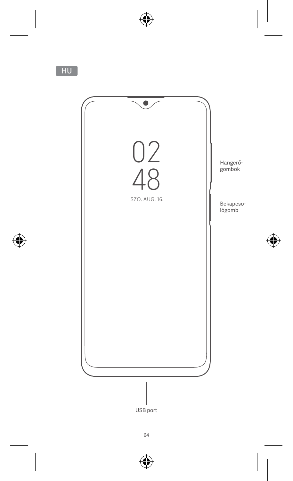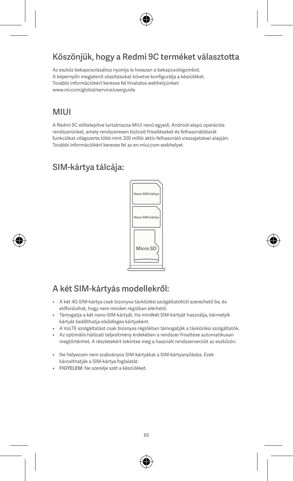## Köszönjük, hogy a Redmi 9C terméket választotta

Az eszköz bekapcsolásához nyomja le hosszan a bekapcsológombot. A képernyőn megjelenő utasításokat követve konfigurálja a készüléket. További információkért keresse fel hivatalos webhelyünket: www.mi.com/global/service/userguide

## **MILII**

A Redmi 9C előtelepítve tartalmazza MIUI nevű egyedi, Android-alapú operációs rendszerünket, amely rendszeresen biztosít frissítéseket és felhasználóbarát funkciókat világszerte több mint 200 millió aktív felhasználó visszajelzései alapján. További információkért keresse fel az en.miui.com webhelyet

# SIM-kártya tálcája:



# A két SIM-kártyás modellekről:

- A két 4G SIM-kártya csak bizonyos távközlési szolgáltatóktól szerezhető be, és előfordulhat, hogy nem minden régióban elérhető.
- Támogatja a két nano-SIM-kártyát. Ha mindkét SIM-kártyát használja, bármelyik kártyát beállíthatja elsődleges kártyaként.
- A VoLTE szolgáltatást csak bizonyos régiókban támogatják a távközlési szolgáltatók.
- Az optimális hálózati teljesítmény érdekében a rendszer frissítése automatikusan megtörténhet. A részletekért tekintse meg a használt rendszerverziót az eszközön.
- Ne helyezzen nem szabványos SIM-kártyákat a SIM-kártyanyílásba. Ezek károsíthatják a SIM-kártya foglalatát.
- FIGYELEM: Ne szerelje szét a készüléket.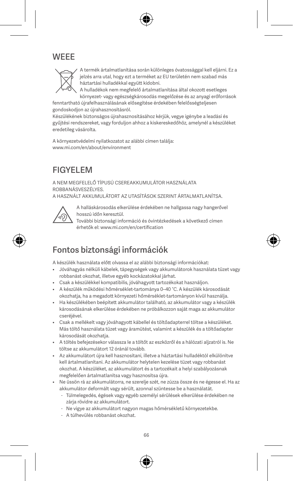## **WEEE**



A termék ártalmatlanítása során különleges óvatossággal kell eljárni. Ez a jelzés arra utal, hogy ezt a terméket az EU területén nem szabad más háztartási hulladékkal együtt kidobni.

A hulladékok nem megfelelő ártalmatlanítása által okozott esetleges környezet- vagy egészségkárosodás megelőzése és az anyagi erőforrások

fenntartható újrafelhasználásának elősegítése érdekében felelősségteljesen gondoskodjon az újrahasznosításról.

Készülékének biztonságos újrahasznosításához kérjük, vegye igénybe a leadási és gyűjtési rendszereket, vagy forduljon ahhoz a kiskereskedőhöz, amelynél a készüléket eredetileg vásárolta.

A környezetvédelmi nyilatkozatot az alábbi címen találja: www.mi.com/en/about/environment

# FIGYELEM

A NEM MEGFELELŐ TÍPUSÚ CSEREAKKUMULÁTOR HASZNÁLATA ROBBANÁSVESZÉLYES.

A HASZNÁLT AKKUMULÁTORT AZ UTASÍTÁSOK SZERINT ÁRTALMATLANÍTSA.



A halláskárosodás elkerülése érdekében ne hallgassa nagy hangerővel hosszú időn keresztül.

További biztonsági információ és óvintézkedések a következő címen érhetők el: www.mi.com/en/certification

# Fontos biztonsági információk

A készülék használata előtt olvassa el az alábbi biztonsági információkat:

- Jóváhagyás nélküli kábelek, tápegységek vagy akkumulátorok használata tüzet vagy robbanást okozhat, illetve egyéb kockázatokkal járhat.
- Csak a készülékkel kompatibilis, jóváhagyott tartozékokat használjon.
- A készülék működési hőmérséklet-tartománya 0–40 °C. A készülék károsodását okozhatja, ha a megadott környezeti hőmérséklet-tartományon kívül használja.
- Ha készülékében beépített akkumulátor található, az akkumulátor vagy a készülék károsodásának elkerülése érdekében ne próbálkozzon saját maga az akkumulátor cseréjével.
- Csak a mellékelt vagy jóváhagyott kábellel és töltőadapterrel töltse a készüléket. Más töltő használata tüzet vagy áramütést, valamint a készülék és a töltőadapter károsodását okozhatja.
- A töltés befejezésekor válassza le a töltőt az eszközről és a hálózati aljzatról is. Ne töltse az akkumulátort 12 óránál tovább.
- Az akkumulátort újra kell hasznosítani, illetve a háztartási hulladéktól elkülönítve kell ártalmatlanítani. Az akkumulátor helytelen kezelése tüzet vagy robbanást okozhat. A készüléket, az akkumulátort és a tartozékait a helyi szabályozásnak megfelelően ártalmatlanítsa vagy hasznosítsa újra.
- Ne üssön rá az akkumulátorra, ne szerelje szét, ne zúzza össze és ne égesse el. Ha az akkumulátor deformált vagy sérült, azonnal szüntesse be a használatát.
	- Túlmelegedés, égések vagy egyéb személyi sérülések elkerülése érdekében ne zárja rövidre az akkumulátort.
	- Ne vigye az akkumulátort nagyon magas hőmérsékletű környezetekbe.
	- A túlhevülés robbanást okozhat.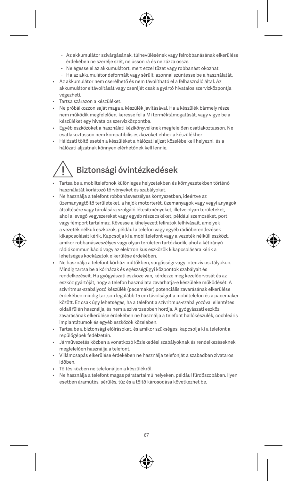- Az akkumulátor szivárgásának, túlhevülésének vagy felrobbanásának elkerülése érdekében ne szerelje szét, ne üssön rá és ne zúzza össze.
- Ne égesse el az akkumulátort, mert ezzel tüzet vagy robbanást okozhat.
- Ha az akkumulátor deformált vagy sérült, azonnal szüntesse be a használatát.
- Az akkumulátor nem cserélhető és nem távolítható el a felhasználó által. Az akkumulátor eltávolítását vagy cseréjét csak a gyártó hivatalos szervizközpontja végezheti.
- Tartsa szárazon a készüléket.
- Ne próbálkozzon saját maga a készülék javításával. Ha a készülék bármely része nem működik megfelelően, keresse fel a Mi terméktámogatását, vagy vigye be a készüléket egy hivatalos szervizközpontba.
- Egyéb eszközöket a használati kézikönyveiknek megfelelően csatlakoztasson. Ne csatlakoztasson nem kompatibilis eszközöket ehhez a készülékhez.
- Hálózati töltő esetén a készüléket a hálózati aljzat közelébe kell helyezni, és a hálózati aljzatnak könnyen elérhetőnek kell lennie.

# Biztonsági óvintézkedések

- Tartsa be a mobiltelefonok különleges helyzetekben és környezetekben történő használatát korlátozó törvényeket és szabályokat.
- Ne használja a telefont robbanásveszélyes környezetben, ideértve az üzemanyagtöltő területeket, a hajók motorterét, üzemanyagok vagy vegyi anyagok áttöltésére vagy tárolására szolgáló létesítményeket, illetve olyan területeket, ahol a levegő vegyszereket vagy egyéb részecskéket, például szemcséket, port vagy fémport tartalmaz. Kövesse a kihelyezett feliratok felhívásait, amelyek a vezeték nélküli eszközök, például a telefon vagy egyéb rádióberendezések kikapcsolását kérik. Kapcsolja ki a mobiltelefont vagy a vezeték nélküli eszközt, amikor robbanásveszélyes vagy olyan területen tartózkodik, ahol a kétirányú rádiókommunikáció vagy az elektronikus eszközök kikapcsolására kérik a lehetséges kockázatok elkerülése érdekében.
- Ne használja a telefont kórházi műtőkben, sürgősségi vagy intenzív osztályokon. Mindig tartsa be a kórházak és egészségügyi központok szabályait és rendelkezéseit. Ha gyógyászati eszköze van, kérdezze meg kezelőorvosát és az eszköz gyártóját, hogy a telefon használata zavarhatja-e készüléke működését. A szívritmus-szabályozó készülék (pacemaker) potenciális zavarásának elkerülése érdekében mindig tartson legalább 15 cm távolságot a mobiltelefon és a pacemaker között. Ez csak úgy lehetséges, ha a telefont a szívritmus-szabályozóval ellentétes oldali fülén használja, és nem a szivarzsebben hordja. A gyógyászati eszköz zavarásának elkerülése érdekében ne használja a telefont hallókészülék, cochleáris implantátumok és egyéb eszközök közelében.
- Tartsa be a biztonsági előírásokat, és amikor szükséges, kapcsolja ki a telefont a repülőgépek fedélzetén.
- Járművezetés közben a vonatkozó közlekedési szabályoknak és rendelkezéseknek megfelelően használja a telefont.
- Villámcsapás elkerülése érdekében ne használja telefonját a szabadban zivataros időben.
- Töltés közben ne telefonáljon a készülékről.
- Ne használja a telefont magas páratartalmú helyeken, például fürdőszobában. Ilyen esetben áramütés, sérülés, tűz és a töltő károsodása következhet be.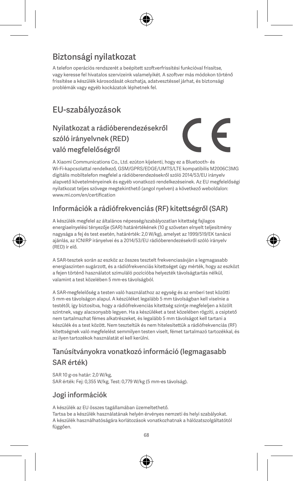# Biztonsági nyilatkozat

A telefon operációs rendszerét a beépített szoftverfrissítési funkcióval frissítse, vagy keresse fel hivatalos szervizeink valamelyikét. A szoftver más módokon történő frissítése a készülék károsodását okozhatja, adatvesztéssel járhat, és biztonsági problémák vagy egyéb kockázatok léphetnek fel.

# EU-szabályozások

## Nyilatkozat a rádióberendezésekről szóló irányelvnek (RED) való megfelelőségről



A Xiaomi Communications Co., Ltd. ezúton kijelenti, hogy ez a Bluetooth- és Wi-Fi-kapcsolattal rendelkező, GSM/GPRS/EDGE/UMTS/LTE kompatibilis M2006C3MG digitális mobiltelefon megfelel a rádióberendezésekről szóló 2014/53/EU irányelv alapvető követelményeinek és egyéb vonatkozó rendelkezéseinek. Az EU megfelelőségi nyilatkozat teljes szövege megtekinthető (angol nyelven) a következő weboldalon: www.mi.com/en/certification

#### Információk a rádiófrekvenciás (RF) kitettségről (SAR)

A készülék megfelel az általános népesség/szabályozatlan kitettség fajlagos energiaelnyelési tényezője (SAR) határértékének (10 g szöveten elnyelt teljesítmény nagysága a fej és test esetén, határérték: 2,0 W/kg), amelyet az 1999/519/EK tanácsi ajánlás, az ICNIRP irányelvei és a 2014/53/EU rádióberendezésekről szóló irányelv (RED) ír elő.

A SAR-tesztek során az eszköz az összes tesztelt frekvenciasávján a legmagasabb energiaszinten sugárzott, és a rádiófrekvenciás kitettséget úgy mérték, hogy az eszközt a fejen történő használatot szimuláló pozícióba helyezték távolságtartás nélkül, valamint a test közelében 5 mm-es távolságból.

A SAR-megfelelőség a testen való használathoz az egység és az emberi test közötti 5 mm-es távolságon alapul. A készüléket legalább 5 mm távolságban kell viselnie a testétől, így biztosítva, hogy a rádiófrekvenciás kitettség szintje megfeleljen a közölt szintnek, vagy alacsonyabb legyen. Ha a készüléket a test közelében rögzíti, a csiptető nem tartalmazhat fémes alkatrészeket, és legalább 5 mm távolságot kell tartani a készülék és a test között. Nem teszteltük és nem hitelesítettük a rádiófrekvenciás (RF) kitettségnek való megfelelést semmilyen testen viselt, fémet tartalmazó tartozékkal, és az ilyen tartozékok használatát el kell kerülni.

## Tanúsítványokra vonatkozó információ (legmagasabb SAR érték)

SAR 10 g-os határ: 2,0 W/kg SAR érték: Fej: 0,355 W/kg, Test: 0,779 W/kg (5 mm-es távolság).

#### Jogi információk

A készülék az EU összes tagállamában üzemeltethető. Tartsa be a készülék használatának helyén érvényes nemzeti és helyi szabályokat. A készülék használhatóságára korlátozások vonatkozhatnak a hálózatszolgáltatótól függően.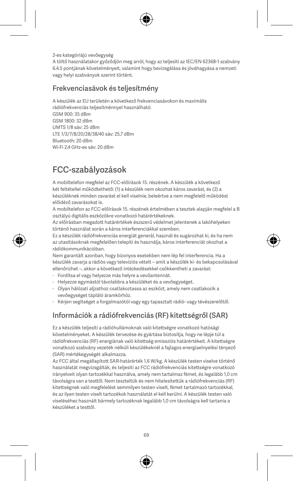2-es kategóriájú vevőegység

A töltő használatakor győződjön meg arról, hogy az teljesíti az IEC/EN 62368-1 szabvány 6.4.5 pontjának követelményeit, valamint hogy bevizsgálása és jóváhagyása a nemzeti vagy helyi szabványok szerint történt.

#### Frekvenciasávok és teljesítmény

A készülék az EU területén a következő frekvenciasávokon és maximális

rádiófrekvenciás teljesítménnyel használható: GSM 900: 35 dBm GSM 1800: 32 dBm UMTS 1/8 sáv: 25 dBm LTE 1/3/7/8/20/28/38/40 sáv: 25,7 dBm Bluetooth: 20 dBm Wi-Fi 2,4 GHz-es sáv: 20 dBm

# FCC-szabályozások

A mobiltelefon megfelel az FCC-előírások 15. részének. A készülék a következő két feltétellel működtethető: (1) a készülék nem okozhat káros zavarást, és (2) a készüléknek minden zavarást el kell viselnie, beleértve a nem megfelelő működést előidéző zavarásokat is.

A mobiltelefon az FCC-előírások 15. részének értelmében a tesztek alapján megfelel a B osztályú digitális eszközökre vonatkozó határértékeknek.

Az előírásban megadott határértékek észszerű védelmet jelentenek a lakóhelyeken történő használat során a káros interferenciákkal szemben.

Ez a készülék rádiófrekvenciás energiát generál, használ és sugározhat ki, és ha nem az utasításoknak megfelelően telepíti és használja, káros interferenciát okozhat a rádiókommunikációban.

Nem garantált azonban, hogy bizonyos esetekben nem lép fel interferencia. Ha a készülék zavarja a rádiós vagy televíziós vételt – amit a készülék ki- és bekapcsolásával ellenőrizhet –, akkor a következő intézkedésekkel csökkentheti a zavarást:

- Fordítsa el vagy helyezze más helyre a vevőantennát.
- Helyezze egymástól távolabbra a készüléket és a vevőegységet.
- Olyan hálózati aljzathoz csatlakoztassa az eszközt, amely nem csatlakozik a vevőegységet tápláló áramkörhöz.
- Kérjen segítséget a forgalmazótól vagy egy tapasztalt rádió- vagy tévészerelőtől.

#### Információk a rádiófrekvenciás (RF) kitettségről (SAR)

Ez a készülék teljesíti a rádióhullámoknak való kitettségre vonatkozó hatósági követelményeket. A készülék tervezése és gyártása biztosítja, hogy ne lépje túl a rádiófrekvenciás (RF) energiának való kitettség emissziós határértékeit. A kitettségre vonatkozó szabvány vezeték nélküli készülékeknél a fajlagos energiaelnyelési tényező (SAR) mértékegységét alkalmazza.

Az FCC által megállapított SAR-határérték 1,6 W/kg. A készülék testen viselve történő használatát megvizsgálták, és teljesíti az FCC rádiófrekvenciás kitettségre vonatkozó irányelveit olyan tartozékkal használva, amely nem tartalmaz fémet, és legalább 1,0 cm távolságra van a testtől. Nem teszteltük és nem hitelesítettük a rádiófrekvenciás (RF) kitettségnek való megfelelést semmilyen testen viselt, fémet tartalmazó tartozékkal, és az ilyen testen viselt tartozékok használatát el kell kerülni. A készülék testen való viseléséhez használt bármely tartozéknak legalább 1,0 cm távolságra kell tartania a készüléket a testtől.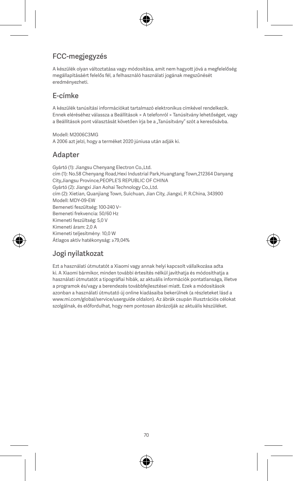## FCC-megjegyzés

A készülék olyan változtatása vagy módosítása, amit nem hagyott jóvá a megfelelőség megállapításáért felelős fél, a felhasználó használati jogának megszűnését eredményezheti.

#### E-címke

A készülék tanúsítási információkat tartalmazó elektronikus címkével rendelkezik. Ennek eléréséhez válassza a Beállítások > A telefonról > Tanúsítvány lehetőséget, vagy a Beállítások pont választását követően írja be a "Tanúsítvány" szót a keresősávba.

Modell: M2006C3MG A 2006 azt jelzi, hogy a terméket 2020 júniusa után adják ki.

#### Adapter

Gyártó (1): Jiangsu Chenyang Electron Co.,Ltd. cím (1): No.58 Chenyang Road,Hexi Industrial Park,Huangtang Town,212364 Danyang City,Jiangsu Province,PEOPLE'S REPUBLIC OF CHINA Gyártó (2): Jiangxi Jian Aohai Technology Co.,Ltd. cím (2): Xietian, Quanjiang Town, Suichuan, Jian City, Jiangxi, P. R.China, 343900 Modell: MDY-09-EW Bemeneti feszültség: 100-240 V~ Bemeneti frekvencia: 50/60 Hz Kimeneti feszültség: 5,0 V Kimeneti áram: 2,0 A Kimeneti teljesítmény: 10,0 W Átlagos aktív hatékonyság: ≥79,04%

#### Jogi nyilatkozat

Ezt a használati útmutatót a Xiaomi vagy annak helyi kapcsolt vállalkozása adta ki. A Xiaomi bármikor, minden további értesítés nélkül javíthatja és módosíthatja a használati útmutatót a tipográfiai hibák, az aktuális információk pontatlansága, illetve a programok és/vagy a berendezés továbbfejlesztései miatt. Ezek a módosítások azonban a használati útmutató új online kiadásaiba bekerülnek (a részleteket lásd a www.mi.com/global/service/userguide oldalon). Az ábrák csupán illusztrációs célokat szolgálnak, és előfordulhat, hogy nem pontosan ábrázolják az aktuális készüléket.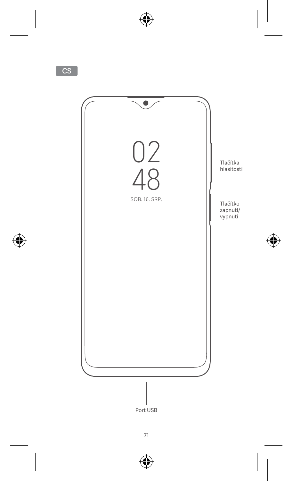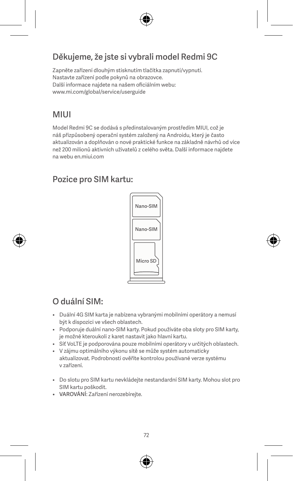# Děkujeme, že jste si vybrali model Redmi 9C

Zapněte zařízení dlouhým stisknutím tlačítka zapnutí/vypnutí. Nastavte zařízení podle pokynů na obrazovce. Další informace najdete na našem oficiálním webu: www.mi.com/global/service/userguide

# MIUI

Model Redmi 9C se dodává s předinstalovaným prostředím MIUI, což je náš přizpůsobený operační systém založený na Androidu, který je často aktualizován a doplňován o nové praktické funkce na základně návrhů od více než 200 milionů aktivních uživatelů z celého světa. Další informace najdete na webu en.miui.com

### Pozice pro SIM kartu:



# O duální SIM:

- Duální 4G SIM karta je nabízena vybranými mobilními operátory a nemusí být k dispozici ve všech oblastech.
- Podporuje duální nano-SIM karty. Pokud používáte oba sloty pro SIM karty, je možné kteroukoli z karet nastavit jako hlavní kartu.
- Síť VoLTE je podporována pouze mobilními operátory v určitých oblastech.
- V zájmu optimálního výkonu sítě se může systém automaticky aktualizovat. Podrobnosti ověříte kontrolou používané verze systému v zařízení.
- Do slotu pro SIM kartu nevkládejte nestandardní SIM karty. Mohou slot pro SIM kartu poškodit.
- VAROVÁNÍ: Zařízení nerozebírejte.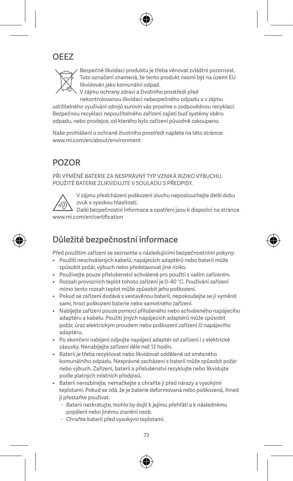# OEEZ



Bezpečné likvidaci produktu je třeba věnovat zvláštní pozornost. Toto označení znamená, že tento produkt nesmí být na území EU likvidován jako komunální odpad.

V zájmu ochrany zdraví a životního prostředí před nekontrolovanou likvidací nebezpečného odpadu a v zájmu

udržitelného využívání zdrojů surovin vás prosíme o zodpovědnou recyklaci. Bezpečnou recyklaci nepoužitelného zařízení zajistí buď systémy sběru odpadu, nebo prodejce, od kterého bylo zařízení původně zakoupeno.

Naše prohlášení o ochraně životního prostředí najdete na této stránce: www.mi.com/en/about/environment

### POZOR

PŘI VÝMĚNĚ BATERIE ZA NESPRÁVNÝ TYP VZNIKÁ RIZIKO VÝBUCHU. POUŽITÉ BATERIE ZLIKVIDUJTE V SOULADU S PŘEDPISY.



V zájmu předcházení poškození sluchu neposlouchejte delší dobu zvuk s vysokou hlasitostí.

Další bezpečnostní informace a opatření jsou k dispozici na stránce www.mi.com/en/certification

### Důležité bezpečnostní informace

Před použitím zařízení se seznamte s následujícími bezpečnostními pokyny:

- Použití neschválených kabelů, napájecích adaptérů nebo baterií může způsobit požár, výbuch nebo představovat jiné riziko.
- Používejte pouze příslušenství schválené pro použití s vaším zařízením.
- Rozsah provozních teplot tohoto zařízení je 0–40 °C. Používání zařízení mimo tento rozsah teplot může způsobit jeho poškození.
- Pokud se zařízení dodává s vestavěnou baterií, nepokoušejte se ji vyměnit sami, hrozí poškození baterie nebo samotného zařízení.
- Nabíjejte zařízení pouze pomocí přiloženého nebo schváleného napájecího adaptéru a kabelu. Použití jiných napájecích adaptérů může způsobit požár, úraz elektrickým proudem nebo poškození zařízení či napájecího adaptéru.
- Po skončení nabíjení odpojte napájecí adaptér od zařízení i z elektrické zásuvky. Nenabíjejte zařízení déle než 12 hodin.
- Baterii je třeba recyklovat nebo likvidovat odděleně od směsného komunálního odpadu. Nesprávné zacházení s baterií může způsobit požár nebo výbuch. Zařízení, baterii a příslušenství recyklujte nebo likvidujte podle platných místních předpisů.
- Baterii nerozbírejte, nemačkejte a chraňte ji před nárazy a vysokými teplotami. Pokud se zdá, že je baterie deformovaná nebo poškozená, ihned ji přestaňte používat.
	- Baterii nezkratujte, mohlo by dojít k jejímu přehřátí a k následnému popálení nebo jinému zranění osob.
	- Chraňte baterii před vysokými teplotami.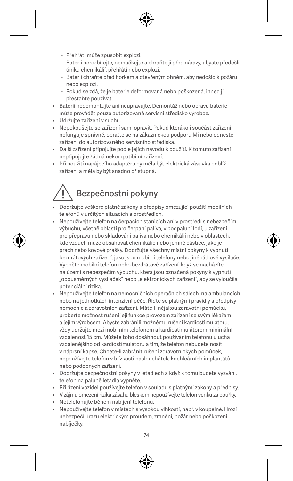- Přehřátí může způsobit explozi.
- Baterii nerozbírejte, nemačkejte a chraňte ji před nárazy, abyste předešli úniku chemikálií, přehřátí nebo explozi.
- Baterii chraňte před horkem a otevřeným ohněm, aby nedošlo k požáru nebo explozi.
- Pokud se zdá, že je baterie deformovaná nebo poškozená, ihned ji přestaňte používat.
- Baterii nedemontujte ani neupravujte. Demontáž nebo opravu baterie může provádět pouze autorizované servisní středisko výrobce.
- Udržujte zařízení v suchu.
- Nepokoušejte se zařízení sami opravit. Pokud kterákoli součást zařízení nefunguje správně, obraťte se na zákaznickou podporu Mi nebo odneste zařízení do autorizovaného servisního střediska.
- Další zařízení připojujte podle jejich návodů k použití. K tomuto zařízení nepřipojujte žádná nekompatibilní zařízení.
- Při použití napájecího adaptéru by měla být elektrická zásuvka poblíž zařízení a měla by být snadno přístupná.

# Bezpečnostní pokyny

- Dodržujte veškeré platné zákony a předpisy omezující použití mobilních telefonů v určitých situacích a prostředích.
- Nepoužívejte telefon na čerpacích stanicích ani v prostředí s nebezpečím výbuchu, včetně oblastí pro čerpání paliva, v podpalubí lodí, u zařízení pro přepravu nebo skladování paliva nebo chemikálií nebo v oblastech, kde vzduch může obsahovat chemikálie nebo jemné částice, jako je prach nebo kovové prášky. Dodržujte všechny místní pokyny k vypnutí bezdrátových zařízení, jako jsou mobilní telefony nebo jiné rádiové vysílače. Vypněte mobilní telefon nebo bezdrátové zařízení, když se nacházíte na území s nebezpečím výbuchu, která jsou označená pokyny k vypnutí "obousměrných vysílaček" nebo "elektronických zařízení", aby se vyloučila potenciální rizika.
- Nepoužívejte telefon na nemocničních operačních sálech, na ambulancích nebo na jednotkách intenzivní péče. Řiďte se platnými pravidly a předpisy nemocnic a zdravotních zařízení. Máte-li nějakou zdravotní pomůcku, proberte možnost rušení její funkce provozem zařízení se svým lékařem a jejím výrobcem. Abyste zabránili možnému rušení kardiostimulátoru, vždy udržujte mezi mobilním telefonem a kardiostimulátorem minimální vzdálenost 15 cm. Můžete toho dosáhnout používáním telefonu u ucha vzdálenějšího od kardiostimulátoru a tím, že telefon nebudete nosit v náprsní kapse. Chcete-li zabránit rušení zdravotnických pomůcek, nepoužívejte telefon v blízkosti naslouchátek, kochleárních implantátů nebo podobných zařízení.
- Dodržujte bezpečnostní pokyny v letadlech a když k tomu budete vyzváni, telefon na palubě letadla vypněte.
- Při řízení vozidel používejte telefon v souladu s platnými zákony a předpisy.
- V zájmu omezení rizika zásahu bleskem nepoužívejte telefon venku za bouřky.
- Netelefonujte během nabíjení telefonu.
- Nepoužívejte telefon v místech s vysokou vlhkostí, např. v koupelně. Hrozí nebezpečí úrazu elektrickým proudem, zranění, požár nebo poškození nabíječky.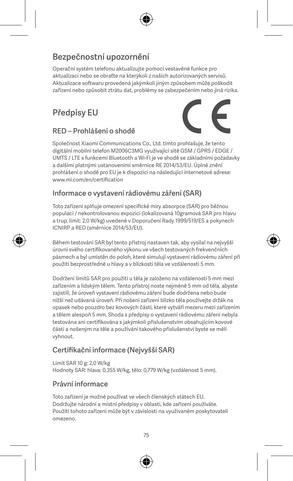# Bezpečnostní upozornění

Operační systém telefonu aktualizujte pomocí vestavěné funkce pro aktualizaci nebo se obraťte na kterýkoli z našich autorizovaných servisů. Aktualizace softwaru provedená jakýmkoli jiným způsobem může poškodit zařízení nebo způsobit ztrátu dat, problémy se zabezpečením nebo jiná rizika.

# Předpisy EU



### RED – Prohlášení o shodě

Společnost Xiaomi Communications Co., Ltd. tímto prohlašuje, že tento digitální mobilní telefon M2006C3MG využívající sítě GSM / GPRS / EDGE / UMTS / LTE s funkcemi Bluetooth a Wi-Fi je ve shodě se základními požadavky a dalšími platnými ustanoveními směrnice RE 2014/53/EU. Úplné znění prohlášení o shodě pro EU je k dispozici na následující internetové adrese: www.mi.com/en/certification

#### Informace o vystavení rádiovému záření (SAR)

Toto zařízení splňuje omezení specifické míry absorpce (SAR) pro běžnou populaci / nekontrolovanou expozici (lokalizovaná 10gramová SAR pro hlavu a trup, limit: 2,0 W/kg) uvedené v Doporučení Rady 1999/519/ES a pokynech ICNIRP a RED (směrnice 2014/53/EU).

Během testování SAR byl tento přístroj nastaven tak, aby vysílal na nejvyšší úrovni svého certifikovaného výkonu ve všech testovaných frekvenčních pásmech a byl umístěn do poloh, které simulují vystavení rádiovému záření při použití bezprostředně u hlavy a v blízkosti těla ve vzdálenosti 5 mm.

Dodržení limitů SAR pro použití u těla je založeno na vzdálenosti 5 mm mezi zařízením a lidským tělem. Tento přístroj noste nejméně 5 mm od těla, abyste zajistili, že úroveň vystavení rádiovému záření bude dodržena nebo bude nižší než udávaná úroveň. Při nošení zařízení blízko těla používejte držák na opasek nebo pouzdro bez kovových částí, které vytváří mezeru mezi zařízením a tělem alespoň 5 mm. Shoda s předpisy o vystavení rádiovému záření nebyla testována ani certifikována s jakýmkoli příslušenstvím obsahujícím kovové části a nošeným na těle a používání takového příslušenství byste se měli vyhnout.

### Certifikační informace (Nejvyšší SAR)

Limit SAR 10 g: 2,0 W/kg Hodnoty SAR: hlava: 0,355 W/kg, tělo: 0,779 W/kg (vzdálenost 5 mm).

#### Právní informace

Toto zařízení je možné používat ve všech členských státech EU. Dodržujte národní a místní předpisy v oblasti, kde zařízení používáte. Použití tohoto zařízení může být v závislosti na využívaném poskytovateli omezeno.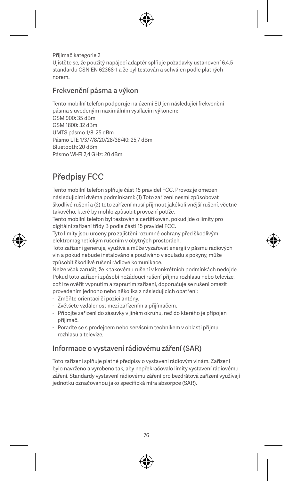Přijímač kategorie 2 Ujistěte se, že použitý napájecí adaptér splňuje požadavky ustanovení 6.4.5 standardu ČSN EN 62368-1 a že byl testován a schválen podle platných norem.

#### Frekvenční pásma a výkon

Tento mobilní telefon podporuje na území EU jen následující frekvenční pásma s uvedeným maximálním vysílacím výkonem: GSM 900: 35 dBm GSM 1800: 32 dBm UMTS pásmo 1/8: 25 dBm Pásmo LTE 1/3/7/8/20/28/38/40: 25,7 dBm Bluetooth: 20 dBm Pásmo Wi-Fi 2,4 GHz: 20 dBm

# Předpisy FCC

Tento mobilní telefon splňuje část 15 pravidel FCC. Provoz je omezen následujícími dvěma podmínkami: (1) Toto zařízení nesmí způsobovat škodlivé rušení a (2) toto zařízení musí přijmout jakékoli vnější rušení, včetně takového, které by mohlo způsobit provozní potíže.

Tento mobilní telefon byl testován a certifikován, pokud jde o limity pro digitální zařízení třídy B podle části 15 pravidel FCC.

Tyto limity jsou určeny pro zajištění rozumné ochrany před škodlivým elektromagnetickým rušením v obytných prostorách.

Toto zařízení generuje, využívá a může vyzařovat energii v pásmu rádiových vln a pokud nebude instalováno a používáno v souladu s pokyny, může způsobit škodlivé rušení rádiové komunikace.

Nelze však zaručit, že k takovému rušení v konkrétních podmínkách nedojde. Pokud toto zařízení způsobí nežádoucí rušení příjmu rozhlasu nebo televize, což lze ověřit vypnutím a zapnutím zařízení, doporučuje se rušení omezit provedením jednoho nebo několika z následujících opatření:

- Změňte orientaci či pozici antény.
- Zvětšete vzdálenost mezi zařízením a přijímačem.
- Připojte zařízení do zásuvky v jiném okruhu, než do kterého je připojen přijímač.
- Poraďte se s prodejcem nebo servisním technikem v oblasti příjmu rozhlasu a televize.

#### Informace o vystavení rádiovému záření (SAR)

Toto zařízení splňuje platné předpisy o vystavení rádiovým vlnám. Zařízení bylo navrženo a vyrobeno tak, aby nepřekračovalo limity vystavení rádiovému záření. Standardy vystavení rádiovému záření pro bezdrátová zařízení využívají jednotku označovanou jako specifická míra absorpce (SAR).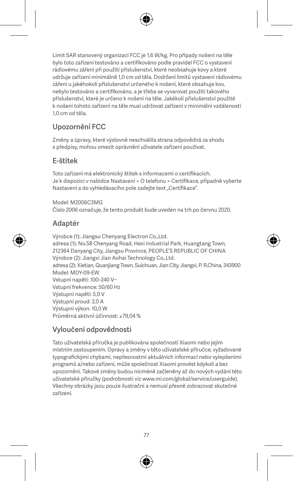Limit SAR stanovený organizací FCC je 1,6 W/kg. Pro případy nošení na těle bylo toto zařízení testováno a certifikováno podle pravidel FCC o vystavení rádiovému záření při použití příslušenství, které neobsahuje kovy a které udržuje zařízení minimálně 1,0 cm od těla. Dodržení limitů vystavení rádiovému záření u jakéhokoli příslušenství určeného k nošení, které obsahuje kov, nebylo testováno a certifikováno, a je třeba se vyvarovat použití takového příslušenství, které je určeno k nošení na těle. Jakékoli příslušenství použité k nošení tohoto zařízení na těle musí udržovat zařízení v minimální vzdálenosti 1,0 cm od těla.

#### Upozornění FCC

Změny a úpravy, které výslovně neschválila strana odpovědná za shodu s předpisy, mohou omezit oprávnění uživatele zařízení používat.

#### E-štítek

Toto zařízení má elektronický štítek s informacemi o certifikacích. Je k dispozici v nabídce Nastavení > O telefonu > Certifikace, případně vyberte Nastavení a do vyhledávacího pole zadejte text "Certifikace".

Model: M2006C3MG Číslo 2006 označuje, že tento produkt bude uveden na trh po červnu 2020.

#### Adaptér

Výrobce (1): Jiangsu Chenyang Electron Co.,Ltd. adresa (1): No.58 Chenyang Road, Hexi Industrial Park, Huangtang Town, 212364 Danyang City, Jiangsu Province, PEOPLE'S REPUBLIC OF CHINA Výrobce (2): Jiangxi Jian Aohai Technology Co.,Ltd. adresa (2): Xietian, Quanjiang Town, Suichuan, Jian City, Jiangxi, P. R.China, 343900 Model: MDY-09-EW Vstupní napětí: 100–240 V~ Vstupní frekvence: 50/60 Hz Výstupní napětí: 5,0 V Výstupní proud: 2,0 A Výstupní výkon: 10,0 W Průměrná aktivní účinnost: ≥79,04 %

#### Vyloučení odpovědnosti

Tato uživatelská příručka je publikována společností Xiaomi nebo jejím místním zastoupením. Opravy a změny v této uživatelské příručce, vyžadované typografickými chybami, nepřesnostmi aktuálních informací nebo vylepšeními programů a/nebo zařízení, může společnost Xiaomi provést kdykoli a bez upozornění. Takové změny budou nicméně začleněny až do nových vydání této uživatelské příručky (podrobnosti viz www.mi.com/global/service/userguide). Všechny obrázky jsou pouze ilustrační a nemusí přesně zobrazovat skutečné zařízení.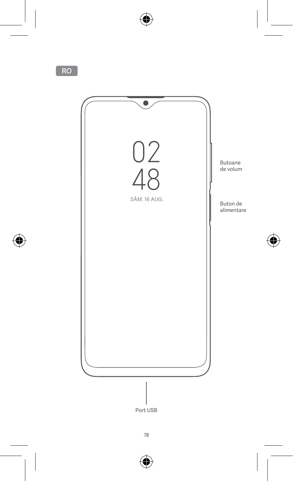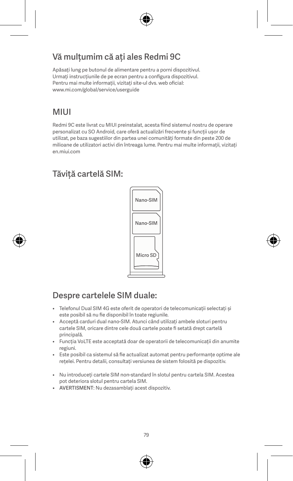## Vă mulțumim că ați ales Redmi 9C

Apăsați lung pe butonul de alimentare pentru a porni dispozitivul. Urmați instrucțiunile de pe ecran pentru a configura dispozitivul. Pentru mai multe informații, vizitați site-ul dvs. web oficial: www.mi.com/global/service/userguide

### **MILII**

Redmi 9C este livrat cu MIUI preinstalat, acesta fiind sistemul nostru de operare personalizat cu SO Android, care oferă actualizări frecvente și funcții ușor de utilizat, pe baza sugestiilor din partea unei comunități formate din peste 200 de milioane de utilizatori activi din întreaga lume. Pentru mai multe informații, vizitați en.miui.com

# Tăviță cartelă SIM:



## Despre cartelele SIM duale:

- Telefonul Dual SIM 4G este oferit de operatori de telecomunicații selectați și este posibil să nu fie disponibil în toate regiunile.
- Acceptă carduri dual nano-SIM. Atunci când utilizați ambele sloturi pentru cartele SIM, oricare dintre cele două cartele poate fi setată drept cartelă principală.
- Funcția VoLTE este acceptată doar de operatorii de telecomunicații din anumite regiuni.
- Este posibil ca sistemul să fie actualizat automat pentru performanțe optime ale rețelei. Pentru detalii, consultați versiunea de sistem folosită pe dispozitiv.
- Nu introduceți cartele SIM non-standard în slotul pentru cartela SIM. Acestea pot deteriora slotul pentru cartela SIM.
- AVERTISMENT: Nu dezasamblați acest dispozitiv.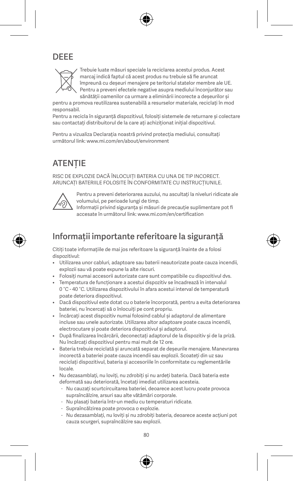# DEEE



Trebuie luate măsuri speciale la reciclarea acestui produs. Acest marcaj indică faptul că acest produs nu trebuie să fie aruncat împreună cu deșeuri menajere pe teritoriul statelor membre ale UE. Pentru a preveni efectele negative asupra mediului înconjurător sau sănătății oamenilor ca urmare a eliminării incorecte a deșeurilor și

pentru a promova reutilizarea sustenabilă a resurselor materiale, reciclați în mod responsabil.

Pentru a recicla în siguranță dispozitivul, folosiți sistemele de returnare și colectare sau contactați distribuitorul de la care ați achiziționat inițial dispozitivul.

Pentru a vizualiza Declarația noastră privind protecția mediului, consultați următorul link: www.mi.com/en/about/environment

# ATENȚIE

RISC DE EXPLOZIE DACĂ ÎNLOCUIȚI BATERIA CU UNA DE TIP INCORECT. ARUNCAȚI BATERIILE FOLOSITE ÎN CONFORMITATE CU INSTRUCȚIUNILE.



Pentru a preveni deteriorarea auzului, nu ascultați la niveluri ridicate ale volumului, pe perioade lungi de timp.

Informații privind siguranța și măsuri de precauție suplimentare pot fi accesate în următorul link: www.mi.com/en/certification

### Informații importante referitoare la siguranță

Citiți toate informațiile de mai jos referitoare la siguranță înainte de a folosi dispozitivul:

- Utilizarea unor cabluri, adaptoare sau baterii neautorizate poate cauza incendii, explozii sau vă poate expune la alte riscuri.
- Folosiți numai accesorii autorizate care sunt compatibile cu dispozitivul dvs.
- Temperatura de funcționare a acestui dispozitiv se încadrează în intervalul 0 °C - 40 °C. Utilizarea dispozitivului în afara acestui interval de temperatură poate deteriora dispozitivul.
- Dacă dispozitivul este dotat cu o baterie încorporată, pentru a evita deteriorarea bateriei, nu încercați să o înlocuiți pe cont propriu.
- Încărcați acest dispozitiv numai folosind cablul și adaptorul de alimentare incluse sau unele autorizate. Utilizarea altor adaptoare poate cauza incendii, electrocutare și poate deteriora dispozitivul și adaptorul.
- După finalizarea încărcării, deconectați adaptorul de la dispozitiv și de la priză. Nu încărcați dispozitivul pentru mai mult de 12 ore.
- Bateria trebuie reciclată și aruncată separat de deșeurile menajere. Manevrarea incorectă a bateriei poate cauza incendii sau explozii. Scoateți din uz sau reciclați dispozitivul, bateria și accesoriile în conformitate cu reglementările locale.
- Nu dezasamblați, nu loviți, nu zdrobiți și nu ardeți bateria. Dacă bateria este deformată sau deteriorată, încetați imediat utilizarea acesteia.
	- Nu cauzați scurtcircuitarea bateriei, deoarece acest lucru poate provoca supraîncălzire, arsuri sau alte vătămări corporale.
	- Nu plasați bateria într-un mediu cu temperaturi ridicate.
	- Supraîncălzirea poate provoca o explozie.
	- Nu dezasamblați, nu loviți și nu zdrobiți bateria, deoarece aceste acțiuni pot cauza scurgeri, supraîncălzire sau explozii.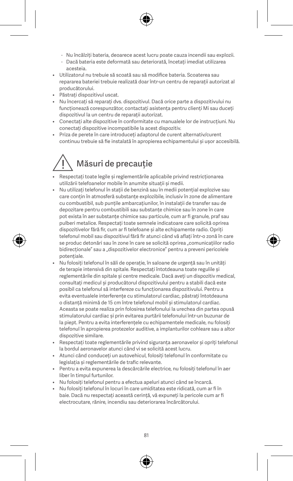- Nu încălziți bateria, deoarece acest lucru poate cauza incendii sau explozii.
- Dacă bateria este deformată sau deteriorată, încetați imediat utilizarea acesteia.
- Utilizatorul nu trebuie să scoată sau să modifice bateria. Scoaterea sau repararea bateriei trebuie realizată doar într-un centru de reparații autorizat al producătorului.
- Păstrați dispozitivul uscat.
- Nu încercați să reparați dvs. dispozitivul. Dacă orice parte a dispozitivului nu funcționează corespunzător, contactați asistența pentru clienți Mi sau duceți dispozitivul la un centru de reparații autorizat.
- Conectați alte dispozitive în conformitate cu manualele lor de instrucțiuni. Nu conectați dispozitive incompatibile la acest dispozitiv.
- Priza de perete în care introduceți adaptorul de curent alternativ/curent continuu trebuie să fie instalată în apropierea echipamentului și ușor accesibilă.

# Măsuri de precauție

- Respectați toate legile și reglementările aplicabile privind restricționarea utilizării telefoanelor mobile în anumite situații și medii.
- Nu utilizați telefonul în stații de benzină sau în medii potențial explozive sau care conțin în atmosferă substanțe explozibile, inclusiv în zone de alimentare cu combustibil, sub punțile ambarcațiunilor, în instalații de transfer sau de depozitare pentru combustibili sau substanțe chimice sau în zone în care pot exista în aer substanțe chimice sau particule, cum ar fi granule, praf sau pulberi metalice. Respectați toate semnele indicatoare care solicită oprirea dispozitivelor fără fir, cum ar fi telefoane și alte echipamente radio. Opriți telefonul mobil sau dispozitivul fără fir atunci când vă aflați într-o zonă în care se produc detonări sau în zone în care se solicită oprirea "comunicațiilor radio bidirecționale" sau a "dispozitivelor electronice" pentru a preveni pericolele potențiale.
- Nu folosiți telefonul în săli de operație, în saloane de urgență sau în unități de terapie intensivă din spitale. Respectați întotdeauna toate regulile și reglementările din spitale și centre medicale. Dacă aveți un dispozitiv medical, consultați medicul și producătorul dispozitivului pentru a stabili dacă este posibil ca telefonul să interfereze cu funcționarea dispozitivului. Pentru a evita eventualele interferențe cu stimulatorul cardiac, păstrați întotdeauna o distanță minimă de 15 cm între telefonul mobil și stimulatorul cardiac. Aceasta se poate realiza prin folosirea telefonului la urechea din partea opusă stimulatorului cardiac și prin evitarea purtării telefonului într-un buzunar de la piept. Pentru a evita interferențele cu echipamentele medicale, nu folosiți telefonul în apropierea protezelor auditive, a implanturilor cohleare sau a altor dispozitive similare.
- Respectați toate reglementările privind siguranța aeronavelor și opriți telefonul la bordul aeronavelor atunci când vi se solicită acest lucru.
- Atunci când conduceți un autovehicul, folosiți telefonul în conformitate cu legislația și reglementările de trafic relevante.
- Pentru a evita expunerea la descărcările electrice, nu folosiți telefonul în aer liber în timpul furtunilor.
- Nu folosiți telefonul pentru a efectua apeluri atunci când se încarcă.
- Nu folosiți telefonul în locuri în care umiditatea este ridicată, cum ar fi în baie. Dacă nu respectați această cerință, vă expuneți la pericole cum ar fi electrocutare, rănire, incendiu sau deteriorarea încărcătorului.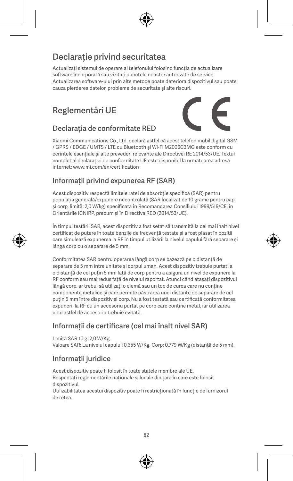# Declarație privind securitatea

Actualizați sistemul de operare al telefonului folosind funcția de actualizare software încorporată sau vizitați punctele noastre autorizate de service. Actualizarea software-ului prin alte metode poate deteriora dispozitivul sau poate cauza pierderea datelor, probleme de securitate și alte riscuri.

# Reglementări UE



#### Declarația de conformitate RED

Xiaomi Communications Co., Ltd. declară astfel că acest telefon mobil digital GSM / GPRS / EDGE / UMTS / LTE cu Bluetooth și Wi-Fi M2006C3MG este conform cu cerințele esențiale și alte prevederi relevante ale Directivei RE 2014/53/UE. Textul complet al declarației de conformitate UE este disponibil la următoarea adresă internet: www.mi.com/en/certification

#### Informații privind expunerea RF (SAR)

Acest dispozitiv respectă limitele ratei de absorbție specifică (SAR) pentru populația generală/expunere necontrolată (SAR localizat de 10 grame pentru cap și corp, limită: 2,0 W/kg) specificată în Recomandarea Consiliului 1999/519/CE, în Orientările ICNIRP, precum și în Directiva RED (2014/53/UE).

În timpul testării SAR, acest dispozitiv a fost setat să transmită la cel mai înalt nivel certificat de putere în toate benzile de frecvență testate și a fost plasat în poziții care simulează expunerea la RF în timpul utilizării la nivelul capului fără separare și lângă corp cu o separare de 5 mm.

Conformitatea SAR pentru operarea lângă corp se bazează pe o distanță de separare de 5 mm între unitate și corpul uman. Acest dispozitiv trebuie purtat la o distanță de cel puțin 5 mm față de corp pentru a asigura un nivel de expunere la RF conform sau mai redus față de nivelul raportat. Atunci când atașați dispozitivul lângă corp, ar trebui să utilizați o clemă sau un toc de curea care nu conține componente metalice și care permite păstrarea unei distanțe de separare de cel puțin 5 mm între dispozitiv și corp. Nu a fost testată sau certificată conformitatea expunerii la RF cu un accesoriu purtat pe corp care conține metal, iar utilizarea unui astfel de accesoriu trebuie evitată.

#### Informații de certificare (cel mai înalt nivel SAR)

Limită SAR 10 g: 2,0 W/Kg, Valoare SAR: La nivelul capului: 0,355 W/Kg, Corp: 0,779 W/Kg (distanță de 5 mm).

### Informații juridice

Acest dispozitiv poate fi folosit în toate statele membre ale UE. Respectați reglementările naționale și locale din țara în care este folosit dispozitivul.

Utilizabilitatea acestui dispozitiv poate fi restricționată în funcție de furnizorul de rețea.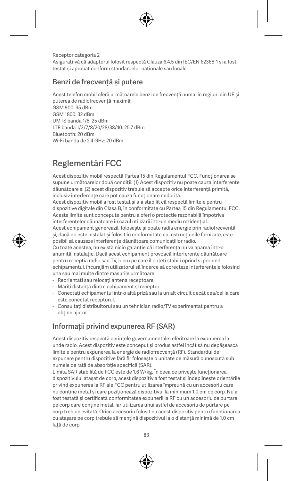Receptor categoria 2 Asigurați-vă că adaptorul folosit respectă Clauza 6.4.5 din IEC/EN 62368-1 și a fost testat și aprobat conform standardelor naționale sau locale.

#### Benzi de frecvență și putere

Acest telefon mobil oferă următoarele benzi de frecvență numai în regiuni din UE și puterea de radiofrecvență maximă: GSM 900: 35 dBm GSM 1800: 32 dBm UMTS banda 1/8: 25 dBm LTE banda 1/3/7/8/20/28/38/40: 25,7 dBm Bluetooth: 20 dBm

Wi-Fi banda de 2,4 GHz: 20 dBm

# Reglementări FCC

Acest dispozitiv mobil respectă Partea 15 din Regulamentul FCC. Funcționarea se supune următoarelor două condiții: (1) Acest dispozitiv nu poate cauza interferențe dăunătoare și (2) acest dispozitiv trebuie să accepte orice interferență primită, inclusiv interferențe care pot cauza funcționare nedorită.

Acest dispozitiv mobil a fost testat și s-a stabilit că respectă limitele pentru dispozitive digitale din Clasa B, în conformitate cu Partea 15 din Regulamentul FCC. Aceste limite sunt concepute pentru a oferi o protecție rezonabilă împotriva interferențelor dăunătoare în cazul utilizării într-un mediu rezidențial. Acest echipament generează, folosește și poate radia energie prin radiofrecvență și, dacă nu este instalat și folosit în conformitate cu instrucțiunile furnizate, este posibil să cauzeze interferențe dăunătoare comunicațiilor radio. Cu toate acestea, nu există nicio garanție că interferența nu va apărea într-o anumită instalație. Dacă acest echipament provoacă interferențe dăunătoare pentru recepția radio sau TV, lucru pe care îl puteți stabili oprind și pornind echipamentul, încurajăm utilizatorul să încerce să corecteze interferențele folosind

una sau mai multe dintre măsurile următoare:

- Reorientați sau relocați antena receptoare.
- Măriți distanța dintre echipament și receptor.
- Conectați echipamentul într-o altă priză sau la un alt circuit decât cea/cel la care este conectat receptorul.
- Consultați distribuitorul sau un tehnician radio/TV experimentat pentru a obține ajutor.

#### Informații privind expunerea RF (SAR)

Acest dispozitiv respectă cerințele guvernamentale referitoare la expunerea la unde radio. Acest dispozitiv este conceput și produs astfel încât să nu depășească limitele pentru expunerea la energie de radiofrecvență (RF). Standardul de expunere pentru dispozitive fără fir folosește o unitate de măsură cunoscută sub numele de rată de absorbție specifică (SAR).

Limita SAR stabilită de FCC este de 1,6 W/kg. În ceea ce privește funcționarea dispozitivului atașat de corp, acest dispozitiv a fost testat și îndeplinește orientările privind expunerea la RF ale FCC pentru utilizarea împreună cu un accesoriu care nu conține metal și care poziționează dispozitivul la minimum 1,0 cm de corp. Nu a fost testată și certificată conformitatea expunerii la RF cu un accesoriu de purtare pe corp care conține metal, iar utilizarea unui astfel de accesoriu de purtare pe corp trebuie evitată. Orice accesoriu folosit cu acest dispozitiv pentru funcționarea cu atașare pe corp trebuie să mențină dispozitivul la o distanță minimă de 1,0 cm față de corp.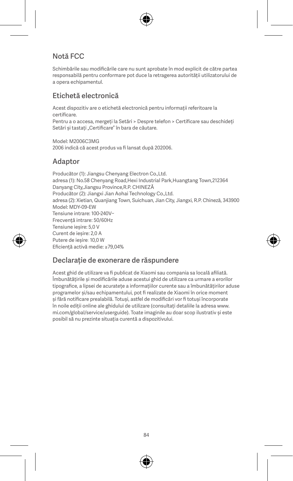### Notă FCC

Schimbările sau modificările care nu sunt aprobate în mod explicit de către partea responsabilă pentru conformare pot duce la retragerea autorității utilizatorului de a opera echipamentul.

#### Etichetă electronică

Acest dispozitiv are o etichetă electronică pentru informații referitoare la certificare.

Pentru a o accesa, mergeți la Setări > Despre telefon > Certificare sau deschideți Setări și tastați Certificare" în bara de căutare

Model: M2006C3MG 2006 indică că acest produs va fi lansat după 202006.

#### Adaptor

Producător (1): Jiangsu Chenyang Electron Co.,Ltd. adresa (1): No.58 Chenyang Road,Hexi Industrial Park,Huangtang Town,212364 Danyang City,Jiangsu Province,R.P. CHINEZĂ Producător (2): Jiangxi Jian Aohai Technology Co.,Ltd. adresa (2): Xietian, Quanjiang Town, Suichuan, Jian City, Jiangxi, R.P. Chineză, 343900 Model: MDY-09-EW Tensiune intrare: 100-240V~ Frecvență intrare: 50/60Hz Tensiune ieșire: 5,0 V Curent de ieșire: 2,0 A Putere de ieșire: 10,0 W Eficiență activă medie: ≥79,04%

#### Declarație de exonerare de răspundere

Acest ghid de utilizare va fi publicat de Xiaomi sau compania sa locală afiliată. Îmbunătățirile și modificările aduse acestui ghid de utilizare ca urmare a erorilor tipografice, a lipsei de acuratețe a informațiilor curente sau a îmbunătățirilor aduse programelor și/sau echipamentului, pot fi realizate de Xiaomi în orice moment și fără notificare prealabilă. Totuși, astfel de modificări vor fi totuși încorporate în noile ediții online ale ghidului de utilizare (consultați detaliile la adresa www. mi.com/global/service/userguide). Toate imaginile au doar scop ilustrativ și este posibil să nu prezinte situația curentă a dispozitivului.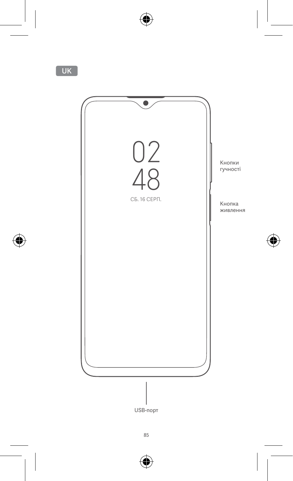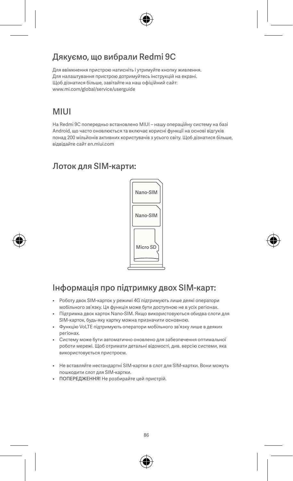### Дякуємо, що вибрали Redmi 9C

Для ввімкнення пристрою натисніть і утримуйте кнопку живлення. Для налаштування пристрою дотримуйтесь інструкцій на екрані. Щоб дізнатися більше, завітайте на наш офіційний сайт: www.mi.com/global/service/userguide

### MIUI

На Redmi 9C попередньо встановлено MIUI – нашу операційну систему на базі Android, що часто оновлюється та включає корисні функції на основі відгуків понад 200 мільйонів активних користувачів з усього світу. Щоб дізнатися більше, відвідайте сайт en.miui.com

### Лоток для SIM-карти:



# Інформація про підтримку двох SIM-карт:

- Роботу двох SIM-карток у режимі 4G підтримують лише деякі оператори мобільного зв'язку. Ця функція може бути доступною не в усіх регіонах.
- Підтримка двох карток Nano-SIM. Якщо використовуються обидва слоти для SIM-карток, будь-яку картку можна призначити основною.
- Функцію VoLTE підтримують оператори мобільного зв'язку лише в деяких регіонах.
- Систему може бути автоматично оновлено для забезпечення оптимальної роботи мережі. Щоб отримати детальні відомості, див. версію системи, яка використовується пристроєм.
- Не вставляйте нестандартні SIM-картки в слот для SIM-картки. Вони можуть пошкодити слот для SIM-картки.
- ПОПЕРЕДЖЕННЯ! Не розбирайте цей пристрій.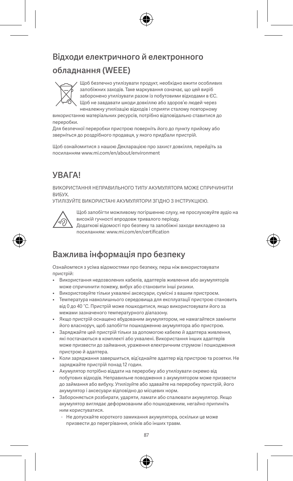# Відходи електричного й електронного обладнання (WEEE)



Щоб безпечно утилізувати продукт, необхідно вжити особливих запобіжних заходів. Таке маркування означає, що цей виріб заборонено утилізувати разом із побутовими відходами в ЄС. Щоб не завдавати шкоди довкіллю або здоров'ю людей через неналежну утилізацію відходів і сприяти сталому повторному

використанню матеріальних ресурсів, потрібно відповідально ставитися до переробки.

Для безпечної переробки пристрою поверніть його до пункту прийому або зверніться до роздрібного продавця, у якого придбали пристрій.

Щоб ознайомитися з нашою Декларацією про захист довкілля, перейдіть за посиланням www.mi.com/en/about/environment

### УВАГА!

ВИКОРИСТАННЯ НЕПРАВИЛЬНОГО ТИПУ АКУМУЛЯТОРА МОЖЕ СПРИЧИНИТИ ВИБУХ.

УТИЛІЗУЙТЕ ВИКОРИСТАНІ АКУМУЛЯТОРИ ЗГІДНО З ІНСТРУКЦІЄЮ.



Щоб запобігти можливому погіршенню слуху, не прослуховуйте аудіо на високій гучності впродовж тривалого періоду.

Додаткові відомості про безпеку та запобіжні заходи викладено за посиланням: www.mi.com/en/certification

### Важлива інформація про безпеку

Ознайомтеся з усіма відомостями про безпеку, перш ніж використовувати пристрій:

- Використання недозволених кабелів, адаптерів живлення або акумуляторів може спричинити пожежу, вибух або становити інші ризики.
- Використовуйте тільки ухвалені аксесуари, сумісні з вашим пристроєм.
- Температура навколишнього середовища для експлуатації пристрою становить від 0 до 40 °C. Пристрій може пошкодитися, якщо використовувати його за межами зазначеного температурного діапазону.
- Якщо пристрій оснащено вбудованим акумулятором, не намагайтеся замінити його власноруч, щоб запобігти пошкодженню акумулятора або пристрою.
- Заряджайте цей пристрій тільки за допомогою кабелю й адаптера живлення, які постачаються в комплекті або ухвалені. Використання інших адаптерів може призвести до займання, ураження електричним струмом і пошкодження пристрою й адаптера.
- Коли заряджання завершиться, від'єднайте адаптер від пристрою та розетки. Не заряджайте пристрій понад 12 годин.
- Акумулятор потрібно віддати на переробку або утилізувати окремо від побутових відходів. Неправильне поводження з акумулятором може призвести до займання або вибуху. Утилізуйте або здавайте на переробку пристрій, його акумулятор і аксесуари відповідно до місцевих норм.
- Забороняється розбирати, ударяти, ламати або спалювати акумулятор. Якщо акумулятор виглядає деформованим або пошкодженим, негайно припиніть ним користуватися.
	- Не допускайте короткого замикання акумулятора, оскільки це може призвести до перегрівання, опіків або інших травм.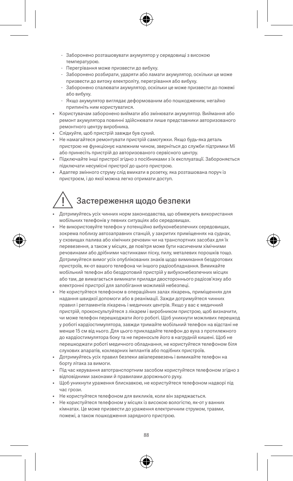- Заборонено розташовувати акумулятор у середовищі з високою температурою.
- Перегрівання може призвести до вибуху.
- Заборонено розбирати, ударяти або ламати акумулятор, оскільки це може призвести до витоку електроліту, перегрівання або вибуху.
- Заборонено спалювати акумулятор, оскільки це може призвести до пожежі або вибуху.
- Якщо акумулятор виглядає деформованим або пошкодженим, негайно припиніть ним користуватися.
- Користувачам заборонено виймати або змінювати акумулятор. Виймання або ремонт акумулятора повинні здійснювати лише представники авторизованого ремонтного центру виробника.
- Слідкуйте, щоб пристрій завжди був сухий.
- Не намагайтеся ремонтувати пристрій самотужки. Якщо будь-яка деталь пристрою не функціонує належним чином, зверніться до служби підтримки Mi або принесіть пристрій до авторизованого сервісного центру.
- Підключайте інші пристрої згідно з посібниками з їх експлуатації. Забороняється підключати несумісні пристрої до цього пристрою.
- Адаптер змінного струму слід вмикати в розетку, яка розташована поруч із пристроєм, і до якої можна легко отримати доступ.

# Застереження щодо безпеки

- Дотримуйтесь усіх чинних норм законодавства, що обмежують використання мобільних телефонів у певних ситуаціях або середовищах.
- Не використовуйте телефон у потенційно вибухонебезпечних середовищах, зокрема поблизу автозаправних станцій, у закритих приміщеннях на суднах, у сховищах палива або хімічних речовин чи на транспортних засобах для їх перевезення, а також у місцях, де повітря може бути насиченим хімічними речовинами або дрібними частинками піску, пилу, металевих порошків тощо. Дотримуйтеся вимог усіх опублікованих знаків щодо вимикання бездротових пристроїв, як-от вашого телефона чи іншого радіообладнання. Вимикайте мобільний телефон або бездротовий пристрій у вибухонебезпечних місцях або там, де вимагається вимикати прилади двостороннього радіозв'язку або електронні пристрої для запобігання можливій небезпеці.
- Не користуйтеся телефоном в операційних залах лікарень, приміщеннях для надання швидкої допомоги або в реанімації. Зажди дотримуйтеся чинних правил і регламентів лікарень і медичних центрів. Якщо у вас є медичний пристрій, проконсультуйтеся з лікарем і виробником пристрою, щоб визначити, чи може телефон перешкоджати його роботі. Щоб уникнути можливих перешкод у роботі кардіостимулятора, завжди тримайте мобільний телефон на відстані не менше 15 см від нього. Для цього прикладайте телефон до вуха з протилежного до кардіостимулятора боку та не переносьте його в нагрудній кишені. Щоб не перешкоджати роботі медичного обладнання, не користуйтеся телефоном біля слухових апаратів, кохлеарних імплантів або подібних пристроїв.
- Дотримуйтесь усіх правил безпеки авіаперевезень і вимикайте телефон на борту літака за вимоги.
- Під час керування автотранспортним засобом користуйтеся телефоном згідно з відповідними законами й правилами дорожнього руху.
- Щоб уникнути ураження блискавкою, не користуйтеся телефоном надворі під час грози.
- Не користуйтеся телефоном для викликів, коли він заряджається.
- Не користуйтеся телефоном у місцях із високою вологістю, як-от у ванних кімнатах. Це може призвести до ураження електричним струмом, травми, пожежі, а також пошкодження зарядного пристрою.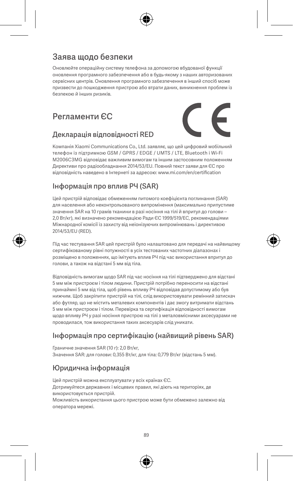### Заява щодо безпеки

Оновлюйте операційну систему телефона за допомогою вбудованої функції оновлення програмного забезпечення або в будь-якому з наших авторизованих сервісних центрів. Оновлення програмного забезпечення в інший спосіб може призвести до пошкодження пристрою або втрати даних, виникнення проблем із безпекою й інших ризиків.

### Регламенти ЄС



Компанія Xiaomi Communications Co., Ltd. заявляє, що цей цифровий мобільний телефон із підтримкою GSM / GPRS / EDGE / UMTS / LTE, Bluetooth і Wi-Fi M2006C3MG відповідає важливим вимогам та іншим застосовним положенням Директиви про радіообладнання 2014/53/EU. Повний текст заяви для ЄС про відповідність наведено в Інтернеті за адресою: www.mi.com/en/certification

#### Інформація про вплив РЧ (SAR)

Декларація відповідності RED

Цей пристрій відповідає обмеженням питомого коефіцієнта поглинання (SAR) для населення або неконтрольованого випромінення (максимально припустиме значення SAR на 10 грамів тканини в разі носіння на тілі й впритул до голови – 2,0 Вт/кг), які визначено рекомендацією Ради ЄС 1999/519/EC, рекомендаціями Міжнародної комісії із захисту від неіонізуючих випромінювань і директивою 2014/53/EU (RED).

Під час тестування SAR цей пристрій було налаштовано для передачі на найвищому сертифікованому рівні потужності в усіх тестованих частотних діапазонах і розміщено в положеннях, що імітують вплив РЧ під час використання впритул до голови, а також на відстані 5 мм від тіла.

Відповідність вимогам щодо SAR під час носіння на тілі підтверджено для відстані 5 мм між пристроєм і тілом людини. Пристрій потрібно переносити на відстані принаймні 5 мм від тіла, щоб рівень впливу РЧ відповідав допустимому або був нижчим. Щоб закріпити пристрій на тілі, слід використовувати ремінний затискач або футляр, що не містить металевих компонентів і дає змогу витримати відстань 5 мм між пристроєм і тілом. Перевірка та сертифікація відповідності вимогам щодо впливу РЧ у разі носіння пристрою на тілі з металовмісними аксесуарами не проводилася, тож використання таких аксесуарів слід уникати.

### Інформація про сертифікацію (найвищий рівень SAR)

Граничне значення SAR (10 г): 2,0 Вт/кг, Значення SAR: для голови: 0,355 Вт/кг, для тіла: 0,779 Вт/кг (відстань 5 мм).

#### Юридична інформація

Цей пристрій можна експлуатувати у всіх країнах ЄС. Дотримуйтеся державних і місцевих правил, які діють на територіях, де використовується пристрій. Можливість використання цього пристрою може бути обмежено залежно від

оператора мережі.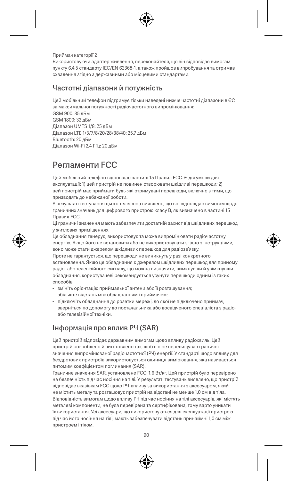Приймач категорії 2

Використовуючи адаптер живлення, переконайтеся, що він відповідає вимогам пункту 6.4.5 стандарту IEC/EN 62368-1, а також пройшов випробування та отримав схвалення згідно з державними або місцевими стандартами.

#### Частотні діапазони й потужність

Цей мобільний телефон підтримує тільки наведені нижче частотні діапазони в ЄС за максимальної потужності радіочастотного випромінювання:

GSM 900: 35 дБм GSM 1800: 32 дБм Діапазон UMTS 1/8: 25 дБм Діапазон LTE 1/3/7/8/20/28/38/40: 25,7 дБм Bluetooth: 20 дБм Діапазон Wi-Fi 2,4 ГГц: 20 дБм

## Регламенти FCC

Цей мобільний телефон відповідає частині 15 Правил FCC. Є дві умови для експлуатації: 1) цей пристрій не повинен створювати шкідливі перешкоди; 2) цей пристрій має приймати будь-які отримувані перешкоди, включно з тими, що призводять до небажаної роботи.

У результаті тестування цього телефона виявлено, що він відповідає вимогам щодо граничних значень для цифрового пристрою класу B, як визначено в частині 15 Правил FCC.

Ці граничні значення мають забезпечити достатній захист від шкідливих перешкод у житлових приміщеннях.

Це обладнання генерує, використовує та може випромінювати радіочастотну енергію. Якщо його не встановити або не використовувати згідно з інструкціями, воно може стати джерелом шкідливих перешкод для радіозв'язку.

Проте не гарантується, що перешкоди не виникнуть у разі конкретного встановлення. Якщо це обладнання є джерелом шкідливих перешкод для прийому радіо- або телевізійного сигналу, що можна визначити, вимкнувши й увімкнувши обладнання, користувачеві рекомендується усунути перешкоди одним із таких способів:

- змініть орієнтацію приймальної антени або її розташування;
- збільште відстань між обладнанням і приймачем;
- підключіть обладнання до розетки мережі, до якої не підключено приймач;
- зверніться по допомогу до постачальника або досвідченого спеціаліста з радіоабо телевізійної техніки.

#### Інформація про вплив РЧ (SAR)

Цей пристрій відповідає державним вимогам щодо впливу радіохвиль. Цей пристрій розроблено й виготовлено так, щоб він не перевищував граничні значення випромінюваної радіочастотної (РЧ) енергії. У стандарті щодо впливу для бездротових пристроїв використовується одиниця вимірювання, яка називається питомим коефіцієнтом поглинання (SAR).

Граничне значення SAR, установлене FCC: 1,6 Вт/кг. Цей пристрій було перевірено на безпечність під час носіння на тілі. У результаті тестувань виявлено, що пристрій відповідає вказівкам FCC щодо РЧ-впливу за використання з аксесуаром, який не містить металу та розташовує пристрій на відстані не менше 1,0 см від тіла. Відповідність вимогам щодо впливу РЧ під час носіння на тілі аксесуарів, які містять металеві компоненти, не була перевірена та сертифікована, тому варто уникати їх використання. Усі аксесуари, що використовуються для експлуатації пристрою під час його носіння на тілі, мають забезпечувати відстань принаймні 1,0 см між пристроєм і тілом.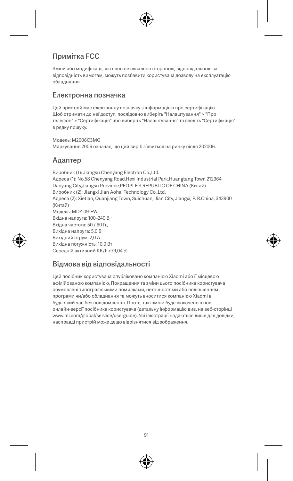#### Примітка FCC

Зміни або модифікації, які явно не схвалено стороною, відповідальною за відповідність вимогам, можуть позбавити користувача дозволу на експлуатацію обладнання.

#### Електронна позначка

Цей пристрій має електронну позначку з інформацією про сертифікацію. Щоб отримати до неї доступ, послідовно виберіть "Налаштування" > "Про телефон" > "Сертифікація" або виберіть "Налаштування" та введіть "Сертифікація" в рядку пошуку.

Модель: M2006C3MG Маркування 2006 означає, що цей виріб з'явиться на ринку після 202006.

#### Адаптер

Виробник (1): Jiangsu Chenyang Electron Co.,Ltd. Адреса (1): No.58 Chenyang Road,Hexi Industrial Park,Huangtang Town,212364 Danyang City,Jiangsu Province,PEOPLE'S REPUBLIC OF CHINA (Китай) Виробник (2): Jiangxi Jian Aohai Technology Co.,Ltd. Адреса (2): Xietian, Quanjiang Town, Suichuan, Jian City, Jiangxi, P. R.China, 343900 (Китай) Модель: MDY-09-EW Вхідна напруга: 100–240 В~ Вхідна частота: 50 / 60 Гц Вихідна напруга: 5,0 В Вихідний струм: 2,0 А Вихідна потужність: 10,0 Вт Середній активний ККД: ≥79,04 %

#### Відмова від відповідальності

Цей посібник користувача опубліковано компанією Xiaomi або її місцевою афілійованою компанією. Покращення та зміни цього посібника користувача обумовлені типографськими помилками, неточностями або поліпшенням програми чи/або обладнання та можуть вноситися компанією Xiaomi в будь-який час без повідомлення. Проте, такі зміни буде включено в нові онлайн-версії посібника користувача (детальну інформацію див. на веб-сторінці www.mi.com/global/service/userguide). Усі ілюстрації надаються лише для довідки, насправді пристрій може дещо відрізнятися від зображення.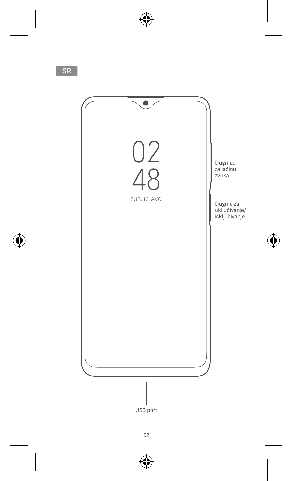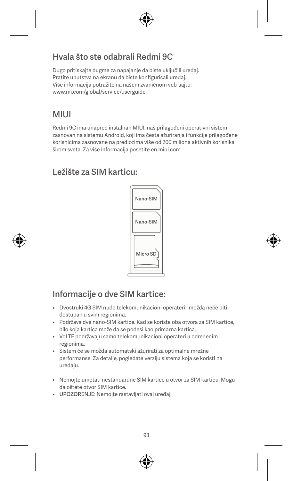## Hvala što ste odabrali Redmi 9C

Dugo pritiskajte dugme za napajanje da biste uključili uređaj. Pratite uputstva na ekranu da biste konfigurisali uređaj. Više informacija potražite na našem zvaničnom veb-sajtu: www.mi.com/global/service/userguide

# MIUI

Redmi 9C ima unapred instaliran MIUI, naš prilagođeni operativni sistem zasnovan na sistemu Android, koji ima česta ažuriranja i funkcije prilagođene korisnicima zasnovane na predlozima više od 200 miliona aktivnih korisnika širom sveta. Za više informacija posetite en.miui.com

### Ležište za SIM karticu:



# Informacije o dve SIM kartice:

- Dvostruki 4G SIM nude telekomunikacioni operateri i možda neće biti dostupan u svim regionima.
- Podržava dve nano-SIM kartice. Kad se koriste oba otvora za SIM kartice, bilo koja kartica može da se podesi kao primarna kartica.
- VoLTE podržavaju samo telekomunikacioni operateri u određenim regionima.
- Sistem će se možda automatski ažurirati za optimalne mrežne performanse. Za detalje, pogledate verziju sistema koja se koristi na uređaju.
- Nemojte umetati nestandardne SIM kartice u otvor za SIM karticu. Mogu da oštete otvor SIM kartice.
- UPOZORENJE: Nemojte rastavljati ovaj uređaj.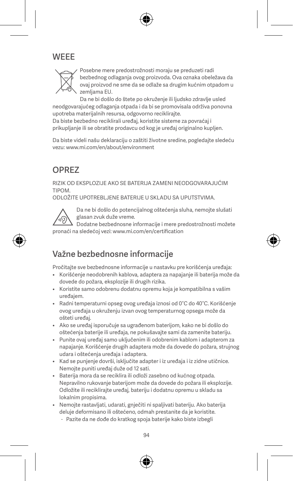### **WEEE**



Posebne mere predostrožnosti moraju se preduzeti radi bezbednog odlaganja ovog proizvoda. Ova oznaka obeležava da ovaj proizvod ne sme da se odlaže sa drugim kućnim otpadom u zemljama EU.

Da ne bi došlo do štete po okruženje ili ljudsko zdravlje usled neodgovarajućeg odlaganja otpada i da bi se promovisala održiva ponovna upotreba materijalnih resursa, odgovorno reciklirajte.

Da biste bezbedno reciklirali uređaj, koristite sisteme za povraćaj i prikupljanje ili se obratite prodavcu od kog je uređaj originalno kupljen.

Da biste videli našu deklaraciju o zaštiti životne sredine, pogledajte sledeću vezu: www.mi.com/en/about/environment

# OPREZ

RIZIK OD EKSPLOZIJE AKO SE BATERIJA ZAMENI NEODGOVARAJUĆIM TIPOM.

ODLOŽITE UPOTREBLJENE BATERIJE U SKLADU SA UPUTSTVIMA.



Da ne bi došlo do potencijalnog oštećenja sluha, nemojte slušati glasan zvuk duže vreme.

Dodatne bezbednosne informacije i mere predostrožnosti možete pronaći na sledećoj vezi: www.mi.com/en/certification

## Važne bezbednosne informacije

Pročitajte sve bezbednosne informacije u nastavku pre korišćenja uređaja:

- Korišćenje neodobrenih kablova, adaptera za napajanje ili baterija može da dovede do požara, eksplozije ili drugih rizika.
- Koristite samo odobrenu dodatnu opremu koja je kompatibilna s vašim uređajem.
- Radni temperaturni opseg ovog uređaja iznosi od 0°C do 40°C. Korišćenje ovog uređaja u okruženju izvan ovog temperaturnog opsega može da ošteti uređaj.
- Ako se uređaj isporučuje sa ugrađenom baterijom, kako ne bi došlo do oštećenja baterije ili uređaja, ne pokušavajte sami da zamenite bateriju.
- Punite ovaj uređaj samo uključenim ili odobrenim kablom i adapterom za napajanje. Korišćenje drugih adaptera može da dovede do požara, strujnog udara i oštećenja uređaja i adaptera.
- Kad se punjenje dovrši, isključite adapter i iz uređaja i iz zidne utičnice. Nemojte puniti uređaj duže od 12 sati.
- Baterija mora da se reciklira ili odloži zasebno od kućnog otpada. Nepravilno rukovanje baterijom može da dovede do požara ili eksplozije. Odložite ili reciklirajte uređaj, bateriju i dodatnu opremu u skladu sa lokalnim propisima.
- Nemojte rastavljati, udarati, gnječiti ni spaljivati bateriju. Ako baterija deluje deformisano ili oštećeno, odmah prestanite da je koristite.
	- Pazite da ne dođe do kratkog spoja baterije kako biste izbegli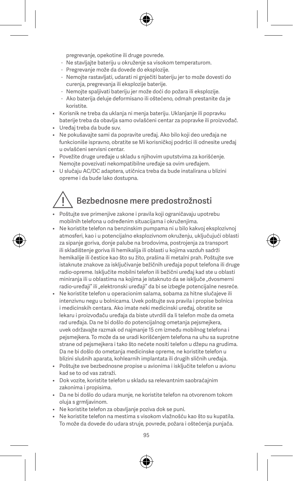pregrevanje, opekotine ili druge povrede.

- Ne stavljajte bateriju u okruženje sa visokom temperaturom.
- Pregrevanje može da dovede do eksplozije.
- Nemojte rastavljati, udarati ni gnječiti bateriju jer to može dovesti do curenja, pregrevanja ili eksplozije baterije.
- Nemojte spaljivati bateriju jer može doći do požara ili eksplozije.
- Ako baterija deluje deformisano ili oštećeno, odmah prestanite da je koristite.
- Korisnik ne treba da uklanja ni menja bateriju. Uklanjanje ili popravku baterije treba da obavlja samo ovlašćeni centar za popravke ili proizvođač.
- Uređaj treba da bude suv.
- Ne pokušavajte sami da popravite uređaj. Ako bilo koji deo uređaja ne funkcioniše ispravno, obratite se Mi korisničkoj podršci ili odnesite uređaj u ovlašćeni servisni centar.
- Povežite druge uređaje u skladu s njihovim uputstvima za korišćenje. Nemojte povezivati nekompatibilne uređaje sa ovim uređajem.
- U slučaju AC/DC adaptera, utičnica treba da bude instalirana u blizini opreme i da bude lako dostupna.

# Bezbednosne mere predostrožnosti

- Poštujte sve primenjive zakone i pravila koji ograničavaju upotrebu mobilnih telefona u određenim situacijama i okruženjima.
- Ne koristite telefon na benzinskim pumpama ni u bilo kakvoj eksplozivnoj atmosferi, kao i u potencijalno eksplozivnom okruženju, uključujući oblasti za sipanje goriva, donje palube na brodovima, postrojenja za transport ili skladištenje goriva ili hemikalija ili oblasti u kojima vazduh sadrži hemikalije ili čestice kao što su žito, prašina ili metalni prah. Poštujte sve istaknute znakove za isključivanje bežičnih uređaja poput telefona ili druge radio-opreme. Isključite mobilni telefon ili bežični uređaj kad ste u oblasti miniranja ili u oblastima na kojima je istaknuto da se isključe "dvosmerni radio-uređaji" ili "elektronski uređaji" da bi se izbegle potencijalne nesreće.
- Ne koristite telefon u operacionim salama, sobama za hitne slučajeve ili intenzivnu negu u bolnicama. Uvek poštujte sva pravila i propise bolnica i medicinskih centara. Ako imate neki medicinski uređaj, obratite se lekaru i proizvođaču uređaja da biste utvrdili da li telefon može da ometa rad uređaja. Da ne bi došlo do potencijalnog ometanja pejsmejkera, uvek održavajte razmak od najmanje 15 cm između mobilnog telefona i pejsmejkera. To može da se uradi korišćenjem telefona na uhu sa suprotne strane od pejsmejkera i tako što nećete nositi telefon u džepu na grudima. Da ne bi došlo do ometanja medicinske opreme, ne koristite telefon u blizini slušnih aparata, kohlearnih implantata ili drugih sličnih uređaja.
- Poštujte sve bezbednosne propise u avionima i isključite telefon u avionu kad se to od vas zatraži.
- Dok vozite, koristite telefon u skladu sa relevantnim saobraćajnim zakonima i propisima.
- Da ne bi došlo do udara munje, ne koristite telefon na otvorenom tokom oluja s grmljavinom.
- Ne koristite telefon za obavljanje poziva dok se puni.
- Ne koristite telefon na mestima s visokom vlažnošću kao što su kupatila. To može da dovede do udara struje, povrede, požara i oštećenja punjača.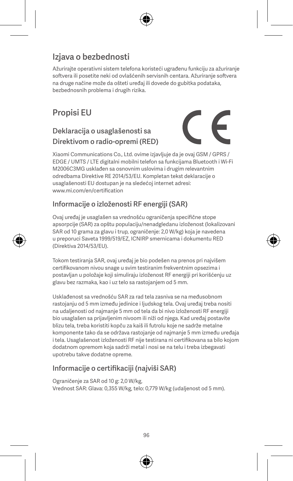# Izjava o bezbednosti

Ažurirajte operativni sistem telefona koristeći ugrađenu funkciju za ažuriranje softvera ili posetite neki od ovlašćenih servisnih centara. Ažuriranje softvera na druge načine može da ošteti uređaj ili dovede do gubitka podataka, bezbednosnih problema i drugih rizika.

# Propisi EU

### Deklaracija o usaglašenosti sa Direktivom o radio-opremi (RED)



Xiaomi Communications Co., Ltd. ovime izjavljuje da je ovaj GSM / GPRS / EDGE / UMTS / LTE digitalni mobilni telefon sa funkcijama Bluetooth i Wi-Fi M2006C3MG usklađen sa osnovnim uslovima i drugim relevantnim odredbama Direktive RE 2014/53/EU. Kompletan tekst deklaracije o usaglašenosti EU dostupan je na sledećoj internet adresi: www.mi.com/en/certification

#### Informacije o izloženosti RF energiji (SAR)

Ovaj uređaj je usaglašen sa vrednošću ograničenja specifične stope apsorpcije (SAR) za opštu populaciju/nenadgledanu izloženost (lokalizovani SAR od 10 grama za glavu i trup, ograničenje: 2,0 W/kg) koja je navedena u preporuci Saveta 1999/519/EZ, ICNIRP smernicama i dokumentu RED (Direktiva 2014/53/EU).

Tokom testiranja SAR, ovaj uređaj je bio podešen na prenos pri najvišem certifikovanom nivou snage u svim testiranim frekventnim opsezima i postavljan u položaje koji simuliraju izloženost RF energiji pri korišćenju uz glavu bez razmaka, kao i uz telo sa rastojanjem od 5 mm.

Usklađenost sa vrednošću SAR za rad tela zasniva se na međusobnom rastojanju od 5 mm između jedinice i ljudskog tela. Ovaj uređaj treba nositi na udaljenosti od najmanje 5 mm od tela da bi nivo izloženosti RF energiji bio usaglašen sa prijavljenim nivoom ili niži od njega. Kad uređaj postavite blizu tela, treba koristiti kopču za kaiš ili futrolu koje ne sadrže metalne komponente tako da se održava rastojanje od najmanje 5 mm između uređaja i tela. Usaglašenost izloženosti RF nije testirana ni certifikovana sa bilo kojom dodatnom opremom koja sadrži metal i nosi se na telu i treba izbegavati upotrebu takve dodatne opreme.

#### Informacije o certifikaciji (najviši SAR)

Ograničenje za SAR od 10 g: 2,0 W/kg, Vrednost SAR: Glava: 0,355 W/kg, telo: 0,779 W/kg (udaljenost od 5 mm).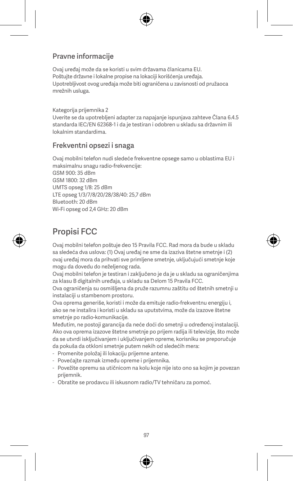#### Pravne informacije

Ovaj uređaj može da se koristi u svim državama članicama EU. Poštujte državne i lokalne propise na lokaciji korišćenja uređaja. Upotrebljivost ovog uređaja može biti ograničena u zavisnosti od pružaoca mrežnih usluga.

Kategorija prijemnika 2 Uverite se da upotrebljeni adapter za napajanje ispunjava zahteve Člana 6.4.5 standarda IEC/EN 62368-1 i da je testiran i odobren u skladu sa državnim ili lokalnim standardima.

#### Frekventni opsezi i snaga

Ovaj mobilni telefon nudi sledeće frekventne opsege samo u oblastima EU i maksimalnu snagu radio-frekvencije: GSM 900: 35 dBm GSM 1800: 32 dBm UMTS opseg 1/8: 25 dBm LTE opseg 1/3/7/8/20/28/38/40: 25,7 dBm Bluetooth: 20 dBm Wi-Fi opseg od 2,4 GHz: 20 dBm

## Propisi FCC

Ovaj mobilni telefon poštuje deo 15 Pravila FCC. Rad mora da bude u skladu sa sledeća dva uslova: (1) Ovaj uređaj ne sme da izaziva štetne smetnje i (2) ovaj uređaj mora da prihvati sve primljene smetnje, uključujući smetnje koje mogu da dovedu do neželjenog rada.

Ovaj mobilni telefon je testiran i zaključeno je da je u skladu sa ograničenjima za klasu B digitalnih uređaja, u skladu sa Delom 15 Pravila FCC.

Ova ograničenja su osmišljena da pruže razumnu zaštitu od štetnih smetnji u instalaciji u stambenom prostoru.

Ova oprema generiše, koristi i može da emituje radio-frekventnu energiju i, ako se ne instalira i koristi u skladu sa uputstvima, može da izazove štetne smetnje po radio-komunikacije.

Međutim, ne postoji garancija da neće doći do smetnji u određenoj instalaciji. Ako ova oprema izazove štetne smetnje po prijem radija ili televizije, što može da se utvrdi isključivanjem i uključivanjem opreme, korisniku se preporučuje da pokuša da otkloni smetnje putem nekih od sledećih mera:

- Promenite položaj ili lokaciju prijemne antene.
- Povećajte razmak između opreme i prijemnika.
- Povežite opremu sa utičnicom na kolu koje nije isto ono sa kojim je povezan prijemnik.
- Obratite se prodavcu ili iskusnom radio/TV tehničaru za pomoć.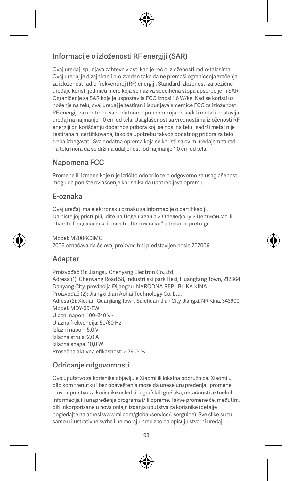#### Informacije o izloženosti RF energiji (SAR)

Ovaj uređaj ispunjava zahteve vlasti kad je reč o izloženosti radio-talasima. Ovaj uređaj je dizajniran i proizveden tako da ne premaši ograničenja zračenja za izloženost radio-frekventnoj (RF) energiji. Standard izloženosti za bežične uređaje koristi jedinicu mere koja se naziva specifična stopa apsorpcije ili SAR. Ograničenje za SAR koje je uspostavila FCC iznosi 1,6 W/kg. Kad se koristi uz nošenje na telu, ovaj uređaj je testiran i ispunjava smernice FCC za izloženost RF energiji za upotrebu sa dodatnom opremom koja ne sadrži metal i postavlja uređaj na najmanje 1,0 cm od tela. Usaglašenost sa vrednostima izloženosti RF energiji pri korišćenju dodatnog pribora koji se nosi na telu i sadrži metal nije testirana ni certifikovana, tako da upotrebu takvog dodatnog pribora za telo treba izbegavati. Sva dodatna oprema koja se koristi sa ovim uređajem za rad na telu mora da se drži na udaljenosti od najmanje 1,0 cm od tela.

#### Napomena FCC

Promene ili izmene koje nije izričito odobrilo telo odgovorno za usaglašenost mogu da ponište ovlašćenje korisnika da upotrebljava opremu.

#### E-oznaka

Ovaj uređaj ima elektronsku oznaku za informacije o certifikaciji. Da biste joj pristupili, idite na Подешавања > О телефону > Цертификат ili otvorite Подешавања i unesite "Цертификат" u traku za pretragu.

Model: M2006C3MG

2006 označava da će ovaj proizvod biti predstavljen posle 202006.

#### **Adapter**

Proizvođač (1): Jiangsu Chenyang Electron Co., Ltd. Adresa (1): Chenyang Road 58, Industrijski park Hexi, Huangtang Town, 212364 Danyang City, provincija Đijangcu, NARODNA REPUBLIKA KINA Proizvođač (2): Jiangxi Jian Aohai Technology Co.,Ltd. Adresa (2): Xietian, Quanjiang Town, Suichuan, Jian City, Jiangxi, NR Kina, 343900 Model: MDY-09-EW Ulazni napon: 100–240 V~ Ulazna frekvencija: 50/60 Hz Izlazni napon: 5,0 V Izlazna struja: 2,0 A Izlazna snaga: 10,0 W Prosečna aktivna efikasnost: ≥ 79,04%

### Odricanje odgovornosti

Ovo uputstvo za korisnike objavljuje Xiaomi ili lokalna podružnica. Xiaomi u bilo kom trenutku i bez obaveštenja može da unese unapređenja i promene u ovo uputstvo za korisnike usled tipografskih grešaka, netačnosti aktuelnih informacija ili unapređenja programa i/ili opreme. Takve promene će, međutim, biti inkorporisane u nova onlajn izdanja uputstva za korisnike (detalje pogledajte na adresi www.mi.com/global/service/userguide). Sve slike su tu samo u ilustrativne svrhe i ne moraju precizno da opisuju stvarni uređaj.